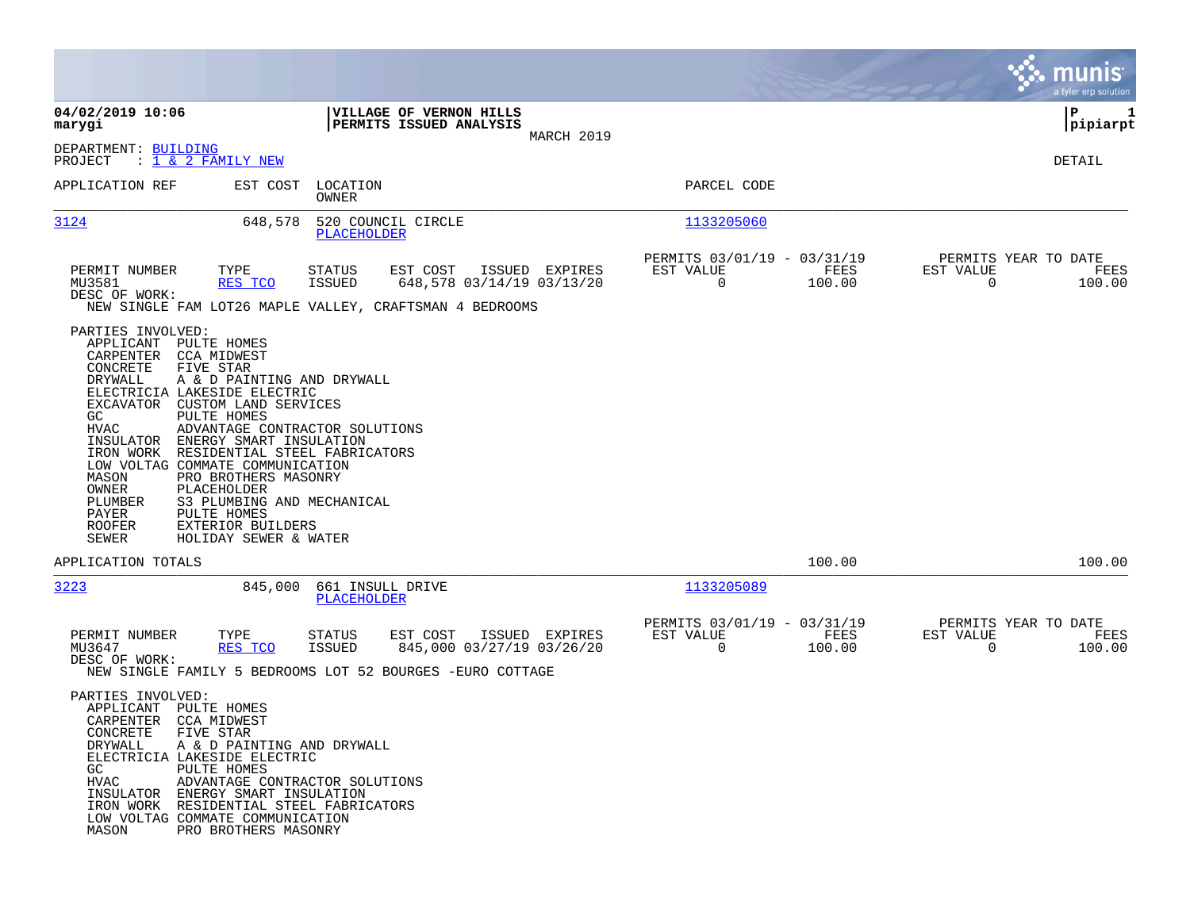|                                                                                                                                                                                                                                                                                                                                                                                                                                                                                                      |                                                                                                                                                      |                                                                           | munis<br>a tyler erp solution                                      |
|------------------------------------------------------------------------------------------------------------------------------------------------------------------------------------------------------------------------------------------------------------------------------------------------------------------------------------------------------------------------------------------------------------------------------------------------------------------------------------------------------|------------------------------------------------------------------------------------------------------------------------------------------------------|---------------------------------------------------------------------------|--------------------------------------------------------------------|
| 04/02/2019 10:06<br>marygi                                                                                                                                                                                                                                                                                                                                                                                                                                                                           | VILLAGE OF VERNON HILLS<br>PERMITS ISSUED ANALYSIS                                                                                                   |                                                                           | P<br>1<br> pipiarpt                                                |
| DEPARTMENT: BUILDING<br>PROJECT<br>$: 1 \& 2$ FAMILY NEW                                                                                                                                                                                                                                                                                                                                                                                                                                             | MARCH 2019                                                                                                                                           |                                                                           | DETAIL                                                             |
| APPLICATION REF<br>EST COST                                                                                                                                                                                                                                                                                                                                                                                                                                                                          | LOCATION<br>OWNER                                                                                                                                    | PARCEL CODE                                                               |                                                                    |
| 3124                                                                                                                                                                                                                                                                                                                                                                                                                                                                                                 | 648,578<br>520 COUNCIL CIRCLE<br>PLACEHOLDER                                                                                                         | 1133205060                                                                |                                                                    |
| PERMIT NUMBER<br>TYPE<br>MU3581<br>RES TCO<br>DESC OF WORK:                                                                                                                                                                                                                                                                                                                                                                                                                                          | EST COST<br>ISSUED EXPIRES<br><b>STATUS</b><br>648,578 03/14/19 03/13/20<br><b>ISSUED</b><br>NEW SINGLE FAM LOT26 MAPLE VALLEY, CRAFTSMAN 4 BEDROOMS | PERMITS 03/01/19 - 03/31/19<br>EST VALUE<br>FEES<br>$\mathbf 0$<br>100.00 | PERMITS YEAR TO DATE<br>EST VALUE<br>FEES<br>$\mathbf 0$<br>100.00 |
| PARTIES INVOLVED:<br>APPLICANT<br>PULTE HOMES<br>CARPENTER CCA MIDWEST<br>CONCRETE<br>FIVE STAR<br>DRYWALL<br>ELECTRICIA LAKESIDE ELECTRIC<br>EXCAVATOR<br>CUSTOM LAND SERVICES<br>GC<br>PULTE HOMES<br>HVAC<br>INSULATOR ENERGY SMART INSULATION<br>IRON WORK RESIDENTIAL STEEL FABRICATORS<br>LOW VOLTAG COMMATE COMMUNICATION<br>PRO BROTHERS MASONRY<br>MASON<br>OWNER<br>PLACEHOLDER<br>PLUMBER<br>PAYER<br>PULTE HOMES<br><b>ROOFER</b><br>EXTERIOR BUILDERS<br>SEWER<br>HOLIDAY SEWER & WATER | A & D PAINTING AND DRYWALL<br>ADVANTAGE CONTRACTOR SOLUTIONS<br>S3 PLUMBING AND MECHANICAL                                                           |                                                                           |                                                                    |
| APPLICATION TOTALS                                                                                                                                                                                                                                                                                                                                                                                                                                                                                   |                                                                                                                                                      | 100.00                                                                    | 100.00                                                             |
| 3223                                                                                                                                                                                                                                                                                                                                                                                                                                                                                                 | 845,000<br>661 INSULL DRIVE<br>PLACEHOLDER                                                                                                           | 1133205089                                                                |                                                                    |
| PERMIT NUMBER<br>TYPE<br>MU3647<br>RES TCO<br>DESC OF WORK:                                                                                                                                                                                                                                                                                                                                                                                                                                          | STATUS<br>EST COST<br>ISSUED EXPIRES<br>845,000 03/27/19 03/26/20<br><b>ISSUED</b><br>NEW SINGLE FAMILY 5 BEDROOMS LOT 52 BOURGES -EURO COTTAGE      | PERMITS 03/01/19 - 03/31/19<br>EST VALUE<br>FEES<br>$\mathbf 0$<br>100.00 | PERMITS YEAR TO DATE<br>EST VALUE<br>FEES<br>$\Omega$<br>100.00    |
| PARTIES INVOLVED:<br>APPLICANT PULTE HOMES<br>CARPENTER CCA MIDWEST<br>CONCRETE<br>FIVE STAR<br>DRYWALL<br>ELECTRICIA LAKESIDE ELECTRIC<br>GC<br>PULTE HOMES<br>HVAC<br>INSULATOR ENERGY SMART INSULATION<br>IRON WORK RESIDENTIAL STEEL FABRICATORS<br>LOW VOLTAG COMMATE COMMUNICATION<br>MASON<br>PRO BROTHERS MASONRY                                                                                                                                                                            | A & D PAINTING AND DRYWALL<br>ADVANTAGE CONTRACTOR SOLUTIONS                                                                                         |                                                                           |                                                                    |

and the contract of the contract of the contract of the contract of the contract of the contract of the contract of

the property of the control of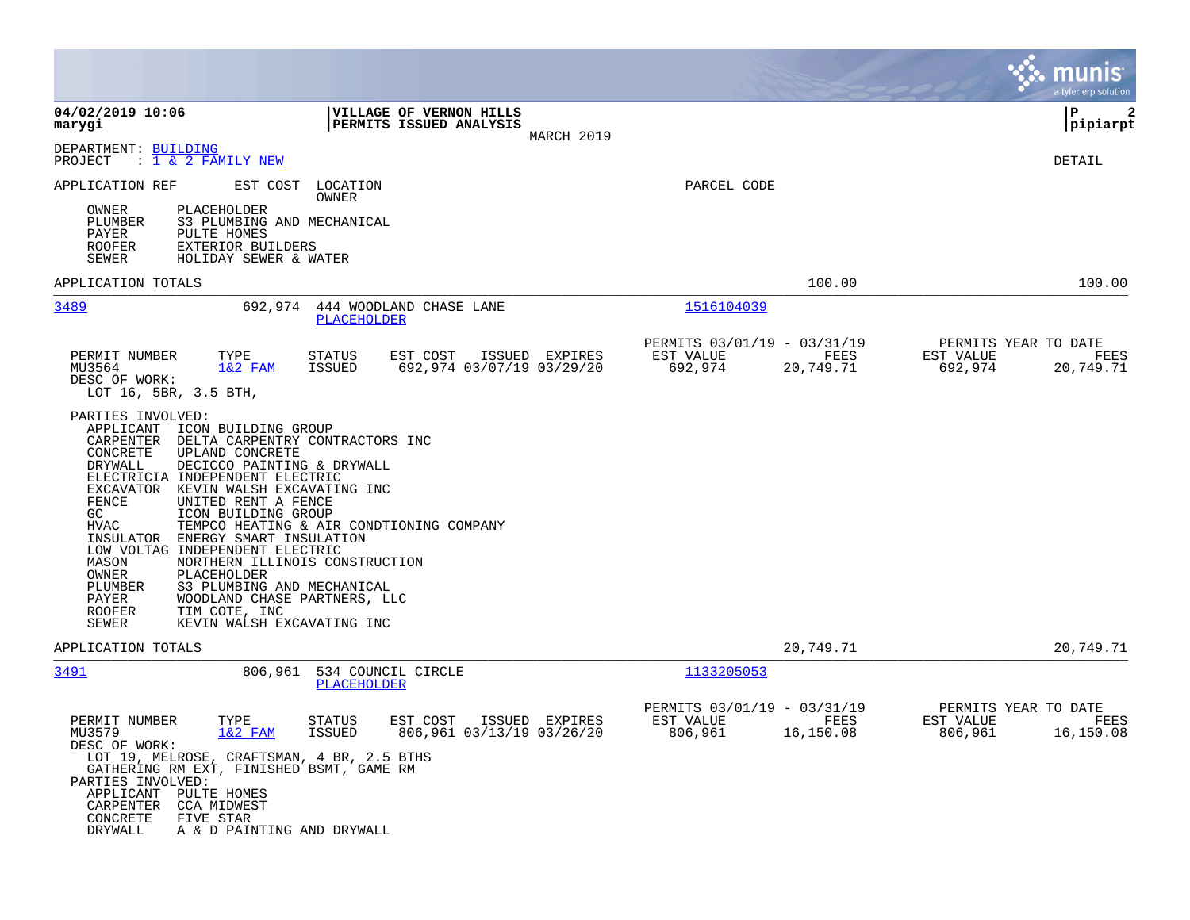|                                                                                                                                                                                                                                                                                                                                                                                                                                                                                                                                                                                                                                                                                                                                   |                                                                                                                                |                                                                          | munis<br>a tyler erp solution                                            |
|-----------------------------------------------------------------------------------------------------------------------------------------------------------------------------------------------------------------------------------------------------------------------------------------------------------------------------------------------------------------------------------------------------------------------------------------------------------------------------------------------------------------------------------------------------------------------------------------------------------------------------------------------------------------------------------------------------------------------------------|--------------------------------------------------------------------------------------------------------------------------------|--------------------------------------------------------------------------|--------------------------------------------------------------------------|
| 04/02/2019 10:06<br>marygi                                                                                                                                                                                                                                                                                                                                                                                                                                                                                                                                                                                                                                                                                                        | VILLAGE OF VERNON HILLS<br><b>PERMITS ISSUED ANALYSIS</b><br>MARCH 2019                                                        |                                                                          | l P<br>2<br> pipiarpt                                                    |
| DEPARTMENT: BUILDING<br>$: 1 \& 2$ FAMILY NEW<br>PROJECT                                                                                                                                                                                                                                                                                                                                                                                                                                                                                                                                                                                                                                                                          |                                                                                                                                |                                                                          | DETAIL                                                                   |
| APPLICATION REF<br>EST COST<br><b>PLACEHOLDER</b><br>OWNER<br>PLUMBER<br>S3 PLUMBING AND MECHANICAL<br>PULTE HOMES<br>PAYER<br><b>ROOFER</b><br>EXTERIOR BUILDERS<br>HOLIDAY SEWER & WATER<br>SEWER                                                                                                                                                                                                                                                                                                                                                                                                                                                                                                                               | LOCATION<br>OWNER                                                                                                              | PARCEL CODE                                                              |                                                                          |
| APPLICATION TOTALS                                                                                                                                                                                                                                                                                                                                                                                                                                                                                                                                                                                                                                                                                                                |                                                                                                                                | 100.00                                                                   | 100.00                                                                   |
| 3489<br>692,974                                                                                                                                                                                                                                                                                                                                                                                                                                                                                                                                                                                                                                                                                                                   | 444 WOODLAND CHASE LANE<br>PLACEHOLDER                                                                                         | 1516104039                                                               |                                                                          |
| PERMIT NUMBER<br>TYPE<br>$1&2$ FAM<br>MU3564<br>DESC OF WORK:<br>LOT 16, 5BR, 3.5 BTH,<br>PARTIES INVOLVED:<br>APPLICANT ICON BUILDING GROUP<br>CARPENTER<br>DELTA CARPENTRY CONTRACTORS INC<br>CONCRETE<br>UPLAND CONCRETE<br>DECICCO PAINTING & DRYWALL<br>DRYWALL<br>ELECTRICIA INDEPENDENT ELECTRIC<br>EXCAVATOR KEVIN WALSH EXCAVATING INC<br>FENCE<br>UNITED RENT A FENCE<br>GC<br>ICON BUILDING GROUP<br><b>HVAC</b><br>INSULATOR ENERGY SMART INSULATION<br>LOW VOLTAG INDEPENDENT ELECTRIC<br>MASON<br>NORTHERN ILLINOIS CONSTRUCTION<br>OWNER<br>PLACEHOLDER<br>S3 PLUMBING AND MECHANICAL<br>PLUMBER<br>PAYER<br>WOODLAND CHASE PARTNERS, LLC<br>TIM COTE, INC<br><b>ROOFER</b><br>KEVIN WALSH EXCAVATING INC<br>SEWER | EST COST<br><b>STATUS</b><br>ISSUED EXPIRES<br>692,974 03/07/19 03/29/20<br>ISSUED<br>TEMPCO HEATING & AIR CONDTIONING COMPANY | PERMITS 03/01/19 - 03/31/19<br>EST VALUE<br>FEES<br>692,974<br>20,749.71 | PERMITS YEAR TO DATE<br>EST VALUE<br>FEES<br>692,974<br>20,749.71        |
| APPLICATION TOTALS                                                                                                                                                                                                                                                                                                                                                                                                                                                                                                                                                                                                                                                                                                                |                                                                                                                                | 20,749.71                                                                | 20,749.71                                                                |
| 3491<br>806,961                                                                                                                                                                                                                                                                                                                                                                                                                                                                                                                                                                                                                                                                                                                   | 534 COUNCIL CIRCLE<br>PLACEHOLDER                                                                                              | 1133205053                                                               |                                                                          |
| TYPE<br>PERMIT NUMBER<br>MU3579<br>$1&2$ FAM<br>DESC OF WORK:<br>LOT 19, MELROSE, CRAFTSMAN, 4 BR, 2.5 BTHS<br>GATHERING RM EXT, FINISHED BSMT, GAME RM<br>PARTIES INVOLVED:<br>APPLICANT PULTE HOMES<br>CARPENTER<br>CCA MIDWEST<br>CONCRETE<br>FIVE STAR<br>DRYWALL<br>A & D PAINTING AND DRYWALL                                                                                                                                                                                                                                                                                                                                                                                                                               | EST COST<br>STATUS<br>ISSUED EXPIRES<br><b>ISSUED</b><br>806,961 03/13/19 03/26/20                                             | PERMITS 03/01/19 - 03/31/19<br>EST VALUE<br>FEES<br>806,961<br>16,150.08 | PERMITS YEAR TO DATE<br>EST VALUE<br><b>FEES</b><br>806,961<br>16,150.08 |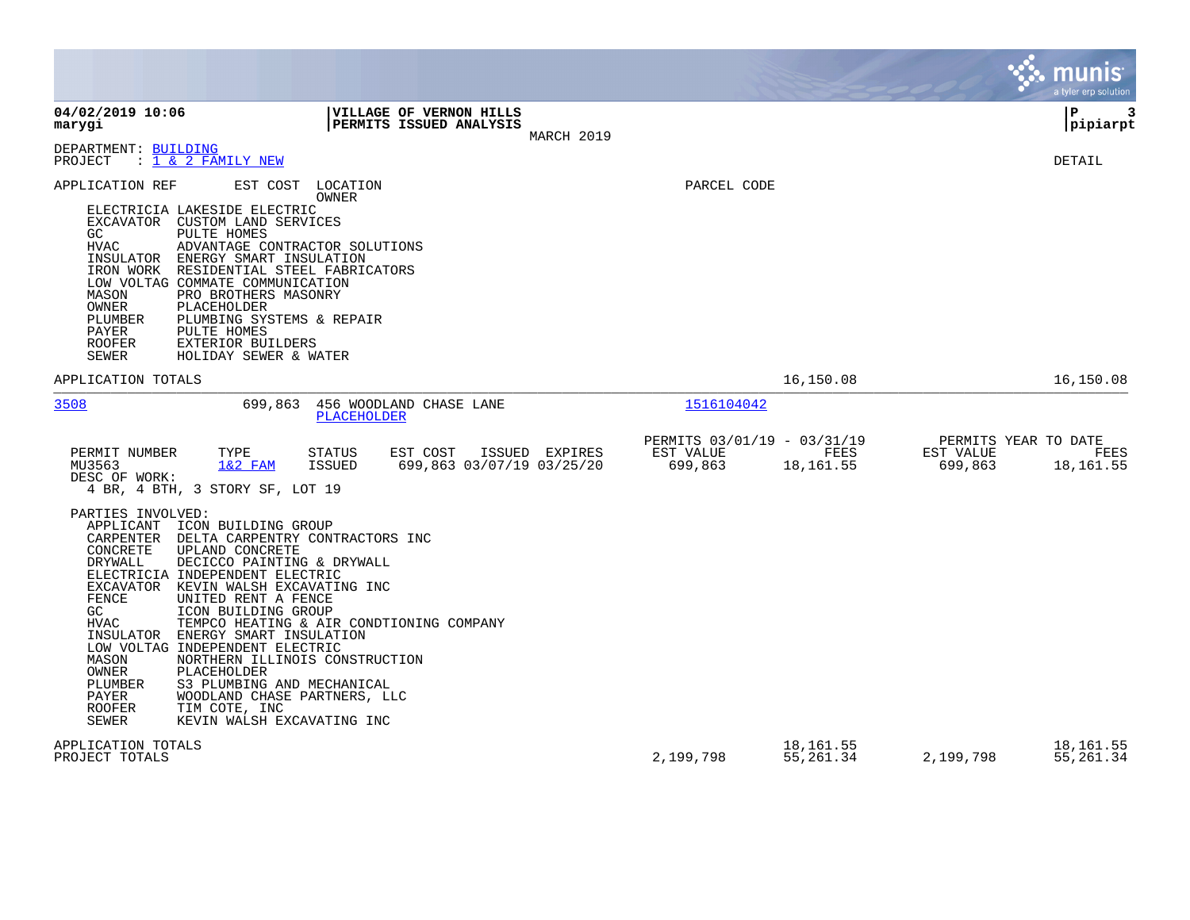|                                                                                                                                                                                                                                                                                                                                                                                                                                                                                                                                                                                                                                                                                            |                                                                          | munis<br>a tyler erp solution                                     |
|--------------------------------------------------------------------------------------------------------------------------------------------------------------------------------------------------------------------------------------------------------------------------------------------------------------------------------------------------------------------------------------------------------------------------------------------------------------------------------------------------------------------------------------------------------------------------------------------------------------------------------------------------------------------------------------------|--------------------------------------------------------------------------|-------------------------------------------------------------------|
| 04/02/2019 10:06<br>VILLAGE OF VERNON HILLS<br>PERMITS ISSUED ANALYSIS<br>marygi                                                                                                                                                                                                                                                                                                                                                                                                                                                                                                                                                                                                           | MARCH 2019                                                               | l P<br>3<br> pipiarpt                                             |
| DEPARTMENT: BUILDING<br>: 1 & 2 FAMILY NEW<br>PROJECT                                                                                                                                                                                                                                                                                                                                                                                                                                                                                                                                                                                                                                      |                                                                          | <b>DETAIL</b>                                                     |
| APPLICATION REF<br>LOCATION<br>EST COST<br>OWNER<br>ELECTRICIA LAKESIDE ELECTRIC<br>EXCAVATOR CUSTOM LAND SERVICES<br>PULTE HOMES<br>GC.<br><b>HVAC</b><br>ADVANTAGE CONTRACTOR SOLUTIONS<br>INSULATOR ENERGY SMART INSULATION<br>IRON WORK<br>RESIDENTIAL STEEL FABRICATORS<br>LOW VOLTAG COMMATE COMMUNICATION<br>PRO BROTHERS MASONRY<br>MASON<br>OWNER<br>PLACEHOLDER<br>PLUMBER<br>PLUMBING SYSTEMS & REPAIR<br>PAYER<br>PULTE HOMES<br><b>ROOFER</b><br>EXTERIOR BUILDERS<br>SEWER<br>HOLIDAY SEWER & WATER                                                                                                                                                                          | PARCEL CODE                                                              |                                                                   |
| APPLICATION TOTALS                                                                                                                                                                                                                                                                                                                                                                                                                                                                                                                                                                                                                                                                         | 16,150.08                                                                | 16,150.08                                                         |
| 3508<br>699,863<br>456 WOODLAND CHASE LANE<br>PLACEHOLDER                                                                                                                                                                                                                                                                                                                                                                                                                                                                                                                                                                                                                                  | 1516104042                                                               |                                                                   |
| TYPE<br>PERMIT NUMBER<br><b>STATUS</b><br>EST COST<br>ISSUED EXPIRES<br>MU3563<br>$1&2$ FAM<br><b>ISSUED</b><br>699,863 03/07/19 03/25/20<br>DESC OF WORK:<br>4 BR, 4 BTH, 3 STORY SF, LOT 19                                                                                                                                                                                                                                                                                                                                                                                                                                                                                              | PERMITS 03/01/19 - 03/31/19<br>EST VALUE<br>FEES<br>699,863<br>18,161.55 | PERMITS YEAR TO DATE<br>EST VALUE<br>FEES<br>699,863<br>18,161.55 |
| PARTIES INVOLVED:<br>APPLICANT ICON BUILDING GROUP<br>CARPENTER<br>DELTA CARPENTRY CONTRACTORS INC<br>CONCRETE<br>UPLAND CONCRETE<br><b>DRYWALL</b><br>DECICCO PAINTING & DRYWALL<br>ELECTRICIA INDEPENDENT ELECTRIC<br>EXCAVATOR KEVIN WALSH EXCAVATING INC<br>FENCE<br>UNITED RENT A FENCE<br>GC<br>ICON BUILDING GROUP<br><b>HVAC</b><br>TEMPCO HEATING & AIR CONDTIONING COMPANY<br>INSULATOR ENERGY SMART INSULATION<br>LOW VOLTAG INDEPENDENT ELECTRIC<br>NORTHERN ILLINOIS CONSTRUCTION<br>MASON<br>OWNER<br>PLACEHOLDER<br>PLUMBER<br>S3 PLUMBING AND MECHANICAL<br>PAYER<br>WOODLAND CHASE PARTNERS, LLC<br><b>ROOFER</b><br>TIM COTE, INC<br>SEWER<br>KEVIN WALSH EXCAVATING INC |                                                                          |                                                                   |
| APPLICATION TOTALS<br>PROJECT TOTALS                                                                                                                                                                                                                                                                                                                                                                                                                                                                                                                                                                                                                                                       | 18,161.55<br>2,199,798<br>55,261.34                                      | 18,161.55<br>2,199,798<br>55,261.34                               |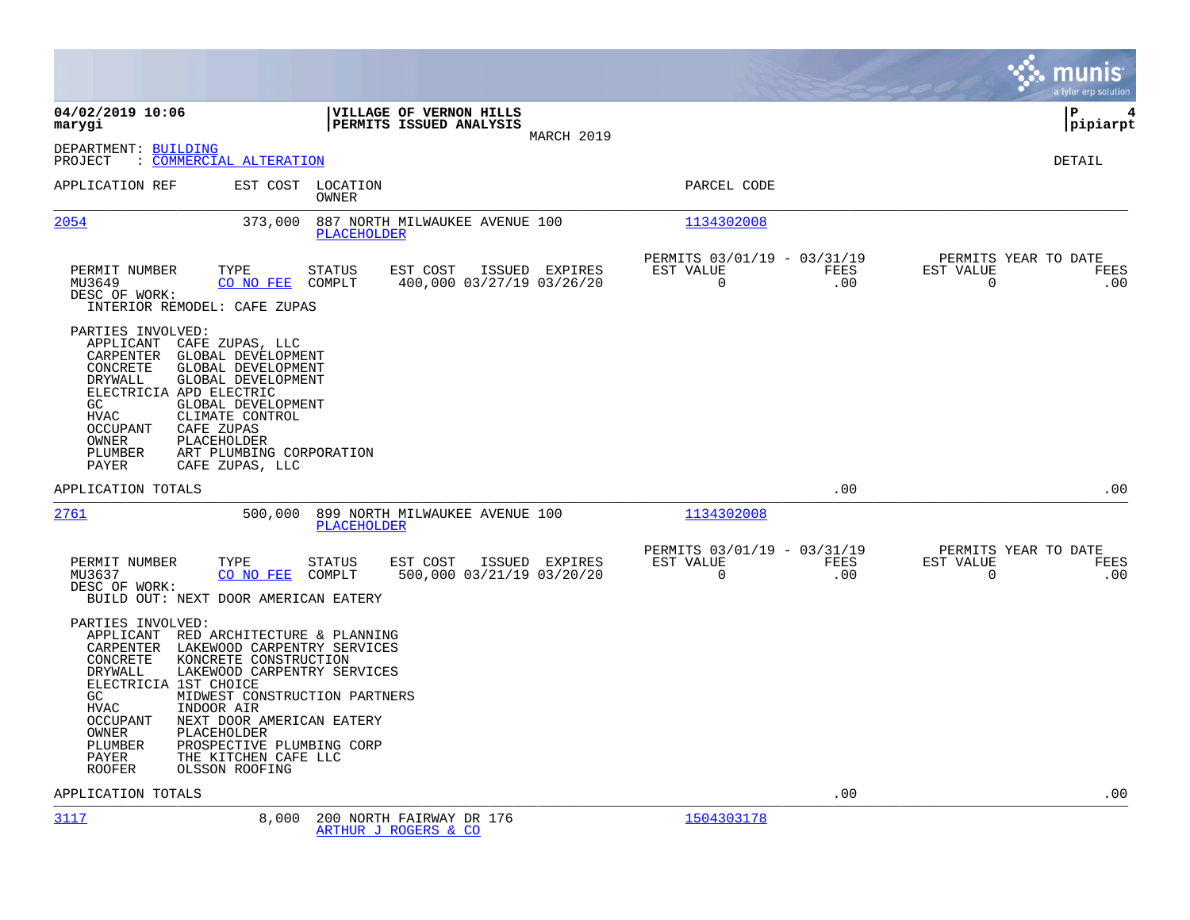|                                                                                                                                           |                                                                                                                                                                                                                                                                                                          |                                                         |             | munis<br>a tyler erp solution                                    |
|-------------------------------------------------------------------------------------------------------------------------------------------|----------------------------------------------------------------------------------------------------------------------------------------------------------------------------------------------------------------------------------------------------------------------------------------------------------|---------------------------------------------------------|-------------|------------------------------------------------------------------|
| 04/02/2019 10:06<br>marygi                                                                                                                | VILLAGE OF VERNON HILLS<br>PERMITS ISSUED ANALYSIS<br>MARCH 2019                                                                                                                                                                                                                                         |                                                         |             | l P<br>4<br> pipiarpt                                            |
| DEPARTMENT: BUILDING<br>PROJECT                                                                                                           | : COMMERCIAL ALTERATION                                                                                                                                                                                                                                                                                  |                                                         |             | <b>DETAIL</b>                                                    |
| APPLICATION REF                                                                                                                           | EST COST LOCATION<br>OWNER                                                                                                                                                                                                                                                                               | PARCEL CODE                                             |             |                                                                  |
| <u>2054</u>                                                                                                                               | 373,000<br>887 NORTH MILWAUKEE AVENUE 100<br>PLACEHOLDER                                                                                                                                                                                                                                                 | 1134302008                                              |             |                                                                  |
| PERMIT NUMBER<br>MU3649<br>DESC OF WORK:<br>PARTIES INVOLVED:                                                                             | TYPE<br><b>STATUS</b><br>EST COST<br>ISSUED EXPIRES<br>CO NO FEE<br>COMPLT<br>400,000 03/27/19 03/26/20<br>INTERIOR REMODEL: CAFE ZUPAS                                                                                                                                                                  | PERMITS 03/01/19 - 03/31/19<br>EST VALUE<br>0           | FEES<br>.00 | PERMITS YEAR TO DATE<br>EST VALUE<br>FEES<br>$\mathsf{O}$<br>.00 |
| APPLICANT<br>CARPENTER<br>CONCRETE<br>DRYWALL<br>GC<br><b>HVAC</b><br><b>OCCUPANT</b><br>OWNER<br>PLUMBER<br>PAYER                        | CAFE ZUPAS, LLC<br>GLOBAL DEVELOPMENT<br>GLOBAL DEVELOPMENT<br>GLOBAL DEVELOPMENT<br>ELECTRICIA APD ELECTRIC<br>GLOBAL DEVELOPMENT<br>CLIMATE CONTROL<br>CAFE ZUPAS<br>PLACEHOLDER<br>ART PLUMBING CORPORATION<br>CAFE ZUPAS, LLC                                                                        |                                                         |             |                                                                  |
| APPLICATION TOTALS                                                                                                                        |                                                                                                                                                                                                                                                                                                          |                                                         | .00         | .00                                                              |
| 2761                                                                                                                                      | 899 NORTH MILWAUKEE AVENUE 100<br>500,000<br>PLACEHOLDER                                                                                                                                                                                                                                                 | 1134302008                                              |             |                                                                  |
| PERMIT NUMBER<br>MU3637<br>DESC OF WORK:                                                                                                  | TYPE<br><b>STATUS</b><br>EST COST<br>ISSUED EXPIRES<br>CO NO FEE<br>COMPLT<br>500,000 03/21/19 03/20/20<br>BUILD OUT: NEXT DOOR AMERICAN EATERY                                                                                                                                                          | PERMITS 03/01/19 - 03/31/19<br>EST VALUE<br>$\mathbf 0$ | FEES<br>.00 | PERMITS YEAR TO DATE<br>EST VALUE<br>FEES<br>$\mathbf 0$<br>.00  |
| PARTIES INVOLVED:<br>CONCRETE<br>DRYWALL<br>ELECTRICIA 1ST CHOICE<br>GC<br>HVAC<br>OCCUPANT<br>OWNER<br>PLUMBER<br>PAYER<br><b>ROOFER</b> | APPLICANT RED ARCHITECTURE & PLANNING<br>CARPENTER LAKEWOOD CARPENTRY SERVICES<br>KONCRETE CONSTRUCTION<br>LAKEWOOD CARPENTRY SERVICES<br>MIDWEST CONSTRUCTION PARTNERS<br>INDOOR AIR<br>NEXT DOOR AMERICAN EATERY<br>PLACEHOLDER<br>PROSPECTIVE PLUMBING CORP<br>THE KITCHEN CAFE LLC<br>OLSSON ROOFING |                                                         |             |                                                                  |
| APPLICATION TOTALS                                                                                                                        |                                                                                                                                                                                                                                                                                                          |                                                         | .00         | .00                                                              |
| 3117                                                                                                                                      | 8,000<br>200 NORTH FAIRWAY DR 176                                                                                                                                                                                                                                                                        | 1504303178                                              |             |                                                                  |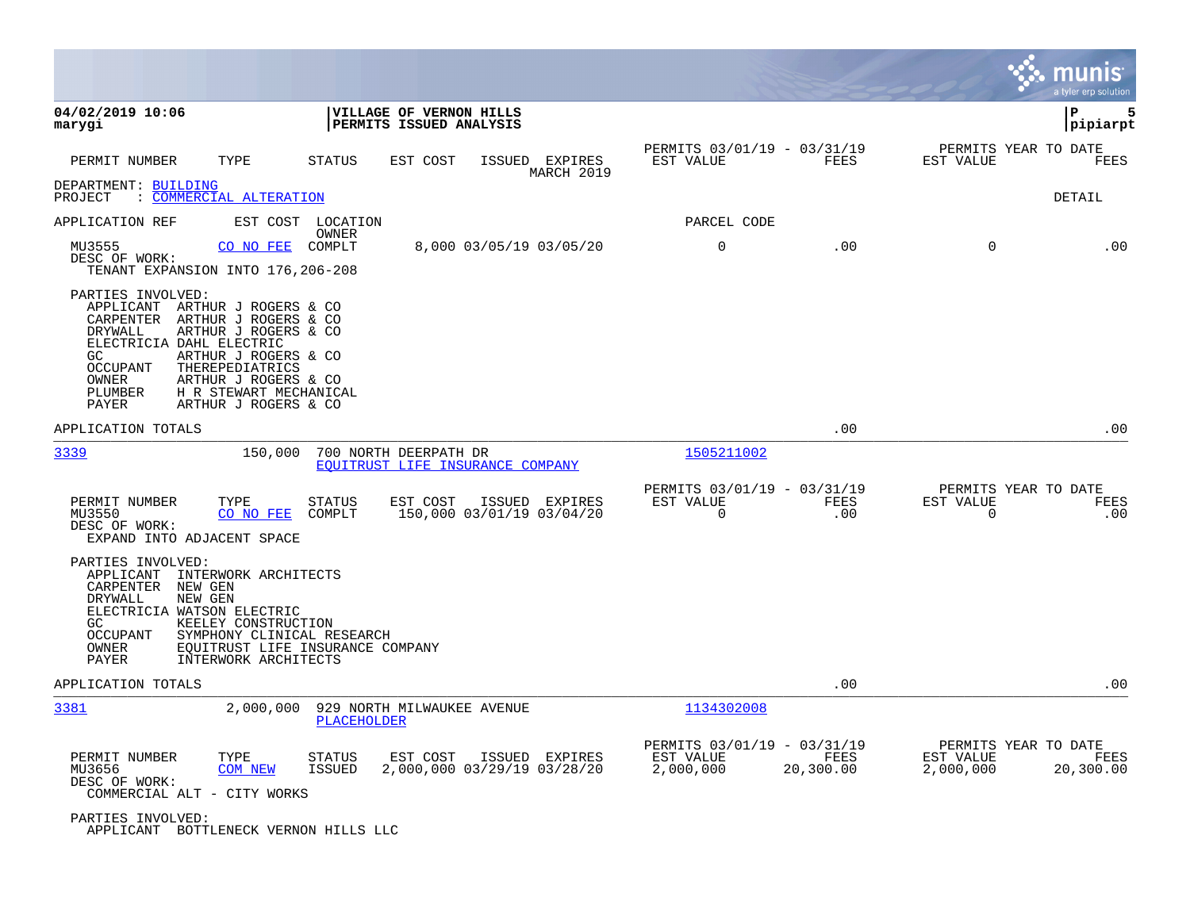|                                                                                                                                                                                                                                                                                                                             |                                                                                      |                                                       |                   |                                                | munıs<br>a tyler erp solution |
|-----------------------------------------------------------------------------------------------------------------------------------------------------------------------------------------------------------------------------------------------------------------------------------------------------------------------------|--------------------------------------------------------------------------------------|-------------------------------------------------------|-------------------|------------------------------------------------|-------------------------------|
| 04/02/2019 10:06<br>marygi                                                                                                                                                                                                                                                                                                  | VILLAGE OF VERNON HILLS<br>PERMITS ISSUED ANALYSIS                                   |                                                       |                   |                                                | l P<br>5<br> pipiarpt         |
| TYPE<br>PERMIT NUMBER                                                                                                                                                                                                                                                                                                       | <b>STATUS</b><br>EST COST<br>ISSUED EXPIRES<br>MARCH 2019                            | PERMITS 03/01/19 - 03/31/19<br>EST VALUE              | FEES              | PERMITS YEAR TO DATE<br>EST VALUE              | <b>FEES</b>                   |
| DEPARTMENT: BUILDING<br>: COMMERCIAL ALTERATION<br>PROJECT                                                                                                                                                                                                                                                                  |                                                                                      |                                                       |                   |                                                | DETAIL                        |
| APPLICATION REF                                                                                                                                                                                                                                                                                                             | EST COST LOCATION<br>OWNER                                                           | PARCEL CODE                                           |                   |                                                |                               |
| CO NO FEE<br>MU3555<br>DESC OF WORK:<br>TENANT EXPANSION INTO 176, 206-208                                                                                                                                                                                                                                                  | COMPLT<br>8,000 03/05/19 03/05/20                                                    | $\mathbf 0$                                           | .00               | $\Omega$                                       | .00                           |
| PARTIES INVOLVED:<br>APPLICANT ARTHUR J ROGERS & CO<br>CARPENTER<br>ARTHUR J ROGERS & CO<br>DRYWALL<br>ARTHUR J ROGERS & CO<br>ELECTRICIA DAHL ELECTRIC<br>GC<br>ARTHUR J ROGERS & CO<br>THEREPEDIATRICS<br>OCCUPANT<br>OWNER<br>ARTHUR J ROGERS & CO<br>H R STEWART MECHANICAL<br>PLUMBER<br>PAYER<br>ARTHUR J ROGERS & CO |                                                                                      |                                                       |                   |                                                |                               |
| APPLICATION TOTALS                                                                                                                                                                                                                                                                                                          |                                                                                      |                                                       | .00               |                                                | .00                           |
| 3339<br>150,000                                                                                                                                                                                                                                                                                                             | 700 NORTH DEERPATH DR<br>EQUITRUST LIFE INSURANCE COMPANY                            | 1505211002                                            |                   |                                                |                               |
| PERMIT NUMBER<br>TYPE<br>MU3550<br>CO NO FEE<br>DESC OF WORK:<br>EXPAND INTO ADJACENT SPACE                                                                                                                                                                                                                                 | <b>STATUS</b><br>EST COST<br>ISSUED EXPIRES<br>150,000 03/01/19 03/04/20<br>COMPLT   | PERMITS 03/01/19 - 03/31/19<br>EST VALUE<br>$\Omega$  | FEES<br>.00       | PERMITS YEAR TO DATE<br>EST VALUE<br>$\Omega$  | FEES<br>.00                   |
| PARTIES INVOLVED:<br>APPLICANT<br>INTERWORK ARCHITECTS<br>CARPENTER<br>NEW GEN<br><b>DRYWALL</b><br>NEW GEN<br>ELECTRICIA WATSON ELECTRIC<br>GC.<br>KEELEY CONSTRUCTION<br>OCCUPANT<br>OWNER<br>PAYER<br>INTERWORK ARCHITECTS                                                                                               | SYMPHONY CLINICAL RESEARCH<br>EQUITRUST LIFE INSURANCE COMPANY                       |                                                       |                   |                                                |                               |
| APPLICATION TOTALS                                                                                                                                                                                                                                                                                                          |                                                                                      |                                                       | .00               |                                                | .00                           |
| 3381<br>2,000,000                                                                                                                                                                                                                                                                                                           | 929 NORTH MILWAUKEE AVENUE<br>PLACEHOLDER                                            | 1134302008                                            |                   |                                                |                               |
| PERMIT NUMBER<br>TYPE<br>MU3656<br><b>COM NEW</b><br>DESC OF WORK:<br>COMMERCIAL ALT - CITY WORKS                                                                                                                                                                                                                           | STATUS<br>EST COST<br>ISSUED EXPIRES<br>2,000,000 03/29/19 03/28/20<br><b>ISSUED</b> | PERMITS 03/01/19 - 03/31/19<br>EST VALUE<br>2,000,000 | FEES<br>20,300.00 | PERMITS YEAR TO DATE<br>EST VALUE<br>2,000,000 | FEES<br>20,300.00             |
| PARTIES INVOLVED:<br>APPLICANT BOTTLENECK VERNON HILLS LLC                                                                                                                                                                                                                                                                  |                                                                                      |                                                       |                   |                                                |                               |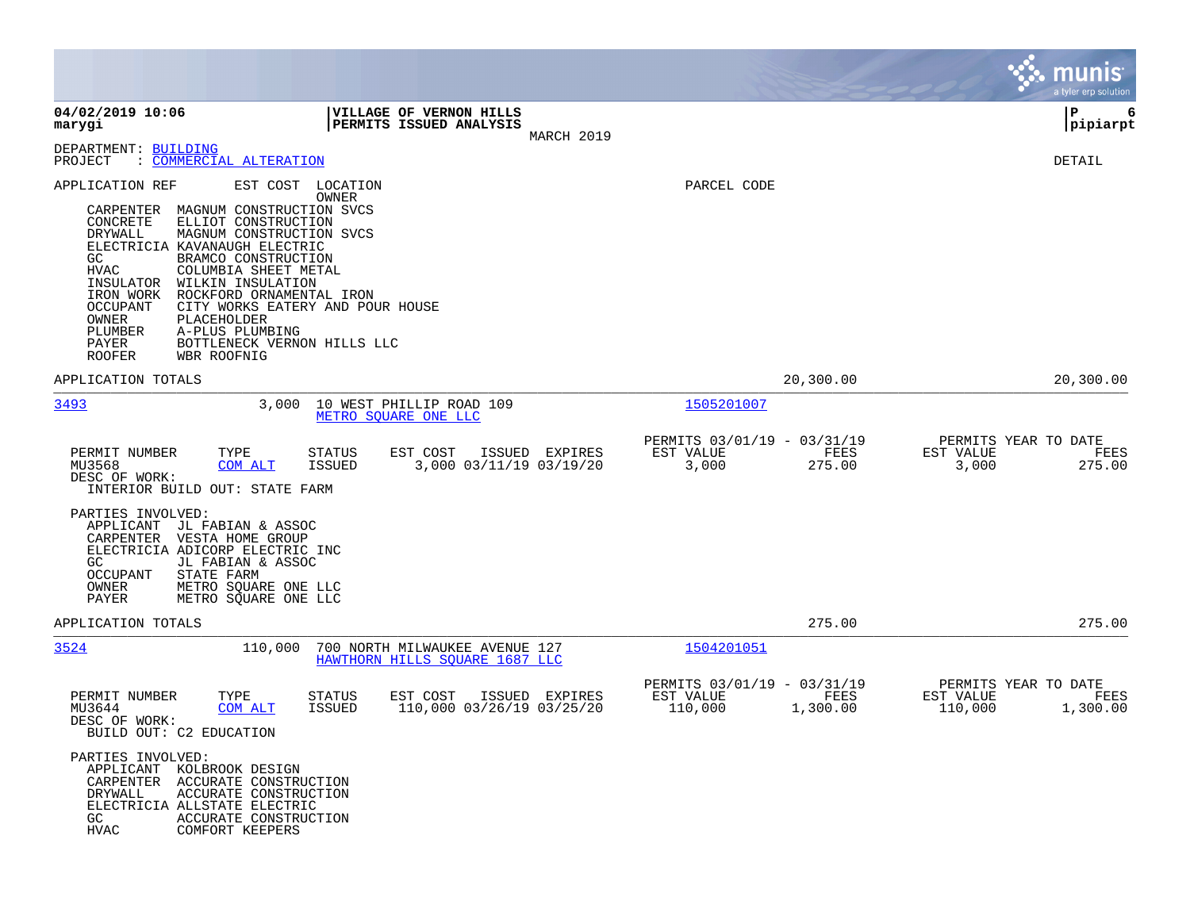|                                                                                                                                                                                                                                                                                                                                                                                                                                                                                                              |                                                                                    |                                                                         | munis<br>a tyler erp solution                                    |
|--------------------------------------------------------------------------------------------------------------------------------------------------------------------------------------------------------------------------------------------------------------------------------------------------------------------------------------------------------------------------------------------------------------------------------------------------------------------------------------------------------------|------------------------------------------------------------------------------------|-------------------------------------------------------------------------|------------------------------------------------------------------|
| 04/02/2019 10:06<br>marygi                                                                                                                                                                                                                                                                                                                                                                                                                                                                                   | VILLAGE OF VERNON HILLS<br>PERMITS ISSUED ANALYSIS<br>MARCH 2019                   |                                                                         | l P<br>6<br> pipiarpt                                            |
| DEPARTMENT: BUILDING<br>: COMMERCIAL ALTERATION<br>PROJECT                                                                                                                                                                                                                                                                                                                                                                                                                                                   |                                                                                    |                                                                         | DETAIL                                                           |
| APPLICATION REF<br>EST COST<br>MAGNUM CONSTRUCTION SVCS<br>CARPENTER<br>CONCRETE<br>ELLIOT CONSTRUCTION<br>DRYWALL<br>MAGNUM CONSTRUCTION SVCS<br>ELECTRICIA KAVANAUGH ELECTRIC<br>BRAMCO CONSTRUCTION<br>GC<br>COLUMBIA SHEET METAL<br><b>HVAC</b><br>INSULATOR<br>WILKIN INSULATION<br>ROCKFORD ORNAMENTAL IRON<br>IRON WORK<br>OCCUPANT<br>CITY WORKS EATERY AND POUR HOUSE<br>OWNER<br>PLACEHOLDER<br>PLUMBER<br>A-PLUS PLUMBING<br>BOTTLENECK VERNON HILLS LLC<br>PAYER<br><b>ROOFER</b><br>WBR ROOFNIG | LOCATION<br>OWNER                                                                  | PARCEL CODE                                                             |                                                                  |
| APPLICATION TOTALS                                                                                                                                                                                                                                                                                                                                                                                                                                                                                           |                                                                                    | 20,300.00                                                               | 20,300.00                                                        |
| 3493<br>3,000                                                                                                                                                                                                                                                                                                                                                                                                                                                                                                | 10 WEST PHILLIP ROAD 109<br>METRO SOUARE ONE LLC                                   | 1505201007                                                              |                                                                  |
| PERMIT NUMBER<br>TYPE<br>MU3568<br>COM ALT<br>DESC OF WORK:<br>INTERIOR BUILD OUT: STATE FARM                                                                                                                                                                                                                                                                                                                                                                                                                | STATUS<br>EST COST<br>ISSUED EXPIRES<br>3,000 03/11/19 03/19/20<br>ISSUED          | PERMITS 03/01/19 - 03/31/19<br>EST VALUE<br>FEES<br>3,000<br>275.00     | PERMITS YEAR TO DATE<br>EST VALUE<br>FEES<br>3,000<br>275.00     |
| PARTIES INVOLVED:<br>APPLICANT<br>JL FABIAN & ASSOC<br>CARPENTER<br>VESTA HOME GROUP<br>ELECTRICIA ADICORP ELECTRIC INC<br>GC<br>JL FABIAN & ASSOC<br><b>OCCUPANT</b><br>STATE FARM<br>OWNER<br>METRO SQUARE ONE LLC<br>PAYER<br>METRO SQUARE ONE LLC                                                                                                                                                                                                                                                        |                                                                                    |                                                                         |                                                                  |
| APPLICATION TOTALS                                                                                                                                                                                                                                                                                                                                                                                                                                                                                           |                                                                                    | 275.00                                                                  | 275.00                                                           |
| 3524<br>110,000                                                                                                                                                                                                                                                                                                                                                                                                                                                                                              | 700 NORTH MILWAUKEE AVENUE 127<br>HAWTHORN HILLS SQUARE 1687 LLC                   | 1504201051                                                              |                                                                  |
| TYPE<br>PERMIT NUMBER<br>MU3644<br>COM ALT<br>DESC OF WORK:<br>BUILD OUT: C2 EDUCATION                                                                                                                                                                                                                                                                                                                                                                                                                       | EST COST<br><b>STATUS</b><br>ISSUED EXPIRES<br>110,000 03/26/19 03/25/20<br>ISSUED | PERMITS 03/01/19 - 03/31/19<br>EST VALUE<br>FEES<br>110,000<br>1,300.00 | PERMITS YEAR TO DATE<br>EST VALUE<br>FEES<br>110,000<br>1,300.00 |
| PARTIES INVOLVED:<br>APPLICANT KOLBROOK DESIGN<br>CARPENTER ACCURATE CONSTRUCTION<br><b>DRYWALL</b><br>ACCURATE CONSTRUCTION<br>ELECTRICIA ALLSTATE ELECTRIC<br>GC<br>ACCURATE CONSTRUCTION<br><b>HVAC</b><br>COMFORT KEEPERS                                                                                                                                                                                                                                                                                |                                                                                    |                                                                         |                                                                  |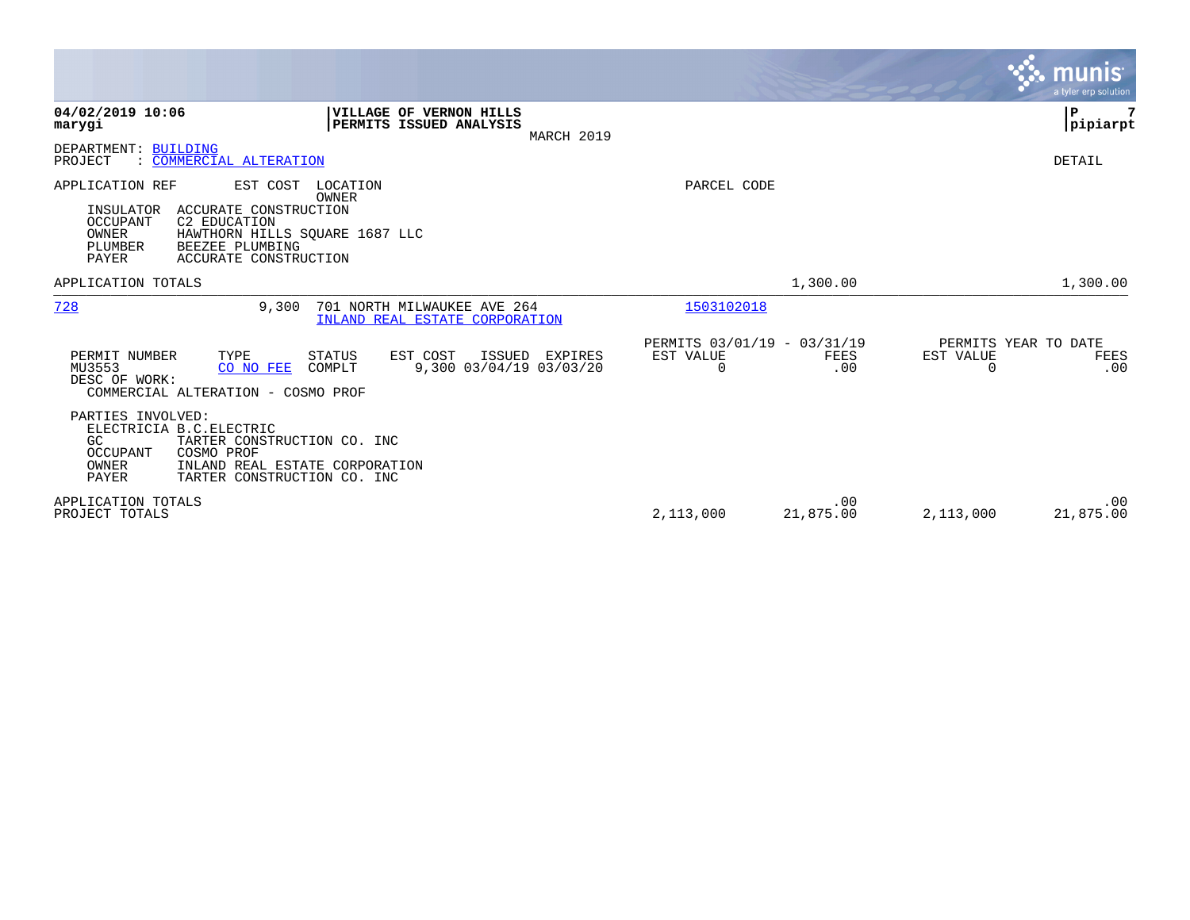|                                                                                                                                                                                                                                      |                                                         |                  | <b>munis</b><br>a tyler erp solution                  |
|--------------------------------------------------------------------------------------------------------------------------------------------------------------------------------------------------------------------------------------|---------------------------------------------------------|------------------|-------------------------------------------------------|
| 04/02/2019 10:06<br><b>VILLAGE OF VERNON HILLS</b><br>PERMITS ISSUED ANALYSIS<br>marygi<br>MARCH 2019                                                                                                                                |                                                         |                  | $\mathbf P$<br> pipiarpt                              |
| DEPARTMENT: BUILDING<br>: COMMERCIAL ALTERATION<br>PROJECT                                                                                                                                                                           |                                                         |                  | DETAIL                                                |
| APPLICATION REF<br>EST COST<br>LOCATION<br>OWNER<br>ACCURATE CONSTRUCTION<br>INSULATOR<br><b>OCCUPANT</b><br>C2 EDUCATION<br>OWNER<br>HAWTHORN HILLS SQUARE 1687 LLC<br>PLUMBER<br>BEEZEE PLUMBING<br>PAYER<br>ACCURATE CONSTRUCTION | PARCEL CODE                                             |                  |                                                       |
| APPLICATION TOTALS                                                                                                                                                                                                                   |                                                         | 1,300.00         | 1,300.00                                              |
| 728<br>9,300<br>701 NORTH MILWAUKEE AVE 264<br>INLAND REAL ESTATE CORPORATION                                                                                                                                                        | 1503102018                                              |                  |                                                       |
| TYPE<br><b>STATUS</b><br>EST COST<br>ISSUED EXPIRES<br>PERMIT NUMBER<br>9,300 03/04/19 03/03/20<br>MU3553<br>CO NO FEE<br>COMPLT<br>DESC OF WORK:<br>COMMERCIAL ALTERATION - COSMO PROF                                              | PERMITS 03/01/19 - 03/31/19<br>EST VALUE<br>$\mathbf 0$ | FEES<br>.00      | PERMITS YEAR TO DATE<br>EST VALUE<br>FEES<br>0<br>.00 |
| PARTIES INVOLVED:<br>ELECTRICIA B.C. ELECTRIC<br>GC<br>TARTER CONSTRUCTION CO. INC<br>COSMO PROF<br>OCCUPANT<br>INLAND REAL ESTATE CORPORATION<br>OWNER<br>PAYER<br>TARTER CONSTRUCTION CO. INC                                      |                                                         |                  |                                                       |
| APPLICATION TOTALS<br>PROJECT TOTALS                                                                                                                                                                                                 | 2,113,000                                               | .00<br>21,875.00 | .00<br>2,113,000<br>21,875.00                         |

**Contract**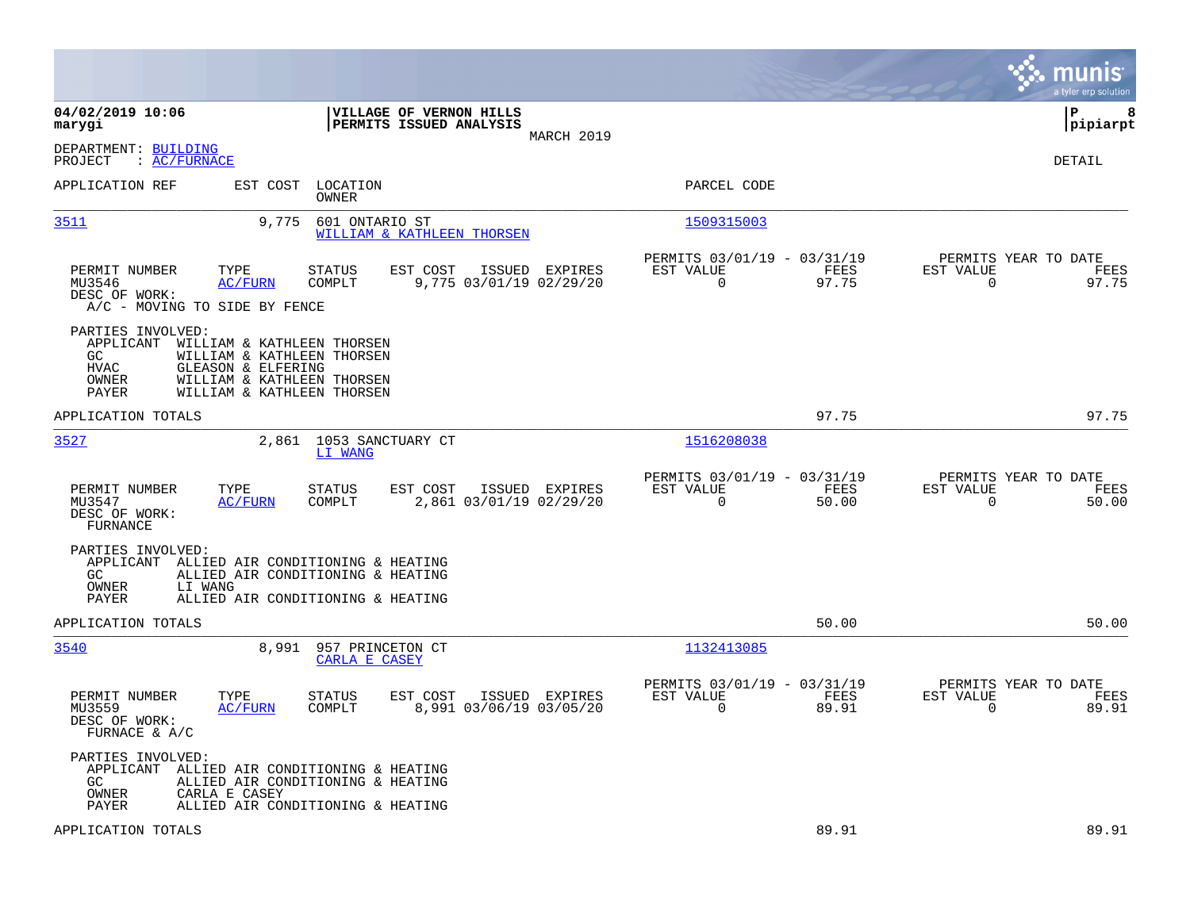|                                                                                                            |                                                                                                                      |                                                                          | munis<br>a tyler erp solution                                     |
|------------------------------------------------------------------------------------------------------------|----------------------------------------------------------------------------------------------------------------------|--------------------------------------------------------------------------|-------------------------------------------------------------------|
| 04/02/2019 10:06<br>marygi                                                                                 | VILLAGE OF VERNON HILLS<br>PERMITS ISSUED ANALYSIS<br>MARCH 2019                                                     |                                                                          | lР<br>8<br> pipiarpt                                              |
| DEPARTMENT: BUILDING<br>$\colon$ AC/FURNACE<br>PROJECT                                                     |                                                                                                                      |                                                                          | DETAIL                                                            |
| APPLICATION REF<br>EST COST                                                                                | LOCATION<br>OWNER                                                                                                    | PARCEL CODE                                                              |                                                                   |
| <u>3511</u><br>9,775                                                                                       | 601 ONTARIO ST<br>WILLIAM & KATHLEEN THORSEN                                                                         | 1509315003                                                               |                                                                   |
| PERMIT NUMBER<br>TYPE<br>MU3546<br><b>AC/FURN</b><br>DESC OF WORK:<br>A/C - MOVING TO SIDE BY FENCE        | STATUS<br>EST COST<br>ISSUED EXPIRES<br>COMPLT<br>9,775 03/01/19 02/29/20                                            | PERMITS 03/01/19 - 03/31/19<br>EST VALUE<br>FEES<br>$\mathbf 0$<br>97.75 | PERMITS YEAR TO DATE<br>EST VALUE<br>FEES<br>97.75<br>0           |
| PARTIES INVOLVED:<br>APPLICANT<br>GC<br><b>HVAC</b><br>GLEASON & ELFERING<br>OWNER<br>PAYER                | WILLIAM & KATHLEEN THORSEN<br>WILLIAM & KATHLEEN THORSEN<br>WILLIAM & KATHLEEN THORSEN<br>WILLIAM & KATHLEEN THORSEN |                                                                          |                                                                   |
| APPLICATION TOTALS                                                                                         |                                                                                                                      | 97.75                                                                    | 97.75                                                             |
| 3527                                                                                                       | 2,861 1053 SANCTUARY CT<br>LI WANG                                                                                   | 1516208038                                                               |                                                                   |
| TYPE<br>PERMIT NUMBER<br>MU3547<br><b>AC/FURN</b><br>DESC OF WORK:<br>FURNANCE                             | EST COST<br>STATUS<br>ISSUED EXPIRES<br>COMPLT<br>2,861 03/01/19 02/29/20                                            | PERMITS 03/01/19 - 03/31/19<br>EST VALUE<br>FEES<br>$\mathbf 0$<br>50.00 | PERMITS YEAR TO DATE<br>EST VALUE<br>FEES<br>$\mathbf 0$<br>50.00 |
| PARTIES INVOLVED:<br>APPLICANT<br>GC<br>OWNER<br>LI WANG<br>PAYER                                          | ALLIED AIR CONDITIONING & HEATING<br>ALLIED AIR CONDITIONING & HEATING<br>ALLIED AIR CONDITIONING & HEATING          |                                                                          |                                                                   |
| APPLICATION TOTALS                                                                                         |                                                                                                                      | 50.00                                                                    | 50.00                                                             |
| 3540                                                                                                       | 8,991<br>957 PRINCETON CT<br>CARLA E CASEY                                                                           | 1132413085                                                               |                                                                   |
| PERMIT NUMBER<br>TYPE<br>MU3559<br>AC/FURN<br>DESC OF WORK:<br>FURNACE & A/C                               | STATUS<br>EST COST<br>ISSUED EXPIRES<br>COMPLT<br>8,991 03/06/19 03/05/20                                            | PERMITS 03/01/19 - 03/31/19<br>EST VALUE<br>FEES<br>$\mathbf 0$<br>89.91 | PERMITS YEAR TO DATE<br>EST VALUE<br>FEES<br>$\mathbf 0$<br>89.91 |
| PARTIES INVOLVED:<br>APPLICANT ALLIED AIR CONDITIONING & HEATING<br>GC.<br>OWNER<br>CARLA E CASEY<br>PAYER | ALLIED AIR CONDITIONING & HEATING<br>ALLIED AIR CONDITIONING & HEATING                                               |                                                                          |                                                                   |
| APPLICATION TOTALS                                                                                         |                                                                                                                      | 89.91                                                                    | 89.91                                                             |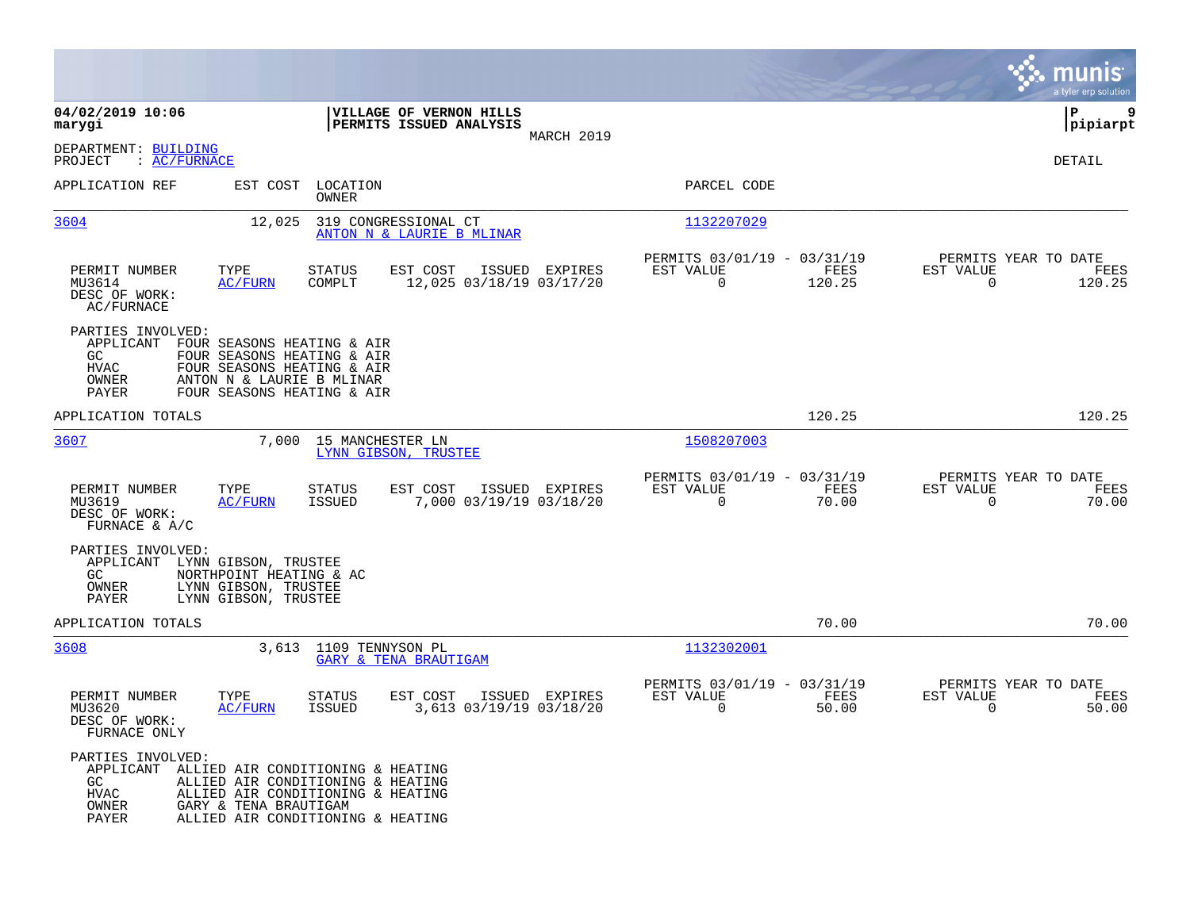|                                                                                                                |                                                                                                                                                   |                                          |                                                    |                   |                                                         |                |                                                  | munis<br>a tyler erp solution |
|----------------------------------------------------------------------------------------------------------------|---------------------------------------------------------------------------------------------------------------------------------------------------|------------------------------------------|----------------------------------------------------|-------------------|---------------------------------------------------------|----------------|--------------------------------------------------|-------------------------------|
| 04/02/2019 10:06<br>marygi                                                                                     |                                                                                                                                                   |                                          | VILLAGE OF VERNON HILLS<br>PERMITS ISSUED ANALYSIS | MARCH 2019        |                                                         |                |                                                  | P<br>9<br> pipiarpt           |
| DEPARTMENT: BUILDING<br>PROJECT<br>: AC/FWNACE                                                                 |                                                                                                                                                   |                                          |                                                    |                   |                                                         |                |                                                  | <b>DETAIL</b>                 |
| APPLICATION REF                                                                                                | EST COST                                                                                                                                          | LOCATION<br>OWNER                        |                                                    |                   | PARCEL CODE                                             |                |                                                  |                               |
| 3604                                                                                                           | 12,025                                                                                                                                            | 319 CONGRESSIONAL CT                     | ANTON N & LAURIE B MLINAR                          |                   | 1132207029                                              |                |                                                  |                               |
| PERMIT NUMBER<br>MU3614<br>DESC OF WORK:<br>AC/FURNACE                                                         | TYPE<br><b>AC/FURN</b>                                                                                                                            | <b>STATUS</b><br>COMPLT                  | EST COST<br>12,025 03/18/19 03/17/20               | ISSUED<br>EXPIRES | PERMITS 03/01/19 - 03/31/19<br>EST VALUE<br>$\mathbf 0$ | FEES<br>120.25 | PERMITS YEAR TO DATE<br>EST VALUE<br>$\mathbf 0$ | FEES<br>120.25                |
| PARTIES INVOLVED:<br>APPLICANT<br>GC.<br>HVAC<br>OWNER<br>PAYER                                                | FOUR SEASONS HEATING & AIR<br>FOUR SEASONS HEATING & AIR<br>FOUR SEASONS HEATING & AIR<br>ANTON N & LAURIE B MLINAR<br>FOUR SEASONS HEATING & AIR |                                          |                                                    |                   |                                                         |                |                                                  |                               |
| APPLICATION TOTALS                                                                                             |                                                                                                                                                   |                                          |                                                    |                   |                                                         | 120.25         |                                                  | 120.25                        |
| 3607                                                                                                           | 7,000                                                                                                                                             | 15 MANCHESTER LN<br>LYNN GIBSON, TRUSTEE |                                                    |                   | 1508207003                                              |                |                                                  |                               |
| PERMIT NUMBER<br>MU3619<br>DESC OF WORK:<br>FURNACE & $A/C$                                                    | TYPE<br><b>AC/FURN</b>                                                                                                                            | <b>STATUS</b><br><b>ISSUED</b>           | EST COST<br>7,000 03/19/19 03/18/20                | ISSUED EXPIRES    | PERMITS 03/01/19 - 03/31/19<br>EST VALUE<br>$\mathbf 0$ | FEES<br>70.00  | PERMITS YEAR TO DATE<br>EST VALUE<br>$\Omega$    | FEES<br>70.00                 |
| PARTIES INVOLVED:<br>APPLICANT LYNN GIBSON, TRUSTEE<br>GC<br>OWNER<br>PAYER                                    | NORTHPOINT HEATING & AC<br>LYNN GIBSON, TRUSTEE<br>LYNN GIBSON, TRUSTEE                                                                           |                                          |                                                    |                   |                                                         |                |                                                  |                               |
| APPLICATION TOTALS                                                                                             |                                                                                                                                                   |                                          |                                                    |                   |                                                         | 70.00          |                                                  | 70.00                         |
| 3608                                                                                                           | 3,613                                                                                                                                             | 1109 TENNYSON PL                         | <b>GARY &amp; TENA BRAUTIGAM</b>                   |                   | 1132302001                                              |                |                                                  |                               |
| PERMIT NUMBER<br>MU3620<br>DESC OF WORK:<br>FURNACE ONLY                                                       | TYPE<br><b>AC/FURN</b>                                                                                                                            | <b>STATUS</b><br><b>ISSUED</b>           | EST COST<br>3,613 03/19/19 03/18/20                | ISSUED EXPIRES    | PERMITS 03/01/19 - 03/31/19<br>EST VALUE<br>0           | FEES<br>50.00  | PERMITS YEAR TO DATE<br>EST VALUE<br>$\mathbf 0$ | FEES<br>50.00                 |
| PARTIES INVOLVED:<br>APPLICANT ALLIED AIR CONDITIONING & HEATING<br>GC<br><b>HVAC</b><br>OWNER<br><b>PAYER</b> | ALLIED AIR CONDITIONING & HEATING<br>ALLIED AIR CONDITIONING & HEATING<br>GARY & TENA BRAUTIGAM<br>ALLIED AIR CONDITIONING & HEATING              |                                          |                                                    |                   |                                                         |                |                                                  |                               |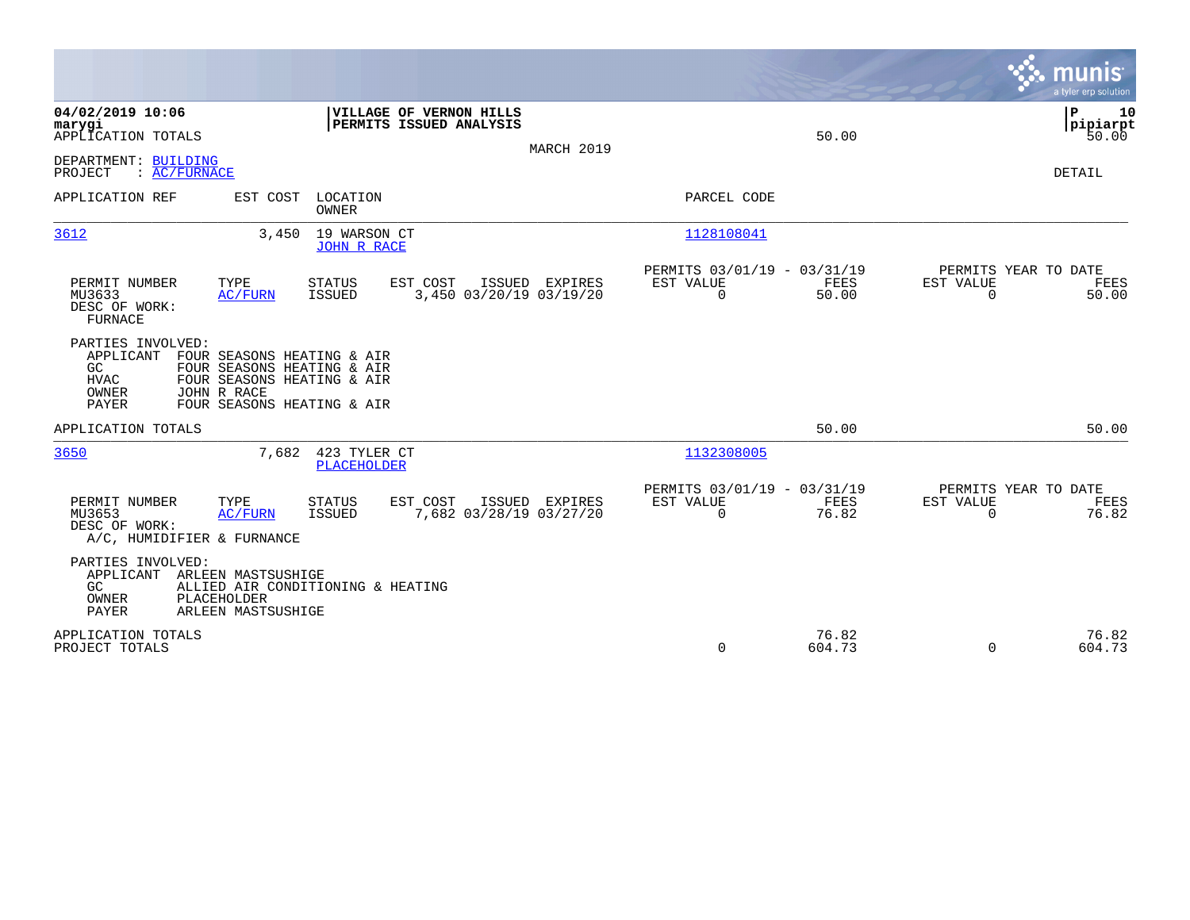|                                                                                                                                                                                                              |                                                                  |                                                                          | munis<br>a tyler erp solution                                     |
|--------------------------------------------------------------------------------------------------------------------------------------------------------------------------------------------------------------|------------------------------------------------------------------|--------------------------------------------------------------------------|-------------------------------------------------------------------|
| 04/02/2019 10:06<br>marygi<br>APPLICATION TOTALS                                                                                                                                                             | VILLAGE OF VERNON HILLS<br>PERMITS ISSUED ANALYSIS<br>MARCH 2019 | 50.00                                                                    | Þ<br>10<br> pipiarpt<br>50.00                                     |
| DEPARTMENT: BUILDING<br>: AC/FURNACE<br>PROJECT                                                                                                                                                              |                                                                  |                                                                          | DETAIL                                                            |
| APPLICATION REF<br>EST COST<br>LOCATION<br><b>OWNER</b>                                                                                                                                                      |                                                                  | PARCEL CODE                                                              |                                                                   |
| 3612<br>3,450                                                                                                                                                                                                | 19 WARSON CT<br><b>JOHN R RACE</b>                               | 1128108041                                                               |                                                                   |
| PERMIT NUMBER<br>TYPE<br><b>STATUS</b><br><b>ISSUED</b><br>MU3633<br><b>AC/FURN</b><br>DESC OF WORK:<br><b>FURNACE</b>                                                                                       | EST COST<br>ISSUED EXPIRES<br>3,450 03/20/19 03/19/20            | PERMITS 03/01/19 - 03/31/19<br>EST VALUE<br>FEES<br>$\mathbf 0$<br>50.00 | PERMITS YEAR TO DATE<br>EST VALUE<br>FEES<br>$\mathbf 0$<br>50.00 |
| PARTIES INVOLVED:<br>APPLICANT<br>FOUR SEASONS HEATING & AIR<br>GC<br>FOUR SEASONS HEATING & AIR<br><b>HVAC</b><br>FOUR SEASONS HEATING & AIR<br>OWNER<br>JOHN R RACE<br>PAYER<br>FOUR SEASONS HEATING & AIR |                                                                  |                                                                          |                                                                   |
| APPLICATION TOTALS                                                                                                                                                                                           |                                                                  | 50.00                                                                    | 50.00                                                             |
| 3650<br>7,682                                                                                                                                                                                                | 423 TYLER CT<br><b>PLACEHOLDER</b>                               | 1132308005                                                               |                                                                   |
| PERMIT NUMBER<br>TYPE<br><b>STATUS</b><br>MU3653<br><b>AC/FURN</b><br><b>ISSUED</b><br>DESC OF WORK:<br>A/C, HUMIDIFIER & FURNANCE                                                                           | EST COST<br>ISSUED EXPIRES<br>7,682 03/28/19 03/27/20            | PERMITS 03/01/19 - 03/31/19<br>FEES<br>EST VALUE<br>$\Omega$<br>76.82    | PERMITS YEAR TO DATE<br>EST VALUE<br>FEES<br>76.82<br>$\Omega$    |
| PARTIES INVOLVED:<br>APPLICANT<br>ARLEEN MASTSUSHIGE<br>GC<br>ALLIED AIR CONDITIONING & HEATING<br>OWNER<br>PLACEHOLDER<br>PAYER<br>ARLEEN MASTSUSHIGE                                                       |                                                                  |                                                                          |                                                                   |
| APPLICATION TOTALS<br>PROJECT TOTALS                                                                                                                                                                         |                                                                  | 76.82<br>604.73<br>0                                                     | 76.82<br>$\Omega$<br>604.73                                       |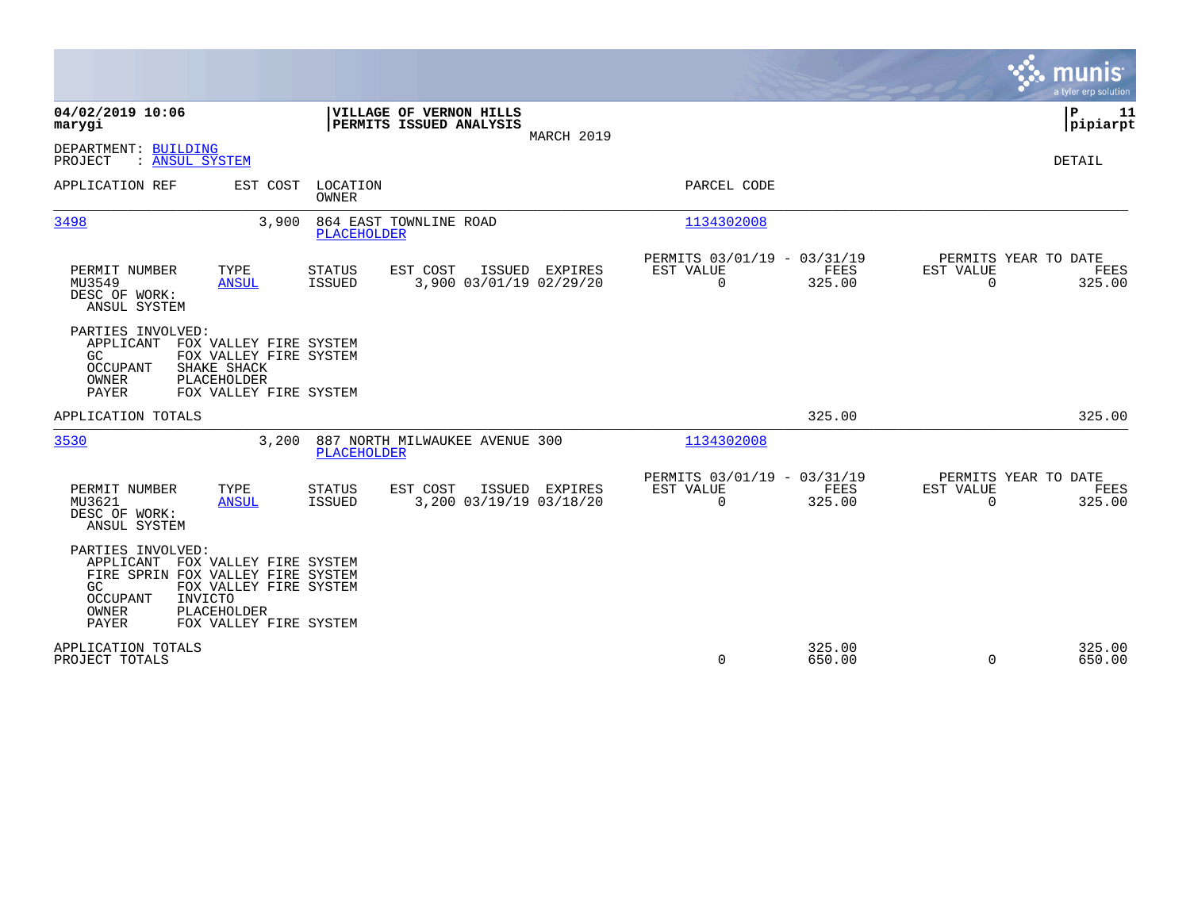|                                                                                                                                                                                                                        |                                                                       |                |                                                         |                  | munis<br>a tyler erp solution                                      |
|------------------------------------------------------------------------------------------------------------------------------------------------------------------------------------------------------------------------|-----------------------------------------------------------------------|----------------|---------------------------------------------------------|------------------|--------------------------------------------------------------------|
| 04/02/2019 10:06<br>marygi                                                                                                                                                                                             | VILLAGE OF VERNON HILLS<br>PERMITS ISSUED ANALYSIS                    |                |                                                         |                  | ΙP<br>11<br> pipiarpt                                              |
| DEPARTMENT: BUILDING<br>: ANSUL SYSTEM<br>PROJECT                                                                                                                                                                      |                                                                       | MARCH 2019     |                                                         |                  | DETAIL                                                             |
| APPLICATION REF<br>EST COST                                                                                                                                                                                            | LOCATION<br><b>OWNER</b>                                              |                | PARCEL CODE                                             |                  |                                                                    |
| 3498<br>3,900                                                                                                                                                                                                          | 864 EAST TOWNLINE ROAD<br>PLACEHOLDER                                 |                | 1134302008                                              |                  |                                                                    |
| PERMIT NUMBER<br>TYPE<br>MU3549<br><b>ANSUL</b><br>DESC OF WORK:<br>ANSUL SYSTEM                                                                                                                                       | <b>STATUS</b><br>EST COST<br>3,900 03/01/19 02/29/20<br>ISSUED        | ISSUED EXPIRES | PERMITS 03/01/19 - 03/31/19<br>EST VALUE<br>$\mathbf 0$ | FEES<br>325.00   | PERMITS YEAR TO DATE<br>EST VALUE<br>FEES<br>$\Omega$<br>325.00    |
| PARTIES INVOLVED:<br>APPLICANT<br>FOX VALLEY FIRE SYSTEM<br>FOX VALLEY FIRE SYSTEM<br>GC.<br>OCCUPANT<br>SHAKE SHACK<br>OWNER<br>PLACEHOLDER<br>PAYER<br>FOX VALLEY FIRE SYSTEM                                        |                                                                       |                |                                                         |                  |                                                                    |
| APPLICATION TOTALS                                                                                                                                                                                                     |                                                                       |                |                                                         | 325.00           | 325.00                                                             |
| 3530<br>3,200                                                                                                                                                                                                          | 887 NORTH MILWAUKEE AVENUE 300<br><b>PLACEHOLDER</b>                  |                | 1134302008                                              |                  |                                                                    |
| PERMIT NUMBER<br>TYPE<br>MU3621<br><b>ANSUL</b><br>DESC OF WORK:<br>ANSUL SYSTEM                                                                                                                                       | <b>STATUS</b><br>EST COST<br>3,200 03/19/19 03/18/20<br><b>ISSUED</b> | ISSUED EXPIRES | PERMITS 03/01/19 - 03/31/19<br>EST VALUE<br>$\mathbf 0$ | FEES<br>325.00   | PERMITS YEAR TO DATE<br>EST VALUE<br>FEES<br>325.00<br>$\mathbf 0$ |
| PARTIES INVOLVED:<br>FOX VALLEY FIRE SYSTEM<br>APPLICANT<br>FIRE SPRIN FOX VALLEY FIRE SYSTEM<br>GC<br>FOX VALLEY FIRE SYSTEM<br>OCCUPANT<br>INVICTO<br>OWNER<br><b>PLACEHOLDER</b><br>PAYER<br>FOX VALLEY FIRE SYSTEM |                                                                       |                |                                                         |                  |                                                                    |
| APPLICATION TOTALS<br>PROJECT TOTALS                                                                                                                                                                                   |                                                                       |                | 0                                                       | 325.00<br>650.00 | 325.00<br>$\mathbf 0$<br>650.00                                    |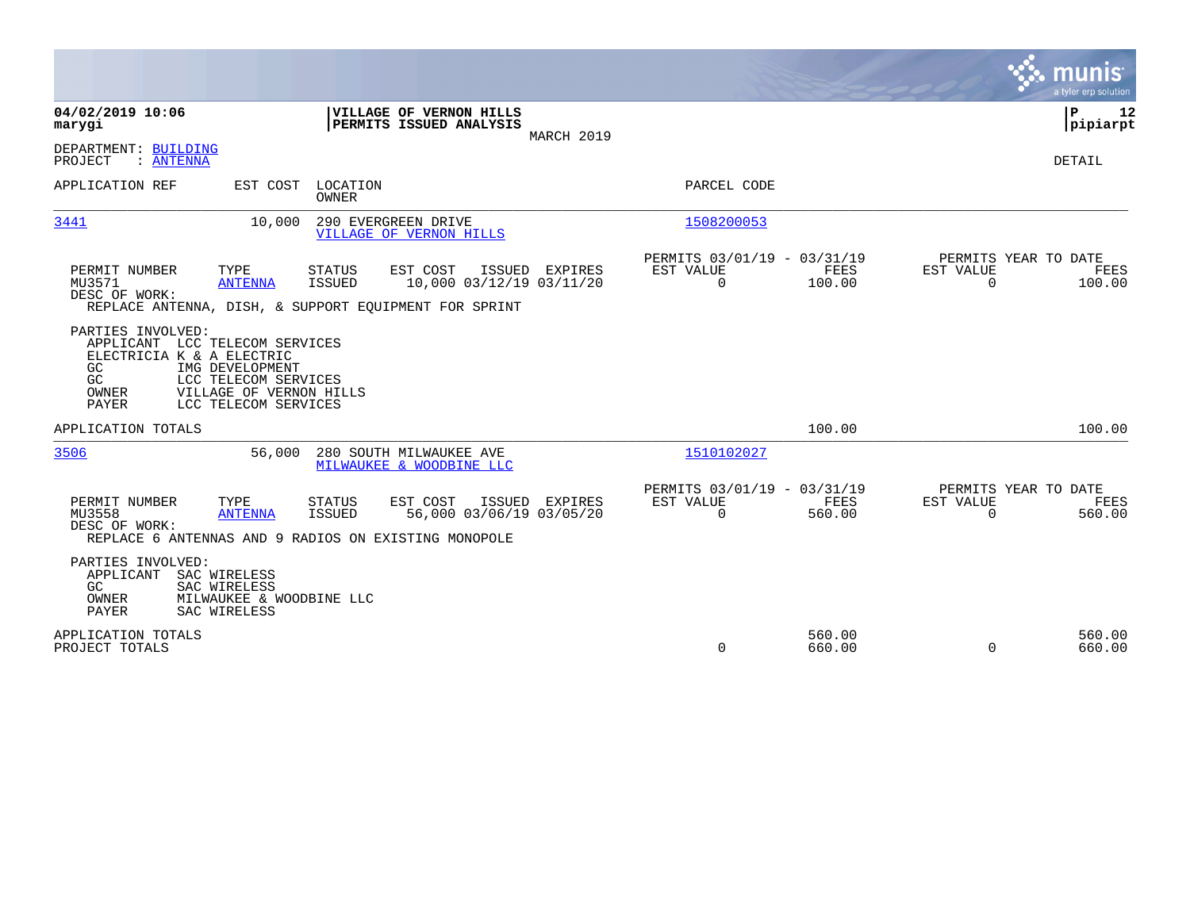|                                                                                                                                                                                                               |                                                                                                           | munis<br>a tyler erp solution                                                               |
|---------------------------------------------------------------------------------------------------------------------------------------------------------------------------------------------------------------|-----------------------------------------------------------------------------------------------------------|---------------------------------------------------------------------------------------------|
| 04/02/2019 10:06<br>VILLAGE OF VERNON HILLS<br>PERMITS ISSUED ANALYSIS<br>marygi                                                                                                                              | MARCH 2019                                                                                                | P<br>12<br> pipiarpt                                                                        |
| DEPARTMENT: BUILDING<br>PROJECT<br>: ANTENNA                                                                                                                                                                  |                                                                                                           | DETAIL                                                                                      |
| APPLICATION REF<br>EST COST<br>LOCATION<br><b>OWNER</b>                                                                                                                                                       | PARCEL CODE                                                                                               |                                                                                             |
| 3441<br>10,000<br>290 EVERGREEN DRIVE<br><b>VILLAGE OF VERNON HILLS</b>                                                                                                                                       | 1508200053                                                                                                |                                                                                             |
| EST COST<br>PERMIT NUMBER<br>TYPE<br><b>STATUS</b><br><b>ISSUED</b><br>MU3571<br><b>ANTENNA</b><br>DESC OF WORK:<br>REPLACE ANTENNA, DISH, & SUPPORT EOUIPMENT FOR SPRINT                                     | PERMITS 03/01/19 - 03/31/19<br>ISSUED EXPIRES<br>EST VALUE<br>$\mathbf 0$<br>10,000 03/12/19 03/11/20     | PERMITS YEAR TO DATE<br><b>FEES</b><br>EST VALUE<br>FEES<br>100.00<br>$\mathbf 0$<br>100.00 |
| PARTIES INVOLVED:<br>APPLICANT LCC TELECOM SERVICES<br>ELECTRICIA K & A ELECTRIC<br>GC<br>IMG DEVELOPMENT<br>GC.<br>LCC TELECOM SERVICES<br>OWNER<br>VILLAGE OF VERNON HILLS<br>PAYER<br>LCC TELECOM SERVICES |                                                                                                           |                                                                                             |
| APPLICATION TOTALS                                                                                                                                                                                            |                                                                                                           | 100.00<br>100.00                                                                            |
| 3506<br>56,000<br>280 SOUTH MILWAUKEE AVE<br>MILWAUKEE & WOODBINE LLC                                                                                                                                         | 1510102027                                                                                                |                                                                                             |
| PERMIT NUMBER<br>TYPE<br><b>STATUS</b><br>EST COST<br>MU3558<br><b>ANTENNA</b><br>ISSUED<br>DESC OF WORK:<br>REPLACE 6 ANTENNAS AND 9 RADIOS ON EXISTING MONOPOLE                                             | PERMITS 03/01/19 - 03/31/19<br><b>EST VALUE</b><br>ISSUED EXPIRES<br>56,000 03/06/19 03/05/20<br>$\Omega$ | PERMITS YEAR TO DATE<br>FEES<br>EST VALUE<br>FEES<br>560.00<br>$\Omega$<br>560.00           |
| PARTIES INVOLVED:<br>APPLICANT<br>SAC WIRELESS<br>GC.<br>SAC WIRELESS<br>OWNER<br>MILWAUKEE & WOODBINE LLC<br>PAYER<br>SAC WIRELESS                                                                           |                                                                                                           |                                                                                             |
| APPLICATION TOTALS<br>PROJECT TOTALS                                                                                                                                                                          | 0                                                                                                         | 560.00<br>560.00<br>660.00<br>$\Omega$<br>660.00                                            |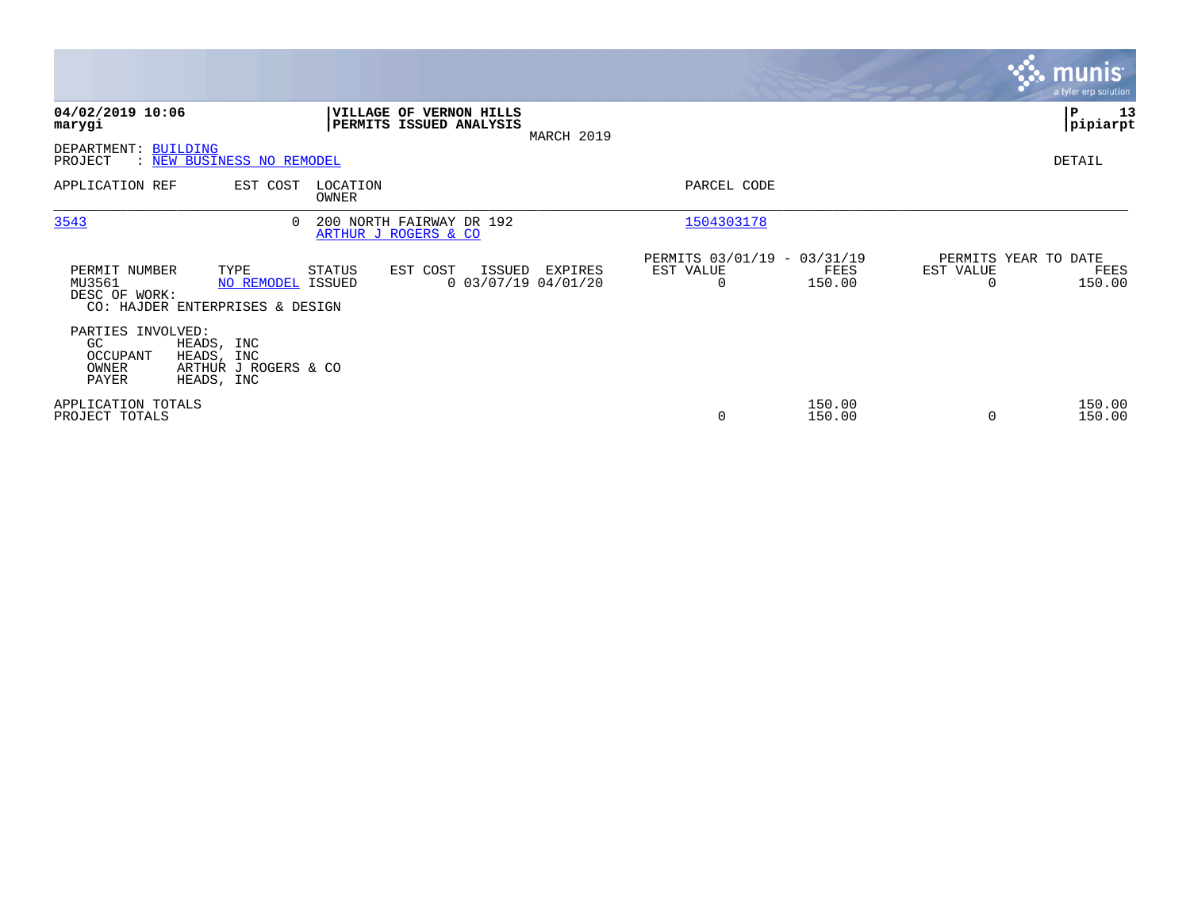|                                                        |                                                                |                   |                                                    |                                  |                                               |                  |           | <b>munis</b><br>a tyler erp solution   |
|--------------------------------------------------------|----------------------------------------------------------------|-------------------|----------------------------------------------------|----------------------------------|-----------------------------------------------|------------------|-----------|----------------------------------------|
| 04/02/2019 10:06<br>marygi                             |                                                                |                   | VILLAGE OF VERNON HILLS<br>PERMITS ISSUED ANALYSIS | MARCH 2019                       |                                               |                  |           | ∣P<br>13<br> pipiarpt                  |
| DEPARTMENT: BUILDING<br>PROJECT                        | <u>: NEW BUSINESS NO REMODEL</u>                               |                   |                                                    |                                  |                                               |                  |           | DETAIL                                 |
| APPLICATION REF                                        | EST COST                                                       | LOCATION<br>OWNER |                                                    |                                  | PARCEL CODE                                   |                  |           |                                        |
| 3543                                                   |                                                                |                   | 200 NORTH FAIRWAY DR 192<br>ARTHUR J ROGERS & CO   |                                  | 1504303178                                    |                  |           |                                        |
| PERMIT NUMBER<br>MU3561<br>DESC OF WORK:               | TYPE<br>NO REMODEL ISSUED<br>CO: HAJDER ENTERPRISES & DESIGN   | STATUS            | EST COST<br>ISSUED                                 | EXPIRES<br>$0$ 03/07/19 04/01/20 | PERMITS 03/01/19 - 03/31/19<br>EST VALUE<br>0 | FEES<br>150.00   | EST VALUE | PERMITS YEAR TO DATE<br>FEES<br>150.00 |
| PARTIES INVOLVED:<br>GC.<br>OCCUPANT<br>OWNER<br>PAYER | HEADS, INC<br>HEADS, INC<br>ARTHUR J ROGERS & CO<br>HEADS, INC |                   |                                                    |                                  |                                               |                  |           |                                        |
| APPLICATION TOTALS<br>PROJECT TOTALS                   |                                                                |                   |                                                    |                                  | $\mathbf 0$                                   | 150.00<br>150.00 |           | 150.00<br>150.00                       |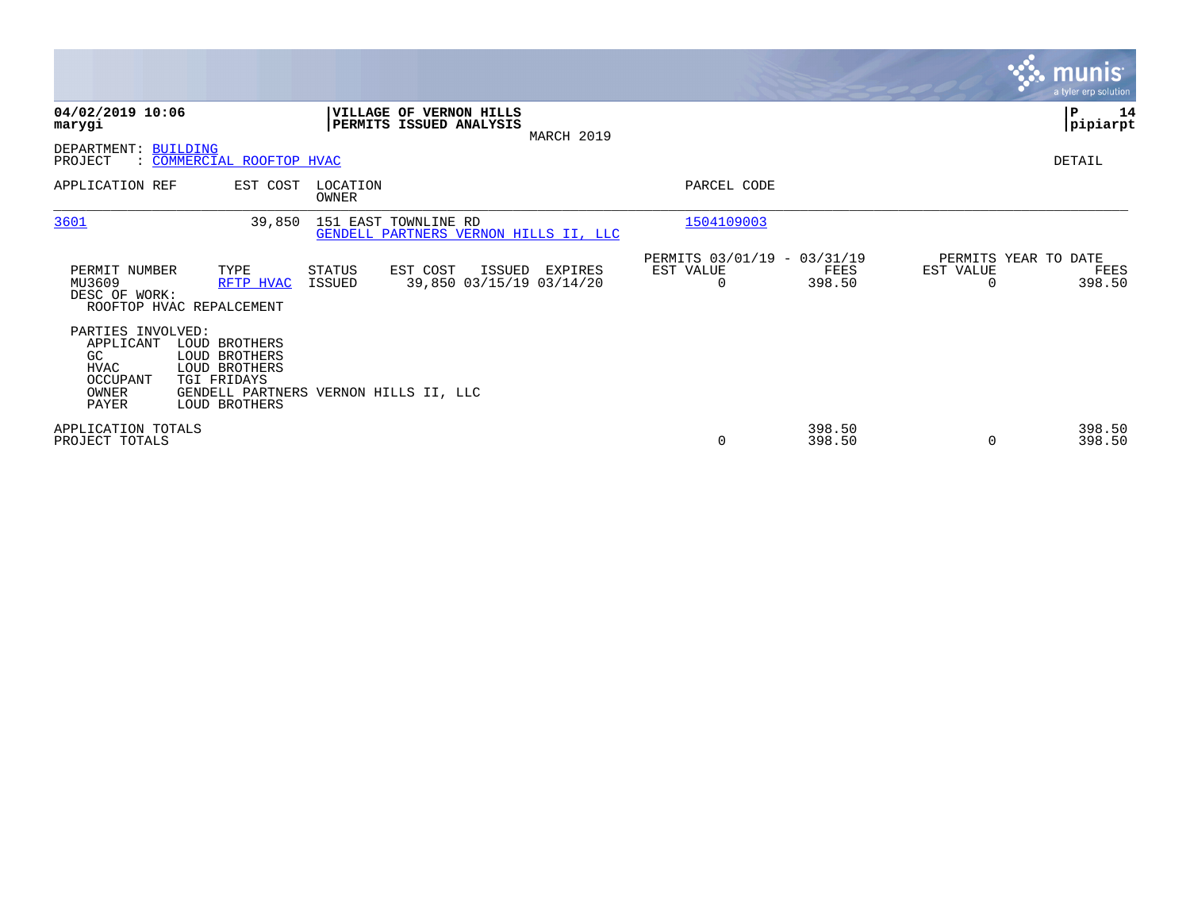|                                                                                                                                                                             |                                                                         |                                               |                                                      |                       |                                   | <b>munis</b><br>a tyler erp solution |
|-----------------------------------------------------------------------------------------------------------------------------------------------------------------------------|-------------------------------------------------------------------------|-----------------------------------------------|------------------------------------------------------|-----------------------|-----------------------------------|--------------------------------------|
| 04/02/2019 10:06<br>marygi                                                                                                                                                  | <b>VILLAGE OF VERNON HILLS</b><br>PERMITS ISSUED ANALYSIS               | MARCH 2019                                    |                                                      |                       |                                   | P<br>14<br> pipiarpt                 |
| DEPARTMENT: BUILDING<br>: COMMERCIAL ROOFTOP HVAC<br>PROJECT                                                                                                                |                                                                         |                                               |                                                      |                       |                                   | DETAIL                               |
| APPLICATION REF                                                                                                                                                             | EST COST<br>LOCATION<br>OWNER                                           |                                               | PARCEL CODE                                          |                       |                                   |                                      |
| 3601                                                                                                                                                                        | 39,850<br>151 EAST TOWNLINE RD<br>GENDELL PARTNERS VERNON HILLS II, LLC |                                               | 1504109003                                           |                       |                                   |                                      |
| PERMIT NUMBER<br>TYPE<br>MU3609<br>DESC OF WORK:<br>ROOFTOP HVAC REPALCEMENT                                                                                                | EST COST<br><b>STATUS</b><br>RFTP HVAC<br>ISSUED                        | ISSUED<br>EXPIRES<br>39,850 03/15/19 03/14/20 | PERMITS 03/01/19 - 03/31/19<br>EST VALUE<br>$\Omega$ | <b>FEES</b><br>398.50 | PERMITS YEAR TO DATE<br>EST VALUE | FEES<br>398.50                       |
| PARTIES INVOLVED:<br>LOUD BROTHERS<br>APPLICANT<br>GC<br>LOUD BROTHERS<br><b>LOUD BROTHERS</b><br>HVAC<br>OCCUPANT<br>TGI FRIDAYS<br>OWNER<br><b>PAYER</b><br>LOUD BROTHERS | GENDELL PARTNERS VERNON HILLS II, LLC                                   |                                               |                                                      |                       |                                   |                                      |
| APPLICATION TOTALS<br>PROJECT TOTALS                                                                                                                                        |                                                                         |                                               | 0                                                    | 398.50<br>398.50      | 0                                 | 398.50<br>398.50                     |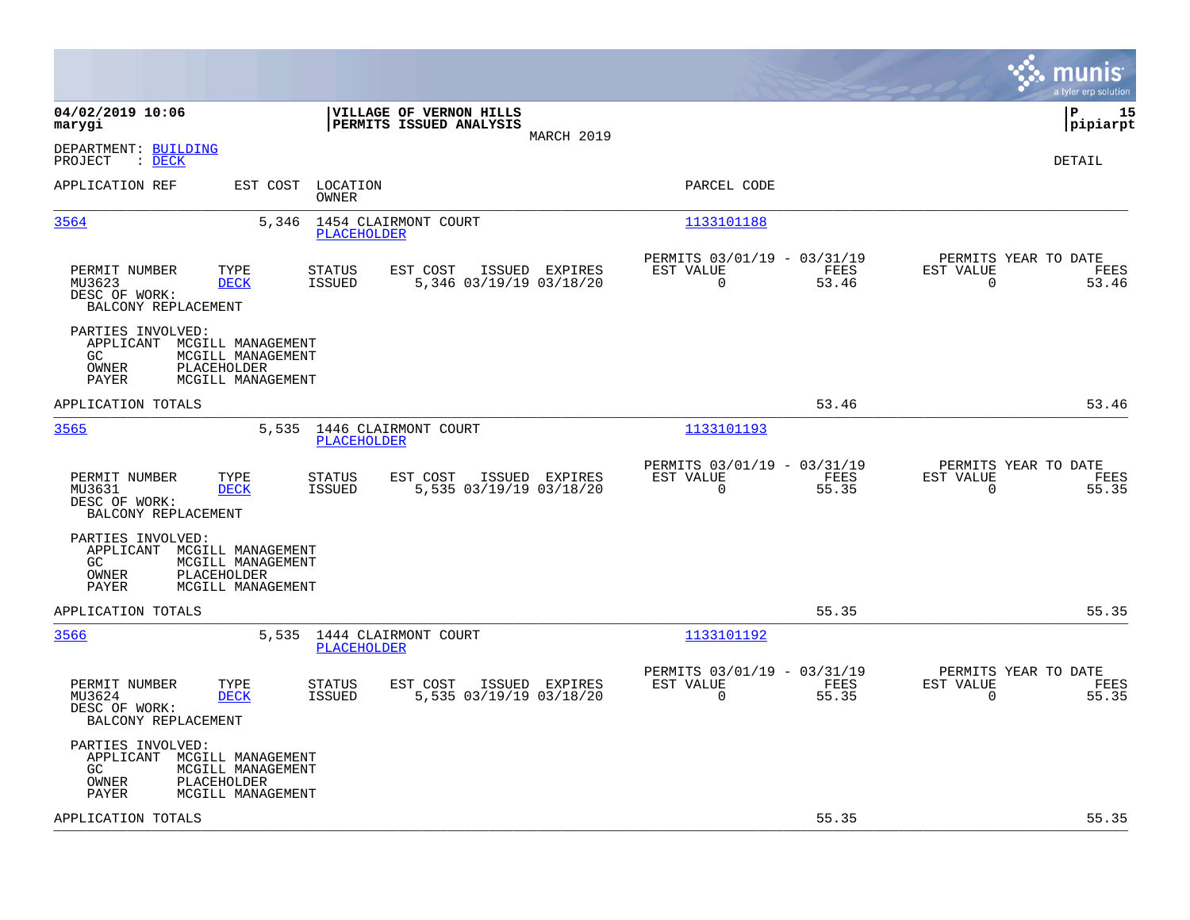|                                                                                                                                                                                   |                                                                          | munis<br>a tyler erp solution                                        |
|-----------------------------------------------------------------------------------------------------------------------------------------------------------------------------------|--------------------------------------------------------------------------|----------------------------------------------------------------------|
| 04/02/2019 10:06<br>VILLAGE OF VERNON HILLS<br>PERMITS ISSUED ANALYSIS<br>marygi<br>MARCH 2019                                                                                    |                                                                          | P<br>15<br> pipiarpt                                                 |
| DEPARTMENT: BUILDING<br>$\therefore$ DECK<br>PROJECT                                                                                                                              |                                                                          | <b>DETAIL</b>                                                        |
| APPLICATION REF<br>EST COST LOCATION<br>OWNER                                                                                                                                     | PARCEL CODE                                                              |                                                                      |
| 3564<br>5,346 1454 CLAIRMONT COURT<br><b>PLACEHOLDER</b>                                                                                                                          | 1133101188                                                               |                                                                      |
| PERMIT NUMBER<br>TYPE<br><b>STATUS</b><br>EST COST<br>ISSUED EXPIRES<br>MU3623<br><b>DECK</b><br><b>ISSUED</b><br>5,346 03/19/19 03/18/20<br>DESC OF WORK:<br>BALCONY REPLACEMENT | PERMITS 03/01/19 - 03/31/19<br>EST VALUE<br>FEES<br>$\mathbf 0$<br>53.46 | PERMITS YEAR TO DATE<br>EST VALUE<br>FEES<br>$\overline{0}$<br>53.46 |
| PARTIES INVOLVED:<br>APPLICANT MCGILL MANAGEMENT<br>GC.<br>MCGILL MANAGEMENT<br>OWNER<br>PLACEHOLDER<br>PAYER<br>MCGILL MANAGEMENT                                                |                                                                          |                                                                      |
| APPLICATION TOTALS                                                                                                                                                                | 53.46                                                                    | 53.46                                                                |
| 3565<br>5,535 1446 CLAIRMONT COURT<br><b>PLACEHOLDER</b>                                                                                                                          | 1133101193                                                               |                                                                      |
| TYPE<br>EST COST<br>PERMIT NUMBER<br><b>STATUS</b><br>ISSUED EXPIRES<br><b>DECK</b><br><b>ISSUED</b><br>5,535 03/19/19 03/18/20<br>MU3631<br>DESC OF WORK:<br>BALCONY REPLACEMENT | PERMITS 03/01/19 - 03/31/19<br>EST VALUE<br>FEES<br>$\mathbf 0$<br>55.35 | PERMITS YEAR TO DATE<br>EST VALUE<br>FEES<br>$\mathbf 0$<br>55.35    |
| PARTIES INVOLVED:<br>APPLICANT MCGILL MANAGEMENT<br>GC<br>MCGILL MANAGEMENT<br>PLACEHOLDER<br>OWNER<br>PAYER<br>MCGILL MANAGEMENT                                                 |                                                                          |                                                                      |
| APPLICATION TOTALS                                                                                                                                                                | 55.35                                                                    | 55.35                                                                |
| 3566<br>5,535 1444 CLAIRMONT COURT<br>PLACEHOLDER                                                                                                                                 | 1133101192                                                               |                                                                      |
| TYPE<br>EST COST<br>PERMIT NUMBER<br><b>STATUS</b><br>ISSUED EXPIRES<br>MU3624<br><b>DECK</b><br><b>ISSUED</b><br>5,535 03/19/19 03/18/20<br>DESC OF WORK:<br>BALCONY REPLACEMENT | PERMITS 03/01/19 - 03/31/19<br>EST VALUE<br>FEES<br>0<br>55.35           | PERMITS YEAR TO DATE<br>EST VALUE<br>FEES<br>55.35<br>0              |
| PARTIES INVOLVED:<br>APPLICANT MCGILL MANAGEMENT<br>GC<br>MCGILL MANAGEMENT<br>PLACEHOLDER<br>OWNER<br>PAYER<br>MCGILL MANAGEMENT                                                 |                                                                          |                                                                      |
| APPLICATION TOTALS                                                                                                                                                                | 55.35                                                                    | 55.35                                                                |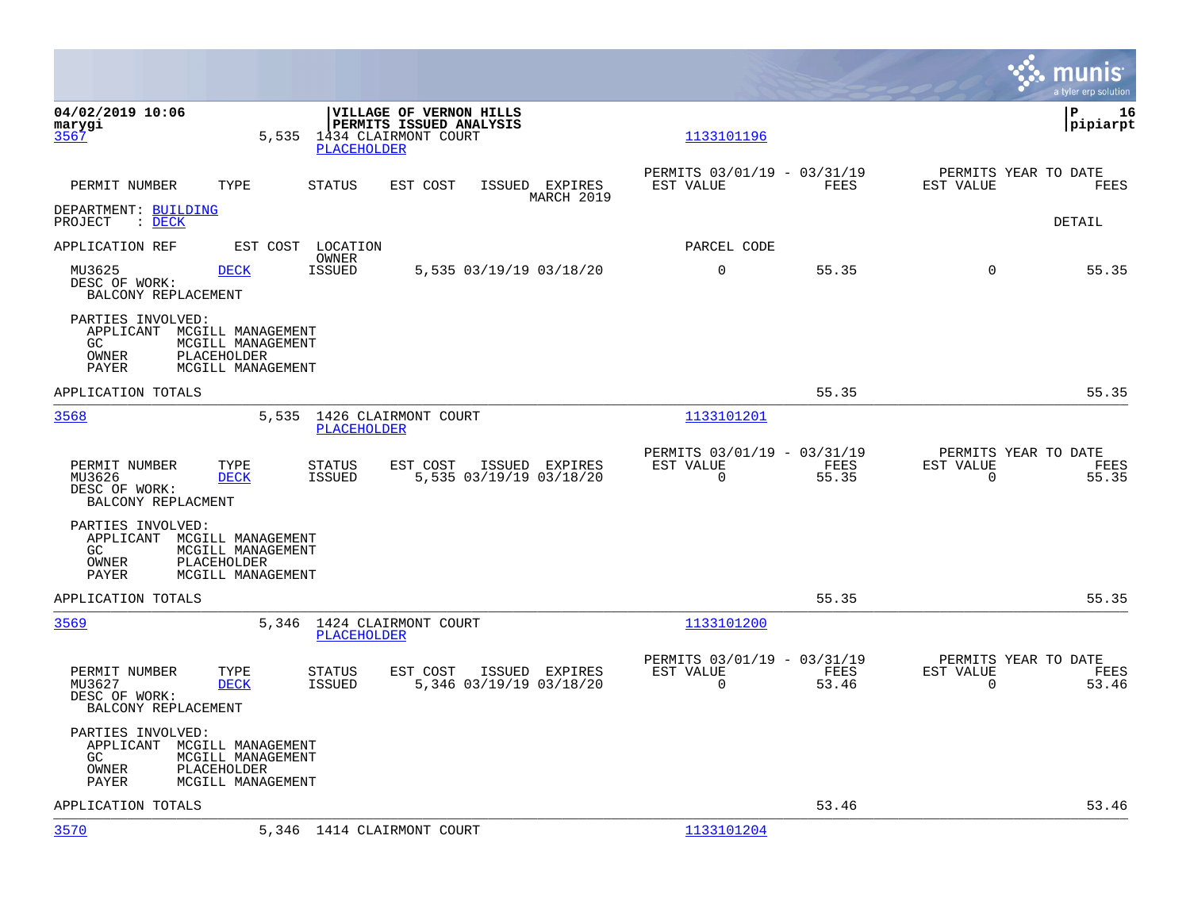|                                                                                         |                                                             |                                                                                          |                                                         |               |                                                  | munis<br>a tyler erp solution |
|-----------------------------------------------------------------------------------------|-------------------------------------------------------------|------------------------------------------------------------------------------------------|---------------------------------------------------------|---------------|--------------------------------------------------|-------------------------------|
| 04/02/2019 10:06<br>marygi<br>3567                                                      | 5,535<br>PLACEHOLDER                                        | <b>VILLAGE OF VERNON HILLS</b><br><b>PERMITS ISSUED ANALYSIS</b><br>1434 CLAIRMONT COURT | 1133101196                                              |               |                                                  | l P<br>16<br> pipiarpt        |
| PERMIT NUMBER<br>TYPE                                                                   | STATUS                                                      | EST COST<br>ISSUED EXPIRES<br>MARCH 2019                                                 | PERMITS 03/01/19 - 03/31/19<br>EST VALUE                | FEES          | PERMITS YEAR TO DATE<br>EST VALUE                | FEES                          |
| DEPARTMENT: BUILDING<br>: DECK<br>PROJECT                                               |                                                             |                                                                                          |                                                         |               |                                                  | DETAIL                        |
| APPLICATION REF                                                                         | EST COST<br>LOCATION<br>OWNER                               |                                                                                          | PARCEL CODE                                             |               |                                                  |                               |
| MU3625<br><b>DECK</b><br>DESC OF WORK:<br>BALCONY REPLACEMENT                           | <b>ISSUED</b>                                               | 5,535 03/19/19 03/18/20                                                                  | $\mathbf 0$                                             | 55.35         | $\Omega$                                         | 55.35                         |
| PARTIES INVOLVED:<br>APPLICANT MCGILL MANAGEMENT<br>GC<br>OWNER<br>PLACEHOLDER<br>PAYER | MCGILL MANAGEMENT<br>MCGILL MANAGEMENT                      |                                                                                          |                                                         |               |                                                  |                               |
| APPLICATION TOTALS                                                                      |                                                             |                                                                                          |                                                         | 55.35         |                                                  | 55.35                         |
| 3568                                                                                    | 5,535<br>PLACEHOLDER                                        | 1426 CLAIRMONT COURT                                                                     | 1133101201                                              |               |                                                  |                               |
| PERMIT NUMBER<br>TYPE<br><b>DECK</b><br>MU3626<br>DESC OF WORK:<br>BALCONY REPLACMENT   | STATUS<br>ISSUED                                            | EST COST<br>ISSUED EXPIRES<br>5,535 03/19/19 03/18/20                                    | PERMITS 03/01/19 - 03/31/19<br>EST VALUE<br>$\mathbf 0$ | FEES<br>55.35 | PERMITS YEAR TO DATE<br>EST VALUE<br>$\mathbf 0$ | FEES<br>55.35                 |
| PARTIES INVOLVED:<br>APPLICANT MCGILL MANAGEMENT<br>GC<br>PLACEHOLDER<br>OWNER<br>PAYER | MCGILL MANAGEMENT<br>MCGILL MANAGEMENT                      |                                                                                          |                                                         |               |                                                  |                               |
| APPLICATION TOTALS                                                                      |                                                             |                                                                                          |                                                         | 55.35         |                                                  | 55.35                         |
| 3569                                                                                    | 5,346<br>PLACEHOLDER                                        | 1424 CLAIRMONT COURT                                                                     | 1133101200                                              |               |                                                  |                               |
| PERMIT NUMBER<br>TYPE<br>MU3627<br><b>DECK</b><br>DESC OF WORK:<br>BALCONY REPLACEMENT  | STATUS<br><b>ISSUED</b>                                     | EST COST<br>ISSUED EXPIRES<br>5,346 03/19/19 03/18/20                                    | PERMITS 03/01/19 - 03/31/19<br>EST VALUE<br>$\mathbf 0$ | FEES<br>53.46 | PERMITS YEAR TO DATE<br>EST VALUE<br>$\mathbf 0$ | FEES<br>53.46                 |
| PARTIES INVOLVED:<br>APPLICANT<br>GC<br>OWNER<br>PLACEHOLDER<br>PAYER                   | MCGILL MANAGEMENT<br>MCGILL MANAGEMENT<br>MCGILL MANAGEMENT |                                                                                          |                                                         |               |                                                  |                               |
| APPLICATION TOTALS                                                                      |                                                             |                                                                                          |                                                         | 53.46         |                                                  | 53.46                         |
| 3570                                                                                    | 5,346 1414 CLAIRMONT COURT                                  |                                                                                          | 1133101204                                              |               |                                                  |                               |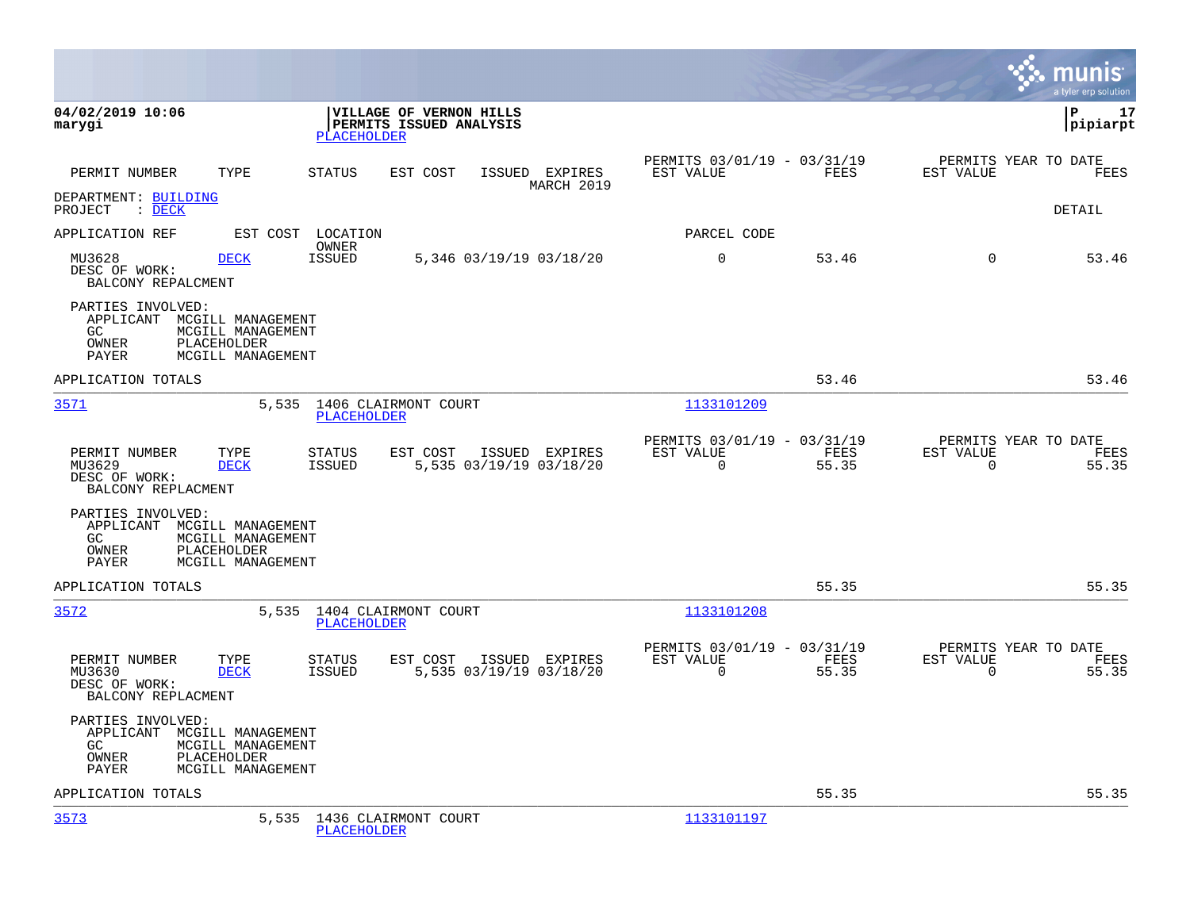|                                                                                                                                       |                                                                                         |                                                                       | munis<br>a tyler erp solution                                  |
|---------------------------------------------------------------------------------------------------------------------------------------|-----------------------------------------------------------------------------------------|-----------------------------------------------------------------------|----------------------------------------------------------------|
| 04/02/2019 10:06<br>marygi                                                                                                            | VILLAGE OF VERNON HILLS<br>PERMITS ISSUED ANALYSIS<br><b>PLACEHOLDER</b>                |                                                                       | l P<br>17<br> pipiarpt                                         |
| PERMIT NUMBER<br>TYPE                                                                                                                 | STATUS<br>EST COST<br>ISSUED EXPIRES<br>MARCH 2019                                      | PERMITS 03/01/19 - 03/31/19<br>EST VALUE<br>FEES                      | PERMITS YEAR TO DATE<br>EST VALUE<br>FEES                      |
| DEPARTMENT: BUILDING<br>PROJECT<br>$:$ DECK                                                                                           |                                                                                         |                                                                       | <b>DETAIL</b>                                                  |
| APPLICATION REF<br>EST COST                                                                                                           | LOCATION<br>OWNER                                                                       | PARCEL CODE                                                           |                                                                |
| MU3628<br><b>DECK</b><br>DESC OF WORK:<br>BALCONY REPALCMENT                                                                          | <b>ISSUED</b><br>5,346 03/19/19 03/18/20                                                | $\mathbf 0$<br>53.46                                                  | $\Omega$<br>53.46                                              |
| PARTIES INVOLVED:<br>APPLICANT MCGILL MANAGEMENT<br>GC<br>MCGILL MANAGEMENT<br>OWNER<br>PLACEHOLDER<br>MCGILL MANAGEMENT<br>PAYER     |                                                                                         |                                                                       |                                                                |
| APPLICATION TOTALS                                                                                                                    |                                                                                         | 53.46                                                                 | 53.46                                                          |
| 3571                                                                                                                                  | 5,535<br>1406 CLAIRMONT COURT<br><b>PLACEHOLDER</b>                                     | 1133101209                                                            |                                                                |
| PERMIT NUMBER<br>TYPE<br>MU3629<br><b>DECK</b><br>DESC OF WORK:<br>BALCONY REPLACMENT                                                 | STATUS<br>EST COST<br>ISSUED EXPIRES<br><b>ISSUED</b><br>5,535 03/19/19 03/18/20        | PERMITS 03/01/19 - 03/31/19<br>EST VALUE<br>FEES<br>55.35<br>$\Omega$ | PERMITS YEAR TO DATE<br>EST VALUE<br>FEES<br>$\Omega$<br>55.35 |
| PARTIES INVOLVED:<br>APPLICANT<br>MCGILL MANAGEMENT<br>MCGILL MANAGEMENT<br>GC.<br>OWNER<br>PLACEHOLDER<br>MCGILL MANAGEMENT<br>PAYER |                                                                                         |                                                                       |                                                                |
| APPLICATION TOTALS                                                                                                                    |                                                                                         | 55.35                                                                 | 55.35                                                          |
| 3572                                                                                                                                  | 5,535 1404 CLAIRMONT COURT<br><b>PLACEHOLDER</b>                                        | 1133101208                                                            |                                                                |
| PERMIT NUMBER<br>TYPE<br><b>DECK</b><br>MU3630<br>DESC OF WORK:<br>BALCONY REPLACMENT                                                 | <b>STATUS</b><br>EST COST<br>ISSUED EXPIRES<br><b>ISSUED</b><br>5,535 03/19/19 03/18/20 | PERMITS 03/01/19 - 03/31/19<br>EST VALUE<br>FEES<br>55.35<br>$\Omega$ | PERMITS YEAR TO DATE<br>EST VALUE<br>FEES<br>$\Omega$<br>55.35 |
| PARTIES INVOLVED:<br>APPLICANT MCGILL MANAGEMENT<br>MCGILL MANAGEMENT<br>GC.<br>OWNER<br>PLACEHOLDER<br>MCGILL MANAGEMENT<br>PAYER    |                                                                                         |                                                                       |                                                                |
| APPLICATION TOTALS                                                                                                                    |                                                                                         | 55.35                                                                 | 55.35                                                          |
| 3573                                                                                                                                  | 1436 CLAIRMONT COURT<br>5,535<br>PLACEHOLDER                                            | 1133101197                                                            |                                                                |

**College**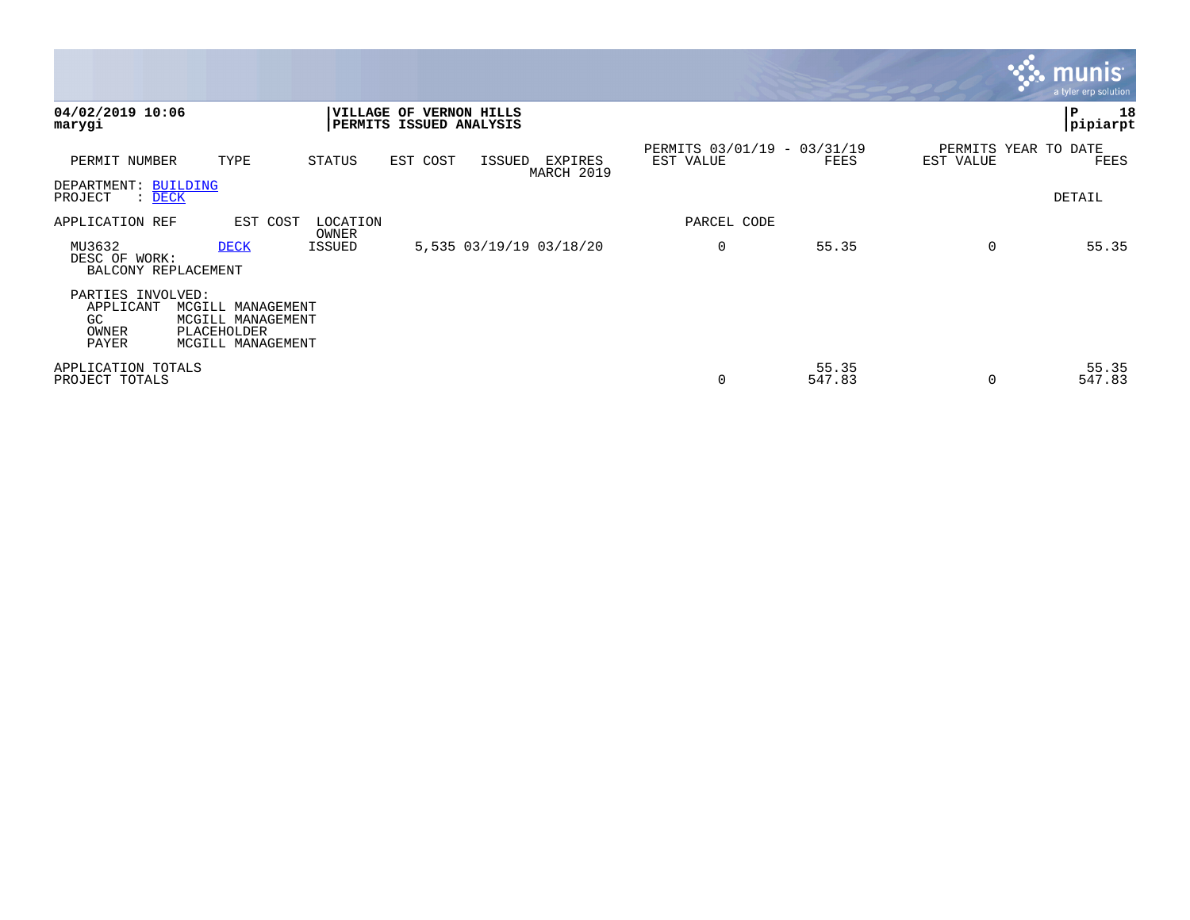|                                                        |                                                                            |                   |                                |                     |                         |                                          |                 |           | <b>munis</b><br>a tyler erp solution |
|--------------------------------------------------------|----------------------------------------------------------------------------|-------------------|--------------------------------|---------------------|-------------------------|------------------------------------------|-----------------|-----------|--------------------------------------|
| 04/02/2019 10:06<br>marygi                             |                                                                            | <b>VILLAGE OF</b> | <b>PERMITS ISSUED ANALYSIS</b> | <b>VERNON HILLS</b> |                         |                                          |                 |           | 18<br>ΙP<br> pipiarpt                |
| PERMIT NUMBER                                          | TYPE                                                                       | STATUS            | EST COST                       | ISSUED              | EXPIRES<br>MARCH 2019   | PERMITS 03/01/19 - 03/31/19<br>EST VALUE | FEES            | EST VALUE | PERMITS YEAR TO DATE<br>FEES         |
| DEPARTMENT: BUILDING<br>PROJECT<br>: <u>DECK</u>       |                                                                            |                   |                                |                     |                         |                                          |                 |           | DETAIL                               |
| APPLICATION REF                                        | EST COST                                                                   | LOCATION<br>OWNER |                                |                     |                         | PARCEL CODE                              |                 |           |                                      |
| MU3632<br>DESC OF WORK:<br>BALCONY REPLACEMENT         | <b>DECK</b>                                                                | ISSUED            |                                |                     | 5,535 03/19/19 03/18/20 | $\mathbf 0$                              | 55.35           | $\Omega$  | 55.35                                |
| PARTIES INVOLVED:<br>APPLICANT<br>GC<br>OWNER<br>PAYER | MCGILL MANAGEMENT<br>MCGILL MANAGEMENT<br>PLACEHOLDER<br>MCGILL MANAGEMENT |                   |                                |                     |                         |                                          |                 |           |                                      |
| APPLICATION TOTALS<br>PROJECT TOTALS                   |                                                                            |                   |                                |                     |                         | 0                                        | 55.35<br>547.83 | $\Omega$  | 55.35<br>547.83                      |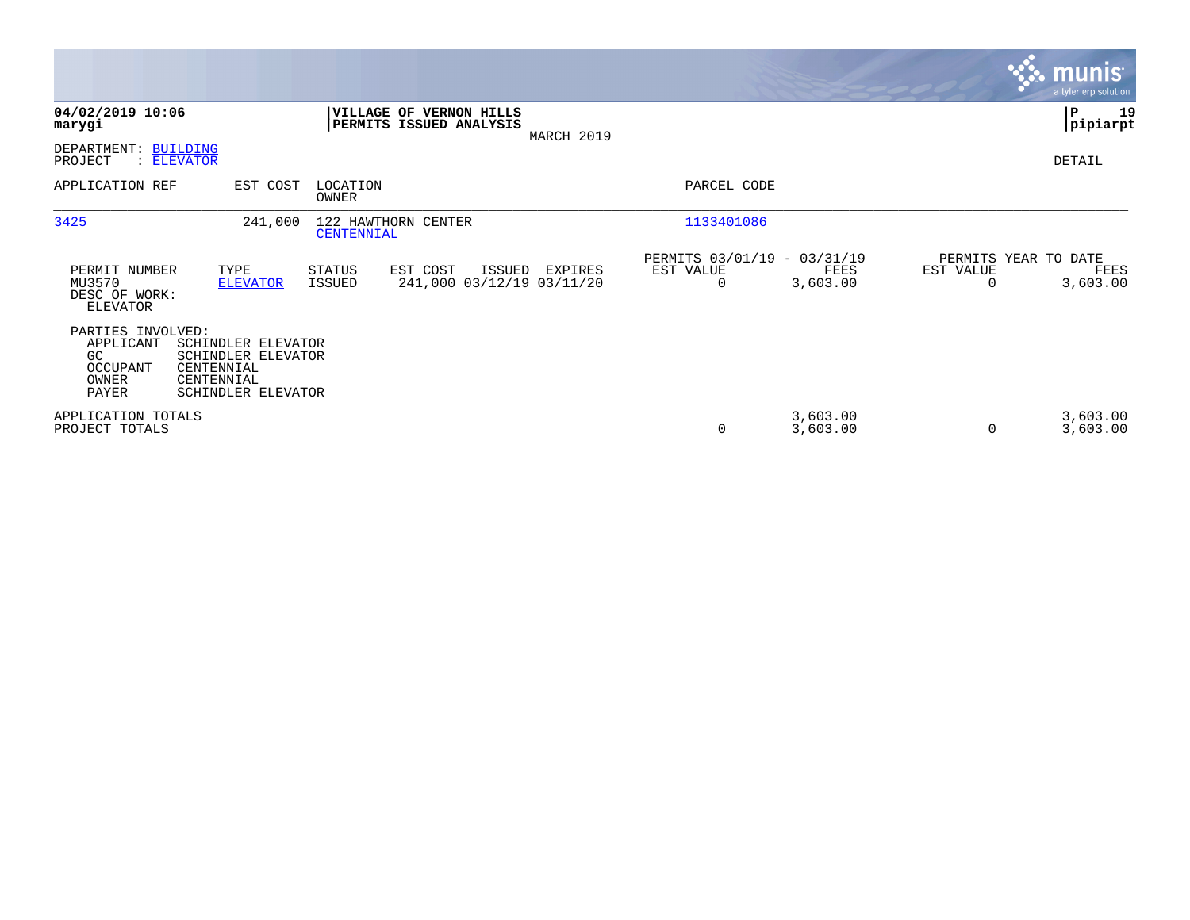|                                                                    |                                                                                            |                         |                                                           |            |                                                      |                      |                                   | munis <sup>®</sup><br>a tyler erp solution |
|--------------------------------------------------------------------|--------------------------------------------------------------------------------------------|-------------------------|-----------------------------------------------------------|------------|------------------------------------------------------|----------------------|-----------------------------------|--------------------------------------------|
| 04/02/2019 10:06<br>marygi                                         |                                                                                            |                         | <b>VILLAGE OF VERNON HILLS</b><br>PERMITS ISSUED ANALYSIS | MARCH 2019 |                                                      |                      |                                   | ∣P<br>19<br> pipiarpt                      |
| DEPARTMENT:<br>PROJECT                                             | <b>BUILDING</b><br>: ELEVATOR                                                              |                         |                                                           |            |                                                      |                      |                                   | DETAIL                                     |
| APPLICATION REF                                                    | EST COST                                                                                   | LOCATION<br>OWNER       |                                                           |            | PARCEL CODE                                          |                      |                                   |                                            |
| 3425                                                               | 241,000                                                                                    | CENTENNIAL              | 122 HAWTHORN CENTER                                       |            | 1133401086                                           |                      |                                   |                                            |
| PERMIT NUMBER<br>MU3570<br>DESC OF WORK:<br><b>ELEVATOR</b>        | TYPE<br><b>ELEVATOR</b>                                                                    | <b>STATUS</b><br>ISSUED | EST COST<br>ISSUED<br>241,000 03/12/19 03/11/20           | EXPIRES    | PERMITS 03/01/19 - 03/31/19<br>EST VALUE<br>$\Omega$ | FEES<br>3,603.00     | PERMITS YEAR TO DATE<br>EST VALUE | FEES<br>3,603.00                           |
| PARTIES INVOLVED:<br>APPLICANT<br>GC<br>OCCUPANT<br>OWNER<br>PAYER | SCHINDLER ELEVATOR<br>SCHINDLER ELEVATOR<br>CENTENNIAL<br>CENTENNIAL<br>SCHINDLER ELEVATOR |                         |                                                           |            |                                                      |                      |                                   |                                            |
| APPLICATION TOTALS<br>PROJECT TOTALS                               |                                                                                            |                         |                                                           |            | 0                                                    | 3,603.00<br>3,603.00 | $\Omega$                          | 3,603.00<br>3,603.00                       |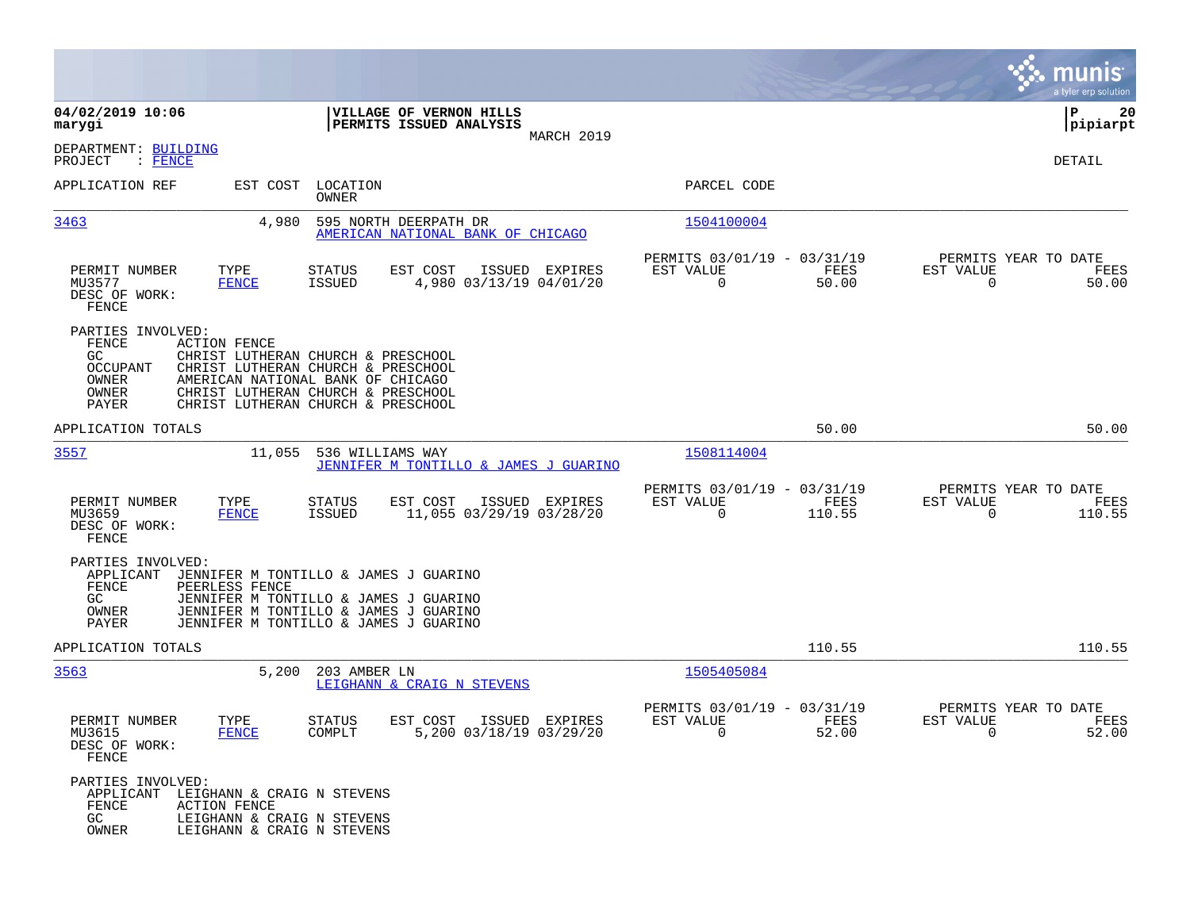|                                                                                                                                                                                                                                                                                                            |                                                                             | munis<br>a tyler erp solution                                        |
|------------------------------------------------------------------------------------------------------------------------------------------------------------------------------------------------------------------------------------------------------------------------------------------------------------|-----------------------------------------------------------------------------|----------------------------------------------------------------------|
| 04/02/2019 10:06<br>VILLAGE OF VERNON HILLS<br>PERMITS ISSUED ANALYSIS<br>marygi                                                                                                                                                                                                                           |                                                                             | 20<br>IΡ<br> pipiarpt                                                |
| MARCH 2019<br>DEPARTMENT: BUILDING<br>PROJECT<br>$\colon$ FENCE                                                                                                                                                                                                                                            |                                                                             | DETAIL                                                               |
| APPLICATION REF<br>EST COST LOCATION<br>OWNER                                                                                                                                                                                                                                                              | PARCEL CODE                                                                 |                                                                      |
| 595 NORTH DEERPATH DR<br>3463<br>4,980<br>AMERICAN NATIONAL BANK OF CHICAGO                                                                                                                                                                                                                                | 1504100004                                                                  |                                                                      |
| PERMIT NUMBER<br>TYPE<br>STATUS<br>EST COST<br>ISSUED EXPIRES<br>4,980 03/13/19 04/01/20<br>MU3577<br><b>FENCE</b><br>ISSUED<br>DESC OF WORK:<br>FENCE                                                                                                                                                     | PERMITS 03/01/19 - 03/31/19<br>EST VALUE<br>FEES<br>$\mathbf 0$<br>50.00    | PERMITS YEAR TO DATE<br>EST VALUE<br>FEES<br>$\mathbf 0$<br>50.00    |
| PARTIES INVOLVED:<br>FENCE<br><b>ACTION FENCE</b><br>GC.<br>CHRIST LUTHERAN CHURCH & PRESCHOOL<br><b>OCCUPANT</b><br>CHRIST LUTHERAN CHURCH & PRESCHOOL<br>OWNER<br>AMERICAN NATIONAL BANK OF CHICAGO<br>OWNER<br>CHRIST LUTHERAN CHURCH & PRESCHOOL<br><b>PAYER</b><br>CHRIST LUTHERAN CHURCH & PRESCHOOL |                                                                             |                                                                      |
| APPLICATION TOTALS                                                                                                                                                                                                                                                                                         | 50.00                                                                       | 50.00                                                                |
| 536 WILLIAMS WAY<br><u>3557</u><br>11,055<br>JENNIFER M TONTILLO & JAMES J GUARINO                                                                                                                                                                                                                         | 1508114004                                                                  |                                                                      |
| PERMIT NUMBER<br>TYPE<br>EST COST<br>ISSUED EXPIRES<br>STATUS<br>MU3659<br>11,055 03/29/19 03/28/20<br><b>FENCE</b><br>ISSUED<br>DESC OF WORK:<br>FENCE                                                                                                                                                    | PERMITS 03/01/19 - 03/31/19<br>EST VALUE<br>FEES<br>$\mathbf 0$<br>110.55   | PERMITS YEAR TO DATE<br>EST VALUE<br>FEES<br>0<br>110.55             |
| PARTIES INVOLVED:<br>APPLICANT<br>JENNIFER M TONTILLO & JAMES J GUARINO<br>FENCE<br>PEERLESS FENCE<br>GC<br>JENNIFER M TONTILLO & JAMES J GUARINO<br>OWNER<br>JENNIFER M TONTILLO & JAMES J GUARINO<br>PAYER<br>JENNIFER M TONTILLO & JAMES J GUARINO                                                      |                                                                             |                                                                      |
| APPLICATION TOTALS                                                                                                                                                                                                                                                                                         | 110.55                                                                      | 110.55                                                               |
| 3563<br>5,200<br>203 AMBER LN<br>LEIGHANN & CRAIG N STEVENS                                                                                                                                                                                                                                                | 1505405084                                                                  |                                                                      |
| PERMIT NUMBER<br>TYPE<br><b>STATUS</b><br>EST COST<br>ISSUED EXPIRES<br>5,200 03/18/19 03/29/20<br>COMPLT<br>MU3615<br><b>FENCE</b><br>DESC OF WORK:<br>FENCE                                                                                                                                              | PERMITS 03/01/19 - 03/31/19<br>EST VALUE<br>FEES<br>52.00<br>$\overline{0}$ | PERMITS YEAR TO DATE<br>EST VALUE<br>FEES<br>52.00<br>$\overline{0}$ |
| PARTIES INVOLVED:<br>APPLICANT LEIGHANN & CRAIG N STEVENS<br>FENCE<br>ACTION FENCE<br>GC<br>LEIGHANN & CRAIG N STEVENS<br>OWNER<br>LEIGHANN & CRAIG N STEVENS                                                                                                                                              |                                                                             |                                                                      |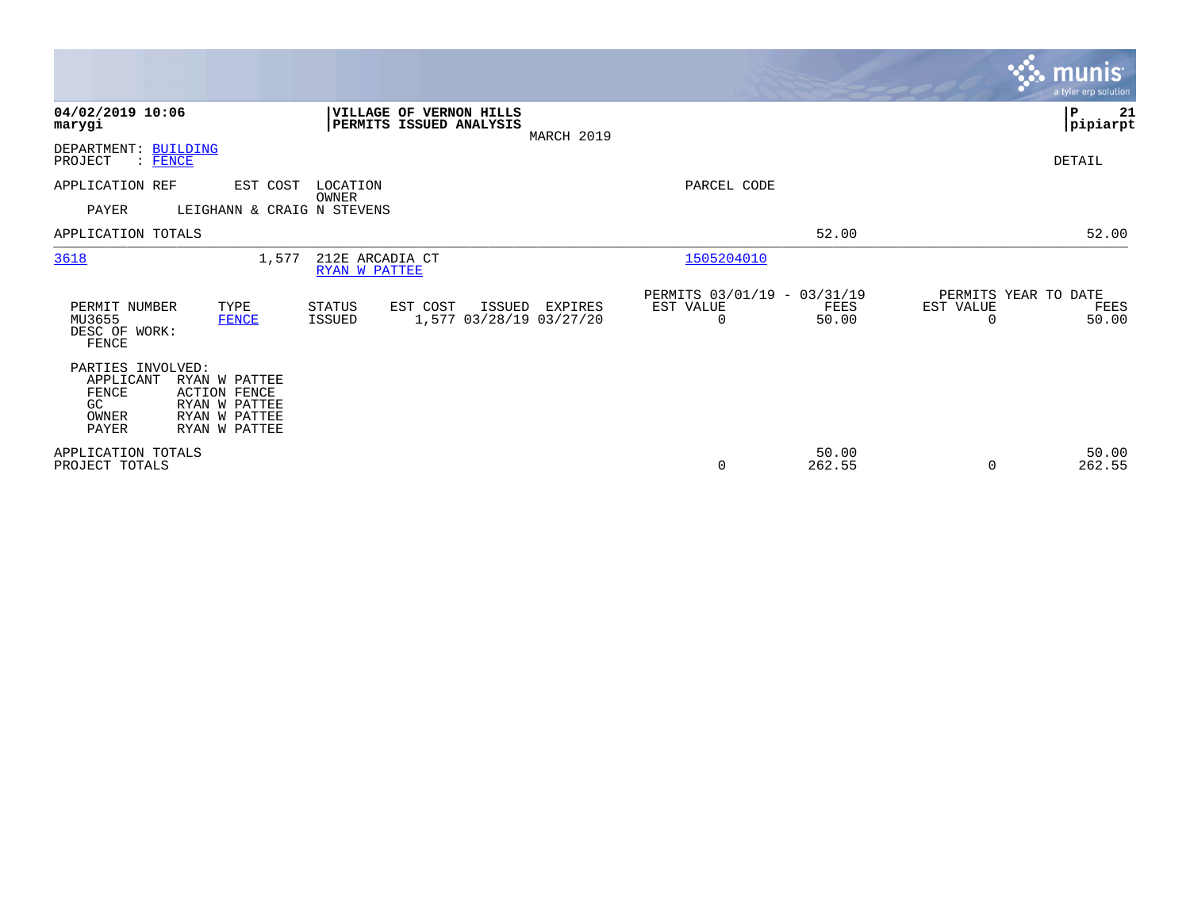|                                                                        |                                                                                         |                                  |                                                           |            |                                               |                      |                                   | munis<br>a tyler erp solution. |
|------------------------------------------------------------------------|-----------------------------------------------------------------------------------------|----------------------------------|-----------------------------------------------------------|------------|-----------------------------------------------|----------------------|-----------------------------------|--------------------------------|
| 04/02/2019 10:06<br>marygi                                             |                                                                                         |                                  | <b>VILLAGE OF VERNON HILLS</b><br>PERMITS ISSUED ANALYSIS | MARCH 2019 |                                               |                      |                                   | ∣P<br>21<br> pipiarpt          |
| DEPARTMENT:<br>PROJECT<br><b>FENCE</b><br>$\ddot{\cdot}$               | <b>BUILDING</b>                                                                         |                                  |                                                           |            |                                               |                      |                                   | DETAIL                         |
| APPLICATION REF                                                        | EST COST                                                                                | LOCATION<br><b>OWNER</b>         |                                                           |            | PARCEL CODE                                   |                      |                                   |                                |
| <b>PAYER</b>                                                           | LEIGHANN & CRAIG N STEVENS                                                              |                                  |                                                           |            |                                               |                      |                                   |                                |
| APPLICATION TOTALS                                                     |                                                                                         |                                  |                                                           |            |                                               | 52.00                |                                   | 52.00                          |
| 3618                                                                   | 1,577                                                                                   | 212E ARCADIA CT<br>RYAN W PATTEE |                                                           |            | 1505204010                                    |                      |                                   |                                |
| PERMIT NUMBER<br>MU3655<br>DESC OF WORK:<br>FENCE                      | TYPE<br>FENCE                                                                           | <b>STATUS</b><br><b>ISSUED</b>   | EST COST<br>ISSUED<br>1,577 03/28/19 03/27/20             | EXPIRES    | PERMITS 03/01/19 - 03/31/19<br>EST VALUE<br>0 | <b>FEES</b><br>50.00 | PERMITS YEAR TO DATE<br>EST VALUE | FEES<br>50.00                  |
| PARTIES INVOLVED:<br>APPLICANT<br>FENCE<br>GC<br>OWNER<br><b>PAYER</b> | RYAN W PATTEE<br><b>ACTION FENCE</b><br>RYAN W PATTEE<br>RYAN W PATTEE<br>RYAN W PATTEE |                                  |                                                           |            |                                               |                      |                                   |                                |
| APPLICATION TOTALS<br>PROJECT TOTALS                                   |                                                                                         |                                  |                                                           |            | 0                                             | 50.00<br>262.55      | $\Omega$                          | 50.00<br>262.55                |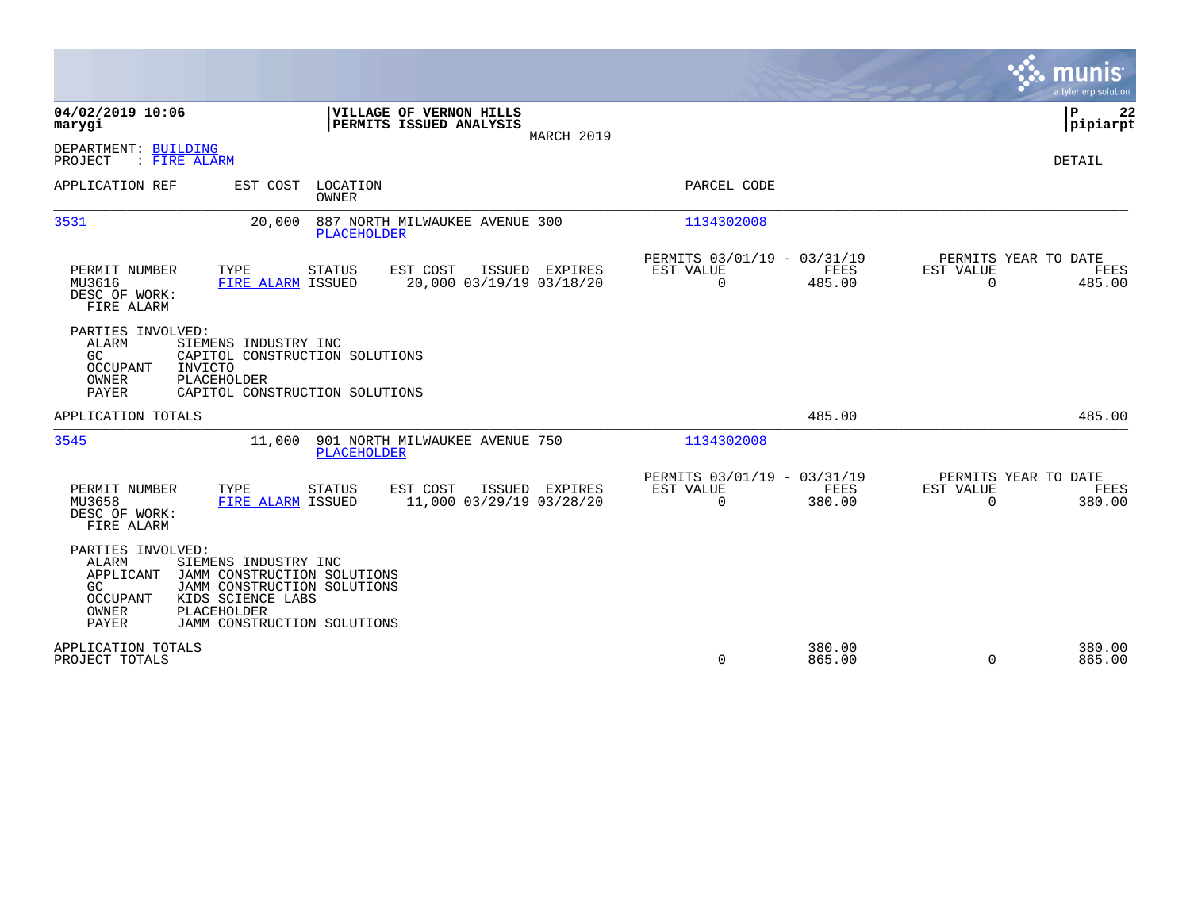|                                                                                                                                                                                                                                                    |                                            |                                                         |                  |                          | munis<br>a tyler erp solution                 |
|----------------------------------------------------------------------------------------------------------------------------------------------------------------------------------------------------------------------------------------------------|--------------------------------------------|---------------------------------------------------------|------------------|--------------------------|-----------------------------------------------|
| 04/02/2019 10:06<br>VILLAGE OF VERNON HILLS<br>PERMITS ISSUED ANALYSIS<br>marygi                                                                                                                                                                   | MARCH 2019                                 |                                                         |                  |                          | P<br>22<br> pipiarpt                          |
| DEPARTMENT: BUILDING<br>PROJECT<br>: FIRE ALARM                                                                                                                                                                                                    |                                            |                                                         |                  |                          | <b>DETAIL</b>                                 |
| APPLICATION REF<br>EST COST LOCATION<br><b>OWNER</b>                                                                                                                                                                                               |                                            | PARCEL CODE                                             |                  |                          |                                               |
| 3531<br>887 NORTH MILWAUKEE AVENUE 300<br>20,000<br><b>PLACEHOLDER</b>                                                                                                                                                                             |                                            | 1134302008                                              |                  |                          |                                               |
| EST COST<br>PERMIT NUMBER<br>TYPE<br><b>STATUS</b><br>MU3616<br>FIRE ALARM ISSUED<br>DESC OF WORK:<br>FIRE ALARM                                                                                                                                   | ISSUED EXPIRES<br>20,000 03/19/19 03/18/20 | PERMITS 03/01/19 - 03/31/19<br>EST VALUE<br>$\Omega$    | FEES<br>485.00   | EST VALUE<br>$\Omega$    | PERMITS YEAR TO DATE<br>FEES<br>485.00        |
| PARTIES INVOLVED:<br><b>ALARM</b><br>SIEMENS INDUSTRY INC<br>GC<br>CAPITOL CONSTRUCTION SOLUTIONS<br><b>OCCUPANT</b><br>INVICTO<br>OWNER<br>PLACEHOLDER<br>PAYER<br>CAPITOL CONSTRUCTION SOLUTIONS                                                 |                                            |                                                         |                  |                          |                                               |
| APPLICATION TOTALS                                                                                                                                                                                                                                 |                                            |                                                         | 485.00           |                          | 485.00                                        |
| 3545<br>901 NORTH MILWAUKEE AVENUE 750<br>11,000<br><b>PLACEHOLDER</b>                                                                                                                                                                             |                                            | 1134302008                                              |                  |                          |                                               |
| EST COST<br>PERMIT NUMBER<br>TYPE<br><b>STATUS</b><br>MU3658<br>FIRE ALARM ISSUED<br>DESC OF WORK:<br>FIRE ALARM                                                                                                                                   | ISSUED EXPIRES<br>11,000 03/29/19 03/28/20 | PERMITS 03/01/19 - 03/31/19<br>EST VALUE<br>$\mathbf 0$ | FEES<br>380.00   | EST VALUE<br>$\mathbf 0$ | PERMITS YEAR TO DATE<br><b>FEES</b><br>380.00 |
| PARTIES INVOLVED:<br><b>ALARM</b><br>SIEMENS INDUSTRY INC<br>APPLICANT<br>JAMM CONSTRUCTION SOLUTIONS<br>GC<br>JAMM CONSTRUCTION SOLUTIONS<br>OCCUPANT<br>KIDS SCIENCE LABS<br>OWNER<br>PLACEHOLDER<br><b>PAYER</b><br>JAMM CONSTRUCTION SOLUTIONS |                                            |                                                         |                  |                          |                                               |
| APPLICATION TOTALS<br>PROJECT TOTALS                                                                                                                                                                                                               |                                            | $\mathbf 0$                                             | 380.00<br>865.00 | $\Omega$                 | 380.00<br>865.00                              |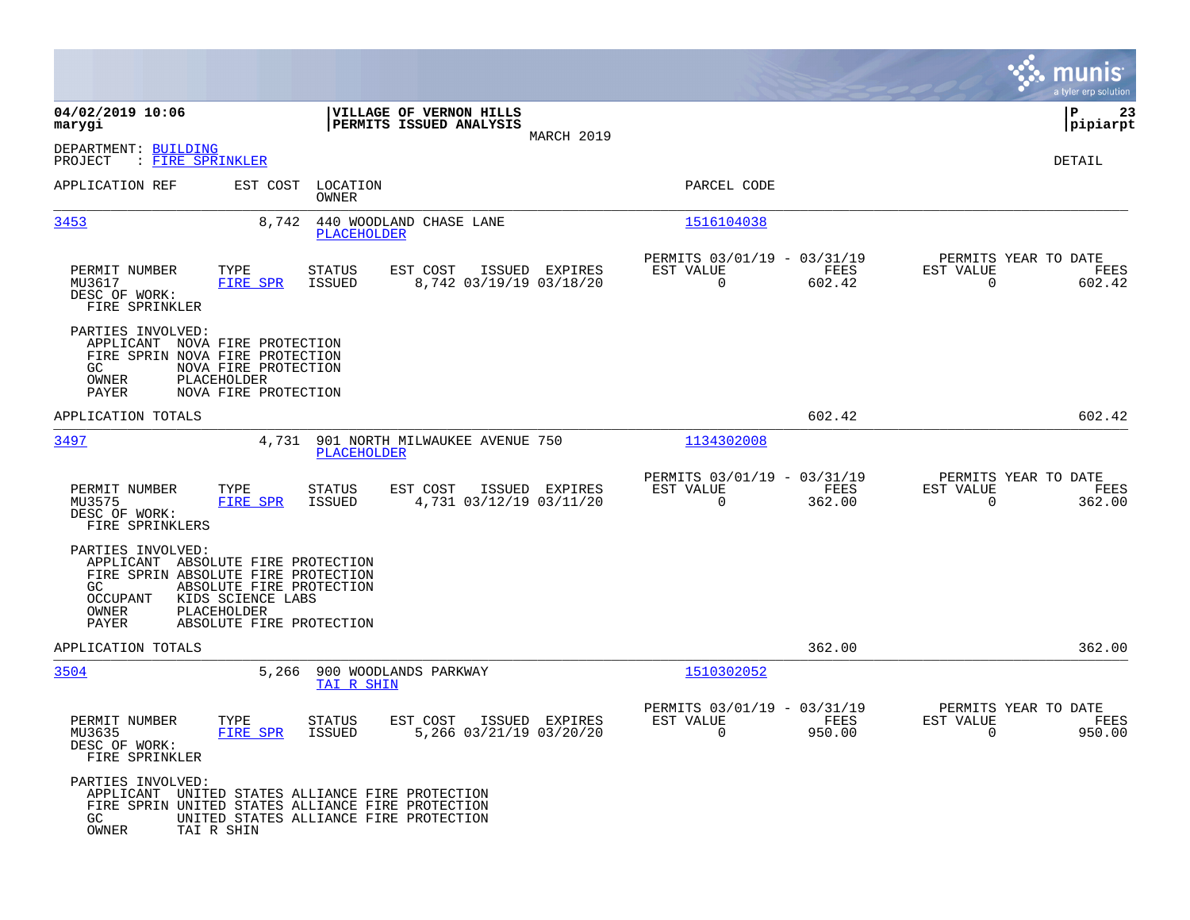|                                                                                                                                                          |                                                                                          |                         |                                                    |                |                                                      |                |                                                  | munis<br>a tyler erp solution |
|----------------------------------------------------------------------------------------------------------------------------------------------------------|------------------------------------------------------------------------------------------|-------------------------|----------------------------------------------------|----------------|------------------------------------------------------|----------------|--------------------------------------------------|-------------------------------|
| 04/02/2019 10:06<br>marygi                                                                                                                               |                                                                                          |                         | VILLAGE OF VERNON HILLS<br>PERMITS ISSUED ANALYSIS |                |                                                      |                |                                                  | ΙP<br>23<br> pipiarpt         |
| DEPARTMENT: BUILDING<br>PROJECT<br>: FIRE SPRINKLER                                                                                                      |                                                                                          |                         |                                                    | MARCH 2019     |                                                      |                |                                                  | <b>DETAIL</b>                 |
| APPLICATION REF                                                                                                                                          | EST COST LOCATION                                                                        | OWNER                   |                                                    |                | PARCEL CODE                                          |                |                                                  |                               |
| 3453                                                                                                                                                     | 8,742                                                                                    | PLACEHOLDER             | 440 WOODLAND CHASE LANE                            |                | 1516104038                                           |                |                                                  |                               |
| PERMIT NUMBER<br>MU3617<br>DESC OF WORK:<br>FIRE SPRINKLER                                                                                               | TYPE<br>FIRE SPR                                                                         | STATUS<br><b>ISSUED</b> | EST COST<br>8,742 03/19/19 03/18/20                | ISSUED EXPIRES | PERMITS 03/01/19 - 03/31/19<br>EST VALUE<br>$\Omega$ | FEES<br>602.42 | PERMITS YEAR TO DATE<br>EST VALUE<br>$\mathbf 0$ | FEES<br>602.42                |
| PARTIES INVOLVED:<br>APPLICANT NOVA FIRE PROTECTION<br>FIRE SPRIN NOVA FIRE PROTECTION<br>GC<br>OWNER<br>PAYER                                           | NOVA FIRE PROTECTION<br>PLACEHOLDER<br>NOVA FIRE PROTECTION                              |                         |                                                    |                |                                                      |                |                                                  |                               |
| APPLICATION TOTALS                                                                                                                                       |                                                                                          |                         |                                                    |                |                                                      | 602.42         |                                                  | 602.42                        |
| 3497                                                                                                                                                     | 4,731                                                                                    | PLACEHOLDER             | 901 NORTH MILWAUKEE AVENUE 750                     |                | 1134302008                                           |                |                                                  |                               |
| PERMIT NUMBER<br>MU3575<br>DESC OF WORK:<br>FIRE SPRINKLERS                                                                                              | TYPE<br>FIRE SPR                                                                         | <b>STATUS</b><br>ISSUED | EST COST<br>4,731 03/12/19 03/11/20                | ISSUED EXPIRES | PERMITS 03/01/19 - 03/31/19<br>EST VALUE<br>$\Omega$ | FEES<br>362.00 | PERMITS YEAR TO DATE<br>EST VALUE<br>$\mathbf 0$ | FEES<br>362.00                |
| PARTIES INVOLVED:<br>APPLICANT ABSOLUTE FIRE PROTECTION<br>FIRE SPRIN ABSOLUTE FIRE PROTECTION<br>GC<br>OCCUPANT<br>OWNER<br>PAYER                       | ABSOLUTE FIRE PROTECTION<br>KIDS SCIENCE LABS<br>PLACEHOLDER<br>ABSOLUTE FIRE PROTECTION |                         |                                                    |                |                                                      |                |                                                  |                               |
| APPLICATION TOTALS                                                                                                                                       |                                                                                          |                         |                                                    |                |                                                      | 362.00         |                                                  | 362.00                        |
| 3504                                                                                                                                                     | 5,266                                                                                    | TAI R SHIN              | 900 WOODLANDS PARKWAY                              |                | 1510302052                                           |                |                                                  |                               |
| PERMIT NUMBER<br>MU3635<br>DESC OF WORK:<br>FIRE SPRINKLER                                                                                               | TYPE<br>FIRE SPR                                                                         | <b>STATUS</b><br>ISSUED | EST COST<br>5,266 03/21/19 03/20/20                | ISSUED EXPIRES | PERMITS 03/01/19 - 03/31/19<br>EST VALUE<br>0        | FEES<br>950.00 | PERMITS YEAR TO DATE<br>EST VALUE<br>$\mathbf 0$ | FEES<br>950.00                |
| PARTIES INVOLVED:<br>APPLICANT UNITED STATES ALLIANCE FIRE PROTECTION<br>FIRE SPRIN UNITED STATES ALLIANCE FIRE PROTECTION<br>GC.<br>OWNER<br>TAI R SHIN |                                                                                          |                         | UNITED STATES ALLIANCE FIRE PROTECTION             |                |                                                      |                |                                                  |                               |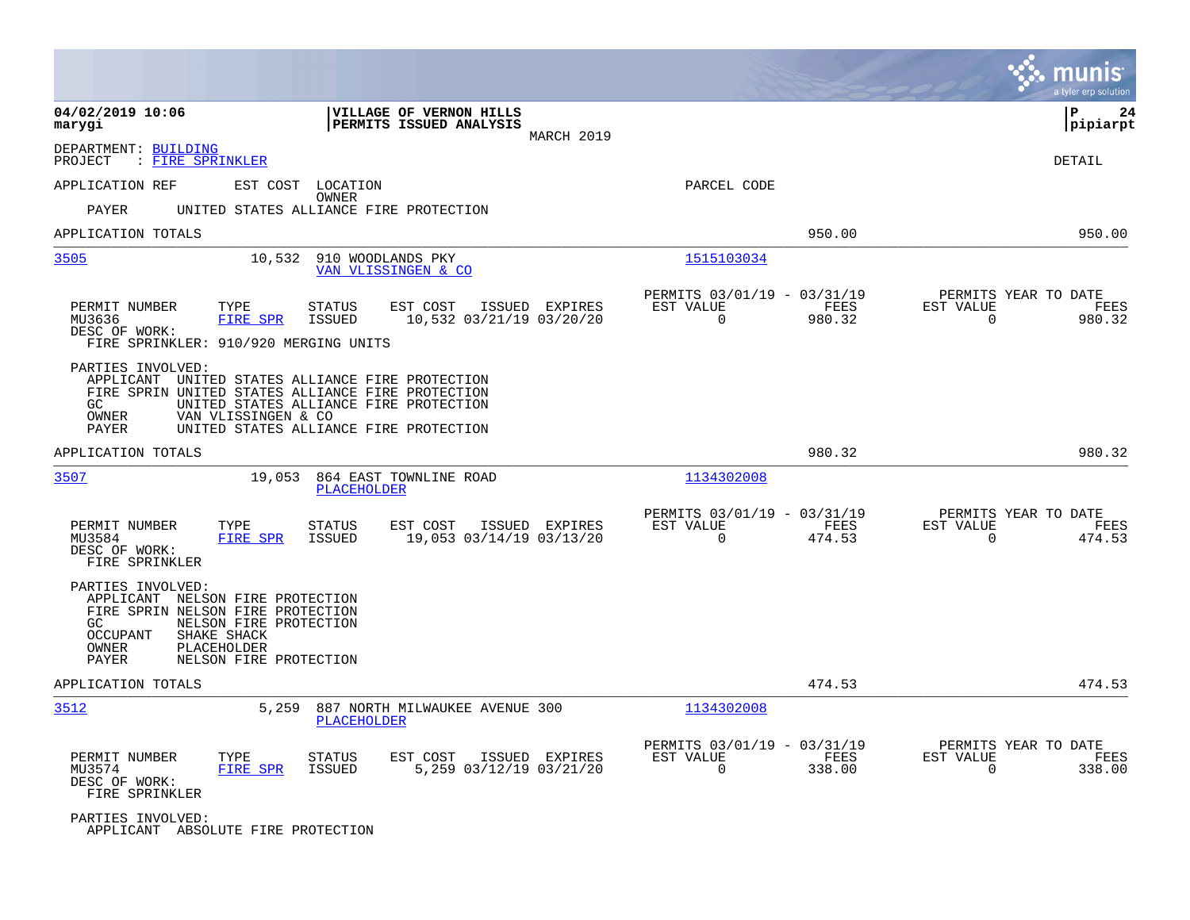|                                                                                                                                                                      |                                                                                                                                                                                           |                                                         |                | munis<br>a tyler erp solution                                   |
|----------------------------------------------------------------------------------------------------------------------------------------------------------------------|-------------------------------------------------------------------------------------------------------------------------------------------------------------------------------------------|---------------------------------------------------------|----------------|-----------------------------------------------------------------|
| 04/02/2019 10:06<br>marygi                                                                                                                                           | VILLAGE OF VERNON HILLS<br>PERMITS ISSUED ANALYSIS                                                                                                                                        | MARCH 2019                                              |                | ΙP<br>24<br> pipiarpt                                           |
| DEPARTMENT: BUILDING<br>: FIRE SPRINKLER<br>PROJECT                                                                                                                  |                                                                                                                                                                                           |                                                         |                | DETAIL                                                          |
| APPLICATION REF                                                                                                                                                      | EST COST LOCATION                                                                                                                                                                         | PARCEL CODE                                             |                |                                                                 |
| PAYER                                                                                                                                                                | OWNER<br>UNITED STATES ALLIANCE FIRE PROTECTION                                                                                                                                           |                                                         |                |                                                                 |
| APPLICATION TOTALS                                                                                                                                                   |                                                                                                                                                                                           |                                                         | 950.00         | 950.00                                                          |
| 3505                                                                                                                                                                 | 910 WOODLANDS PKY<br>10,532<br>VAN VLISSINGEN & CO                                                                                                                                        | 1515103034                                              |                |                                                                 |
| PERMIT NUMBER<br>TYPE<br>MU3636<br>FIRE SPR<br>DESC OF WORK:<br>FIRE SPRINKLER: 910/920 MERGING UNITS                                                                | <b>STATUS</b><br>EST COST<br>ISSUED EXPIRES<br><b>ISSUED</b><br>10,532 03/21/19 03/20/20                                                                                                  | PERMITS 03/01/19 - 03/31/19<br>EST VALUE<br>$\Omega$    | FEES<br>980.32 | PERMITS YEAR TO DATE<br>EST VALUE<br>FEES<br>$\Omega$<br>980.32 |
| PARTIES INVOLVED:<br>GC<br>VAN VLISSINGEN & CO<br>OWNER<br>PAYER                                                                                                     | APPLICANT UNITED STATES ALLIANCE FIRE PROTECTION<br>FIRE SPRIN UNITED STATES ALLIANCE FIRE PROTECTION<br>UNITED STATES ALLIANCE FIRE PROTECTION<br>UNITED STATES ALLIANCE FIRE PROTECTION |                                                         |                |                                                                 |
| APPLICATION TOTALS                                                                                                                                                   |                                                                                                                                                                                           |                                                         | 980.32         | 980.32                                                          |
| 3507                                                                                                                                                                 | 19,053<br>864 EAST TOWNLINE ROAD<br>PLACEHOLDER                                                                                                                                           | 1134302008                                              |                |                                                                 |
| PERMIT NUMBER<br>TYPE<br>MU3584<br><b>FIRE SPR</b><br>DESC OF WORK:<br>FIRE SPRINKLER                                                                                | <b>STATUS</b><br>EST COST<br>ISSUED EXPIRES<br><b>ISSUED</b><br>19,053 03/14/19 03/13/20                                                                                                  | PERMITS 03/01/19 - 03/31/19<br>EST VALUE<br>$\mathbf 0$ | FEES<br>474.53 | PERMITS YEAR TO DATE<br>EST VALUE<br>FEES<br>0<br>474.53        |
| PARTIES INVOLVED:<br>APPLICANT NELSON FIRE PROTECTION<br>FIRE SPRIN NELSON FIRE PROTECTION<br>GC.<br><b>OCCUPANT</b><br>SHAKE SHACK<br>OWNER<br>PLACEHOLDER<br>PAYER | NELSON FIRE PROTECTION<br>NELSON FIRE PROTECTION                                                                                                                                          |                                                         |                |                                                                 |
| APPLICATION TOTALS                                                                                                                                                   |                                                                                                                                                                                           |                                                         | 474.53         | 474.53                                                          |
| 3512                                                                                                                                                                 | 5,259<br>887 NORTH MILWAUKEE AVENUE 300<br><b>PLACEHOLDER</b>                                                                                                                             | 1134302008                                              |                |                                                                 |
| PERMIT NUMBER<br>TYPE<br>MU3574<br>FIRE SPR<br>DESC OF WORK:<br>FIRE SPRINKLER                                                                                       | <b>STATUS</b><br>EST COST<br>ISSUED EXPIRES<br><b>ISSUED</b><br>5,259 03/12/19 03/21/20                                                                                                   | PERMITS 03/01/19 - 03/31/19<br>EST VALUE<br>0           | FEES<br>338.00 | PERMITS YEAR TO DATE<br>EST VALUE<br>FEES<br>0<br>338.00        |
| PARTIES INVOLVED:<br>APPLICANT ABSOLUTE FIRE PROTECTION                                                                                                              |                                                                                                                                                                                           |                                                         |                |                                                                 |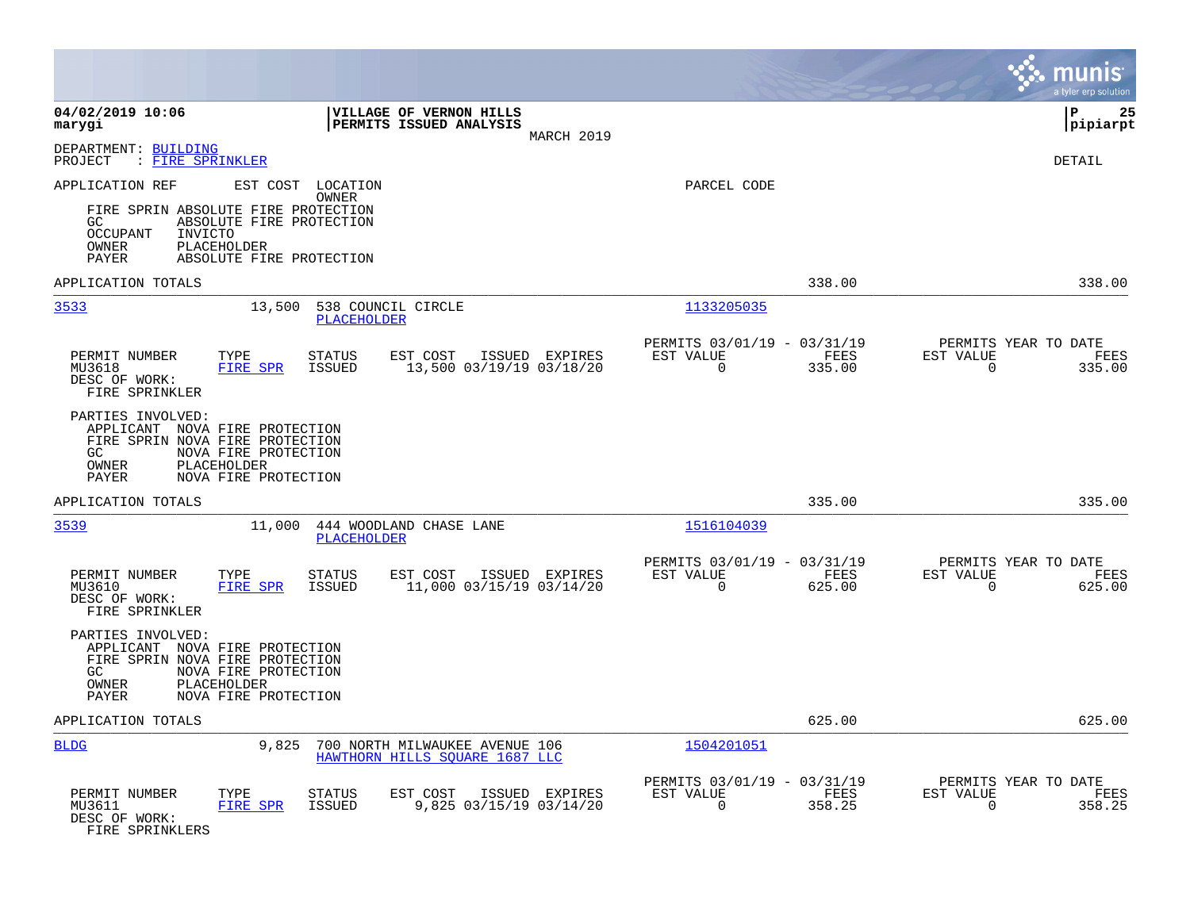|                                                                                                                               |                                                                                                                                  |                                                                  |                |                                                         |                |                                                  | munis<br>a tyler erp solution |
|-------------------------------------------------------------------------------------------------------------------------------|----------------------------------------------------------------------------------------------------------------------------------|------------------------------------------------------------------|----------------|---------------------------------------------------------|----------------|--------------------------------------------------|-------------------------------|
| 04/02/2019 10:06<br>marygi                                                                                                    |                                                                                                                                  | VILLAGE OF VERNON HILLS<br>PERMITS ISSUED ANALYSIS               | MARCH 2019     |                                                         |                |                                                  | lР<br>25<br> pipiarpt         |
| DEPARTMENT: BUILDING<br>: FIRE SPRINKLER<br>PROJECT                                                                           |                                                                                                                                  |                                                                  |                |                                                         |                |                                                  | DETAIL                        |
| APPLICATION REF<br>GC<br><b>OCCUPANT</b><br>INVICTO<br>OWNER<br>PLACEHOLDER<br>PAYER                                          | EST COST LOCATION<br><b>OWNER</b><br>FIRE SPRIN ABSOLUTE FIRE PROTECTION<br>ABSOLUTE FIRE PROTECTION<br>ABSOLUTE FIRE PROTECTION |                                                                  |                | PARCEL CODE                                             |                |                                                  |                               |
| APPLICATION TOTALS                                                                                                            |                                                                                                                                  |                                                                  |                |                                                         | 338.00         |                                                  | 338.00                        |
| 3533                                                                                                                          | 13,500<br><b>PLACEHOLDER</b>                                                                                                     | 538 COUNCIL CIRCLE                                               |                | 1133205035                                              |                |                                                  |                               |
| PERMIT NUMBER<br>MU3618<br>DESC OF WORK:<br>FIRE SPRINKLER                                                                    | TYPE<br>STATUS<br>FIRE SPR<br>ISSUED                                                                                             | EST COST<br>13,500 03/19/19 03/18/20                             | ISSUED EXPIRES | PERMITS 03/01/19 - 03/31/19<br>EST VALUE<br>$\Omega$    | FEES<br>335.00 | PERMITS YEAR TO DATE<br>EST VALUE<br>$\Omega$    | FEES<br>335.00                |
| PARTIES INVOLVED:<br>APPLICANT NOVA FIRE PROTECTION<br>FIRE SPRIN NOVA FIRE PROTECTION<br>GC<br>OWNER<br>PLACEHOLDER<br>PAYER | NOVA FIRE PROTECTION<br>NOVA FIRE PROTECTION                                                                                     |                                                                  |                |                                                         |                |                                                  |                               |
| APPLICATION TOTALS                                                                                                            |                                                                                                                                  |                                                                  |                |                                                         | 335.00         |                                                  | 335.00                        |
| 3539                                                                                                                          | 11,000<br>PLACEHOLDER                                                                                                            | 444 WOODLAND CHASE LANE                                          |                | 1516104039                                              |                |                                                  |                               |
| PERMIT NUMBER<br>MU3610<br>DESC OF WORK:<br>FIRE SPRINKLER                                                                    | TYPE<br><b>STATUS</b><br><b>FIRE SPR</b><br>ISSUED                                                                               | EST COST<br>11,000 03/15/19 03/14/20                             | ISSUED EXPIRES | PERMITS 03/01/19 - 03/31/19<br>EST VALUE<br>$\mathbf 0$ | FEES<br>625.00 | PERMITS YEAR TO DATE<br>EST VALUE<br>$\mathbf 0$ | FEES<br>625.00                |
| PARTIES INVOLVED:<br>APPLICANT NOVA FIRE PROTECTION<br>FIRE SPRIN NOVA FIRE PROTECTION<br>GC<br>OWNER<br>PLACEHOLDER<br>PAYER | NOVA FIRE PROTECTION<br>NOVA FIRE PROTECTION                                                                                     |                                                                  |                |                                                         |                |                                                  |                               |
| APPLICATION TOTALS                                                                                                            |                                                                                                                                  |                                                                  |                |                                                         | 625.00         |                                                  | 625.00                        |
| <b>BLDG</b>                                                                                                                   | 9,825                                                                                                                            | 700 NORTH MILWAUKEE AVENUE 106<br>HAWTHORN HILLS SOUARE 1687 LLC |                | 1504201051                                              |                |                                                  |                               |
| PERMIT NUMBER<br>MU3611<br>DESC OF WORK:<br>FIRE SPRINKLERS                                                                   | TYPE<br><b>STATUS</b><br>FIRE SPR<br>ISSUED                                                                                      | EST COST<br>9,825 03/15/19 03/14/20                              | ISSUED EXPIRES | PERMITS 03/01/19 - 03/31/19<br>EST VALUE<br>0           | FEES<br>358.25 | PERMITS YEAR TO DATE<br>EST VALUE<br>0           | FEES<br>358.25                |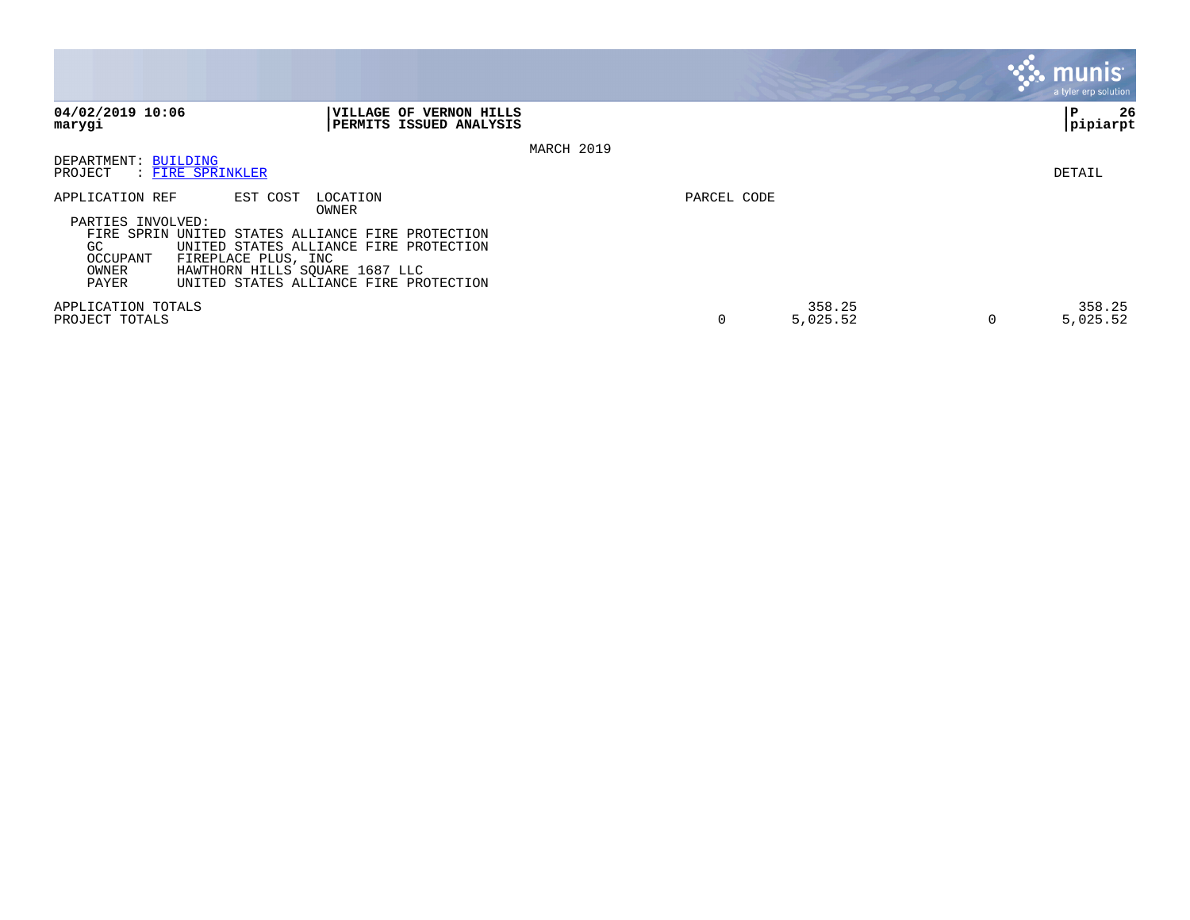|                                                     |                                                                                                                                           |             |                    |          | <b>munis</b><br>a tyler erp solution |
|-----------------------------------------------------|-------------------------------------------------------------------------------------------------------------------------------------------|-------------|--------------------|----------|--------------------------------------|
| 04/02/2019 10:06<br>marygi                          | VILLAGE OF VERNON HILLS<br>PERMITS ISSUED ANALYSIS                                                                                        |             |                    |          | 26<br>l P<br> pipiarpt               |
|                                                     | MARCH 2019                                                                                                                                |             |                    |          |                                      |
| DEPARTMENT: BUILDING<br>: FIRE SPRINKLER<br>PROJECT |                                                                                                                                           |             |                    |          | DETAIL                               |
| APPLICATION REF<br>PARTIES INVOLVED:                | EST COST<br>LOCATION<br>OWNER<br>FIRE SPRIN UNITED STATES ALLIANCE FIRE PROTECTION                                                        | PARCEL CODE |                    |          |                                      |
| GC.<br>OCCUPANT<br>OWNER<br>PAYER                   | UNITED STATES ALLIANCE FIRE PROTECTION<br>FIREPLACE PLUS, INC<br>HAWTHORN HILLS SQUARE 1687 LLC<br>UNITED STATES ALLIANCE FIRE PROTECTION |             |                    |          |                                      |
| APPLICATION TOTALS<br>PROJECT TOTALS                |                                                                                                                                           | 0           | 358.25<br>5,025.52 | $\Omega$ | 358.25<br>5,025.52                   |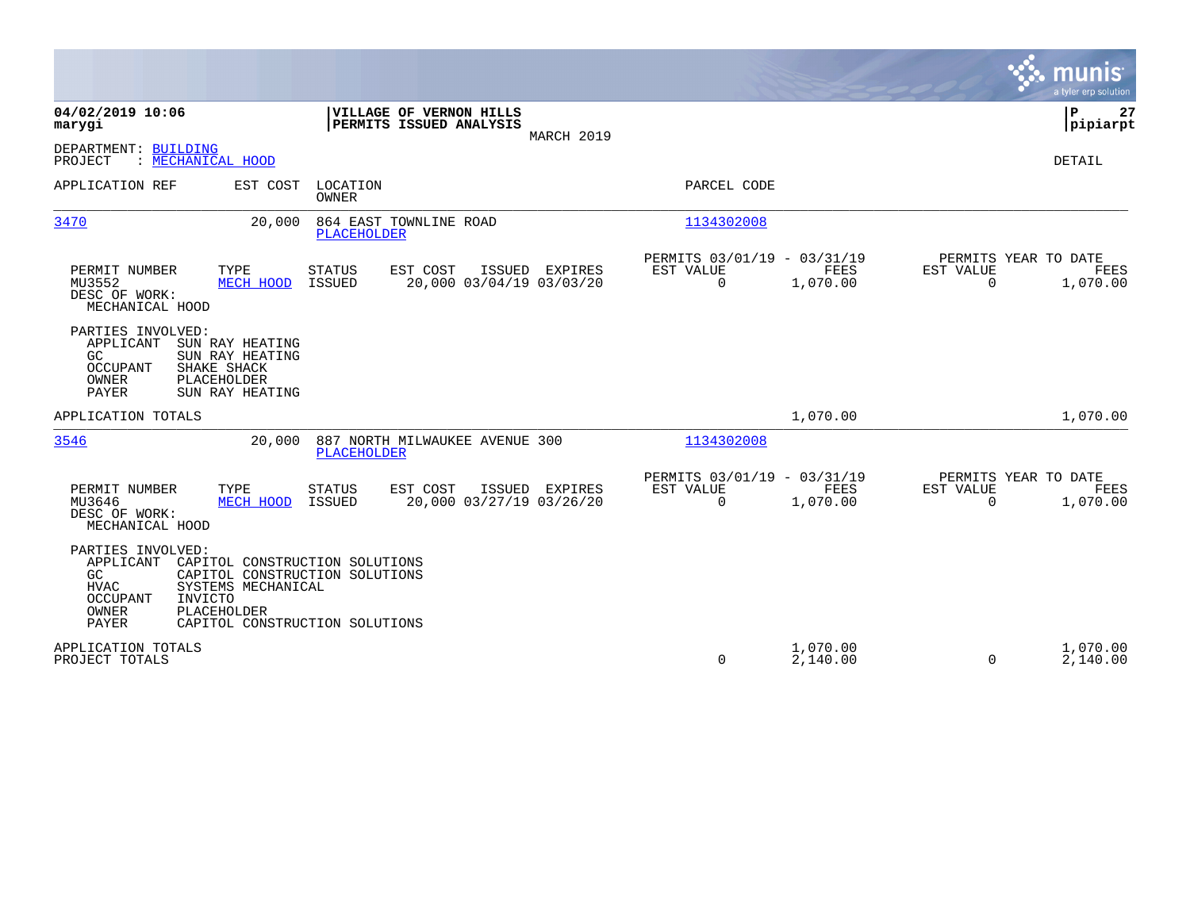|                                                                                          |                                                                                                                                                    |                                |                                                    |                |                                                         |                      |                                                  | munis<br>a tyler erp solution |
|------------------------------------------------------------------------------------------|----------------------------------------------------------------------------------------------------------------------------------------------------|--------------------------------|----------------------------------------------------|----------------|---------------------------------------------------------|----------------------|--------------------------------------------------|-------------------------------|
| 04/02/2019 10:06<br>marygi                                                               |                                                                                                                                                    |                                | VILLAGE OF VERNON HILLS<br>PERMITS ISSUED ANALYSIS | MARCH 2019     |                                                         |                      |                                                  | P<br>27<br> pipiarpt          |
| DEPARTMENT: BUILDING<br>PROJECT                                                          | : MECHANICAL HOOD                                                                                                                                  |                                |                                                    |                |                                                         |                      |                                                  | DETAIL                        |
| APPLICATION REF                                                                          | EST COST                                                                                                                                           | LOCATION<br><b>OWNER</b>       |                                                    |                | PARCEL CODE                                             |                      |                                                  |                               |
| 3470                                                                                     | 20,000                                                                                                                                             | <b>PLACEHOLDER</b>             | 864 EAST TOWNLINE ROAD                             |                | 1134302008                                              |                      |                                                  |                               |
| PERMIT NUMBER<br>MU3552<br>DESC OF WORK:<br>MECHANICAL HOOD                              | TYPE<br>MECH HOOD                                                                                                                                  | <b>STATUS</b><br>ISSUED        | EST COST<br>20,000 03/04/19 03/03/20               | ISSUED EXPIRES | PERMITS 03/01/19 - 03/31/19<br>EST VALUE<br>$\mathbf 0$ | FEES<br>1,070.00     | PERMITS YEAR TO DATE<br>EST VALUE<br>$\mathbf 0$ | FEES<br>1,070.00              |
| PARTIES INVOLVED:<br>APPLICANT<br>GC.<br><b>OCCUPANT</b><br>OWNER<br><b>PAYER</b>        | SUN RAY HEATING<br>SUN RAY HEATING<br>SHAKE SHACK<br>PLACEHOLDER<br>SUN RAY HEATING                                                                |                                |                                                    |                |                                                         |                      |                                                  |                               |
| APPLICATION TOTALS                                                                       |                                                                                                                                                    |                                |                                                    |                |                                                         | 1,070.00             |                                                  | 1,070.00                      |
| 3546                                                                                     | 20,000                                                                                                                                             | PLACEHOLDER                    | 887 NORTH MILWAUKEE AVENUE 300                     |                | 1134302008                                              |                      |                                                  |                               |
| PERMIT NUMBER<br>MU3646<br>DESC OF WORK:<br>MECHANICAL HOOD                              | TYPE<br>MECH HOOD                                                                                                                                  | <b>STATUS</b><br><b>ISSUED</b> | EST COST<br>20,000 03/27/19 03/26/20               | ISSUED EXPIRES | PERMITS 03/01/19 - 03/31/19<br>EST VALUE<br>0           | FEES<br>1,070.00     | PERMITS YEAR TO DATE<br>EST VALUE<br>$\mathbf 0$ | <b>FEES</b><br>1,070.00       |
| PARTIES INVOLVED:<br>APPLICANT<br>GC<br><b>HVAC</b><br>OCCUPANT<br>OWNER<br><b>PAYER</b> | CAPITOL CONSTRUCTION SOLUTIONS<br>CAPITOL CONSTRUCTION SOLUTIONS<br>SYSTEMS MECHANICAL<br>INVICTO<br>PLACEHOLDER<br>CAPITOL CONSTRUCTION SOLUTIONS |                                |                                                    |                |                                                         |                      |                                                  |                               |
| APPLICATION TOTALS<br>PROJECT TOTALS                                                     |                                                                                                                                                    |                                |                                                    |                | 0                                                       | 1,070.00<br>2,140.00 | 0                                                | 1,070.00<br>2,140.00          |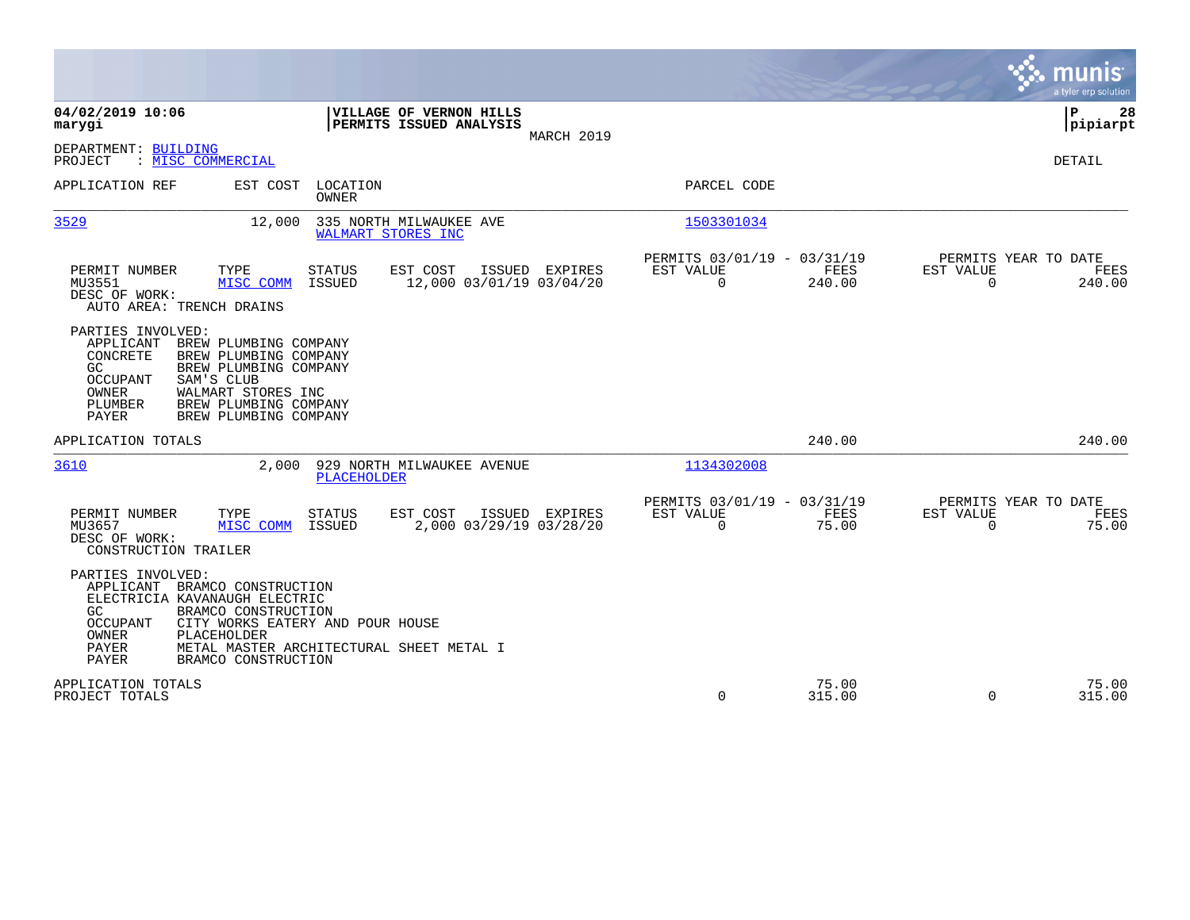|                                                                                                                                                                                                                                                                                              |                                                                           | munis<br>a tyler erp solution                                  |
|----------------------------------------------------------------------------------------------------------------------------------------------------------------------------------------------------------------------------------------------------------------------------------------------|---------------------------------------------------------------------------|----------------------------------------------------------------|
| 04/02/2019 10:06<br>VILLAGE OF VERNON HILLS<br>PERMITS ISSUED ANALYSIS<br>marygi<br>MARCH 2019                                                                                                                                                                                               |                                                                           | 28<br>ΙP<br> pipiarpt                                          |
| DEPARTMENT: BUILDING<br>: MISC COMMERCIAL<br>PROJECT                                                                                                                                                                                                                                         |                                                                           | DETAIL                                                         |
| APPLICATION REF<br>EST COST<br>LOCATION<br><b>OWNER</b>                                                                                                                                                                                                                                      | PARCEL CODE                                                               |                                                                |
| 3529<br>335 NORTH MILWAUKEE AVE<br>12,000<br>WALMART STORES INC                                                                                                                                                                                                                              | 1503301034                                                                |                                                                |
| <b>STATUS</b><br>EST COST<br>PERMIT NUMBER<br>TYPE<br>ISSUED EXPIRES<br><b>ISSUED</b><br>12,000 03/01/19 03/04/20<br>MU3551<br>MISC COMM<br>DESC OF WORK:<br>AUTO AREA: TRENCH DRAINS                                                                                                        | PERMITS 03/01/19 - 03/31/19<br>FEES<br>EST VALUE<br>$\mathbf 0$<br>240.00 | PERMITS YEAR TO DATE<br>EST VALUE<br>FEES<br>0<br>240.00       |
| PARTIES INVOLVED:<br>APPLICANT<br>BREW PLUMBING COMPANY<br>CONCRETE<br>BREW PLUMBING COMPANY<br>GC.<br>BREW PLUMBING COMPANY<br>OCCUPANT<br>SAM'S CLUB<br>OWNER<br>WALMART STORES INC<br>BREW PLUMBING COMPANY<br>PLUMBER<br>PAYER<br>BREW PLUMBING COMPANY                                  |                                                                           |                                                                |
| APPLICATION TOTALS                                                                                                                                                                                                                                                                           | 240.00                                                                    | 240.00                                                         |
| 3610<br>2,000<br>929 NORTH MILWAUKEE AVENUE<br><b>PLACEHOLDER</b>                                                                                                                                                                                                                            | 1134302008                                                                |                                                                |
| EST COST<br>PERMIT NUMBER<br>TYPE<br><b>STATUS</b><br>ISSUED EXPIRES<br>2,000 03/29/19 03/28/20<br>MU3657<br>MISC COMM<br>ISSUED<br>DESC OF WORK:<br>CONSTRUCTION TRAILER                                                                                                                    | PERMITS 03/01/19 - 03/31/19<br>FEES<br>EST VALUE<br>$\Omega$<br>75.00     | PERMITS YEAR TO DATE<br>EST VALUE<br>FEES<br>$\Omega$<br>75.00 |
| PARTIES INVOLVED:<br>APPLICANT BRAMCO CONSTRUCTION<br>ELECTRICIA KAVANAUGH ELECTRIC<br>GC.<br>BRAMCO CONSTRUCTION<br><b>OCCUPANT</b><br>CITY WORKS EATERY AND POUR HOUSE<br>OWNER<br>PLACEHOLDER<br><b>PAYER</b><br>METAL MASTER ARCHITECTURAL SHEET METAL I<br>PAYER<br>BRAMCO CONSTRUCTION |                                                                           |                                                                |
| APPLICATION TOTALS<br>PROJECT TOTALS                                                                                                                                                                                                                                                         | 75.00<br>$\Omega$<br>315.00                                               | 75.00<br>$\Omega$<br>315.00                                    |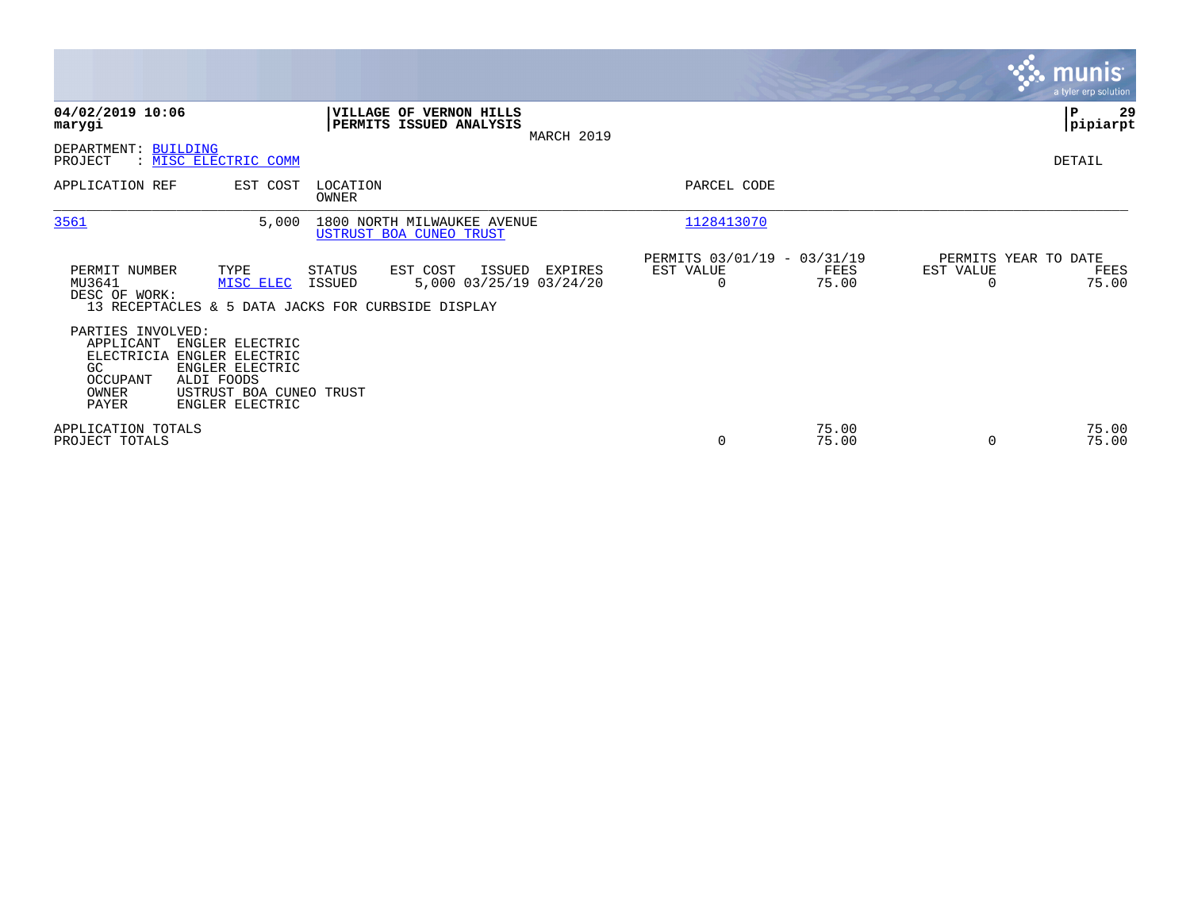|                                                                                                                                                                                                       |                                                                                                                                    |                                                                | <b>munis</b><br>a tyler erp solution               |
|-------------------------------------------------------------------------------------------------------------------------------------------------------------------------------------------------------|------------------------------------------------------------------------------------------------------------------------------------|----------------------------------------------------------------|----------------------------------------------------|
| 04/02/2019 10:06<br>marygi                                                                                                                                                                            | <b>VILLAGE OF</b><br><b>VERNON HILLS</b><br>PERMITS ISSUED ANALYSIS<br>MARCH 2019                                                  |                                                                | 29<br>P<br> pipiarpt                               |
| DEPARTMENT: BUILDING<br>: MISC ELECTRIC COMM<br>PROJECT                                                                                                                                               |                                                                                                                                    |                                                                | DETAIL                                             |
| APPLICATION REF<br>EST COST                                                                                                                                                                           | LOCATION<br>OWNER                                                                                                                  | PARCEL CODE                                                    |                                                    |
| 3561                                                                                                                                                                                                  | 5,000<br>1800 NORTH MILWAUKEE AVENUE<br>USTRUST BOA CUNEO TRUST                                                                    | 1128413070                                                     |                                                    |
| PERMIT NUMBER<br>TYPE<br>MU3641<br>MISC ELEC<br>DESC OF WORK:                                                                                                                                         | STATUS<br>EST COST<br>ISSUED<br>EXPIRES<br>5,000 03/25/19 03/24/20<br>ISSUED<br>13 RECEPTACLES & 5 DATA JACKS FOR CURBSIDE DISPLAY | PERMITS 03/01/19 - 03/31/19<br>EST VALUE<br>FEES<br>75.00<br>0 | PERMITS YEAR TO DATE<br>EST VALUE<br>FEES<br>75.00 |
| PARTIES INVOLVED:<br>APPLICANT<br>ENGLER ELECTRIC<br>ELECTRICIA<br>ENGLER ELECTRIC<br>ENGLER ELECTRIC<br>GC<br>ALDI FOODS<br>OCCUPANT<br>OWNER<br>USTRUST BOA CUNEO TRUST<br>PAYER<br>ENGLER ELECTRIC |                                                                                                                                    |                                                                |                                                    |
| APPLICATION TOTALS<br>PROJECT TOTALS                                                                                                                                                                  |                                                                                                                                    | 75.00<br>75.00<br>0                                            | 75.00<br>75.00<br>$\Omega$                         |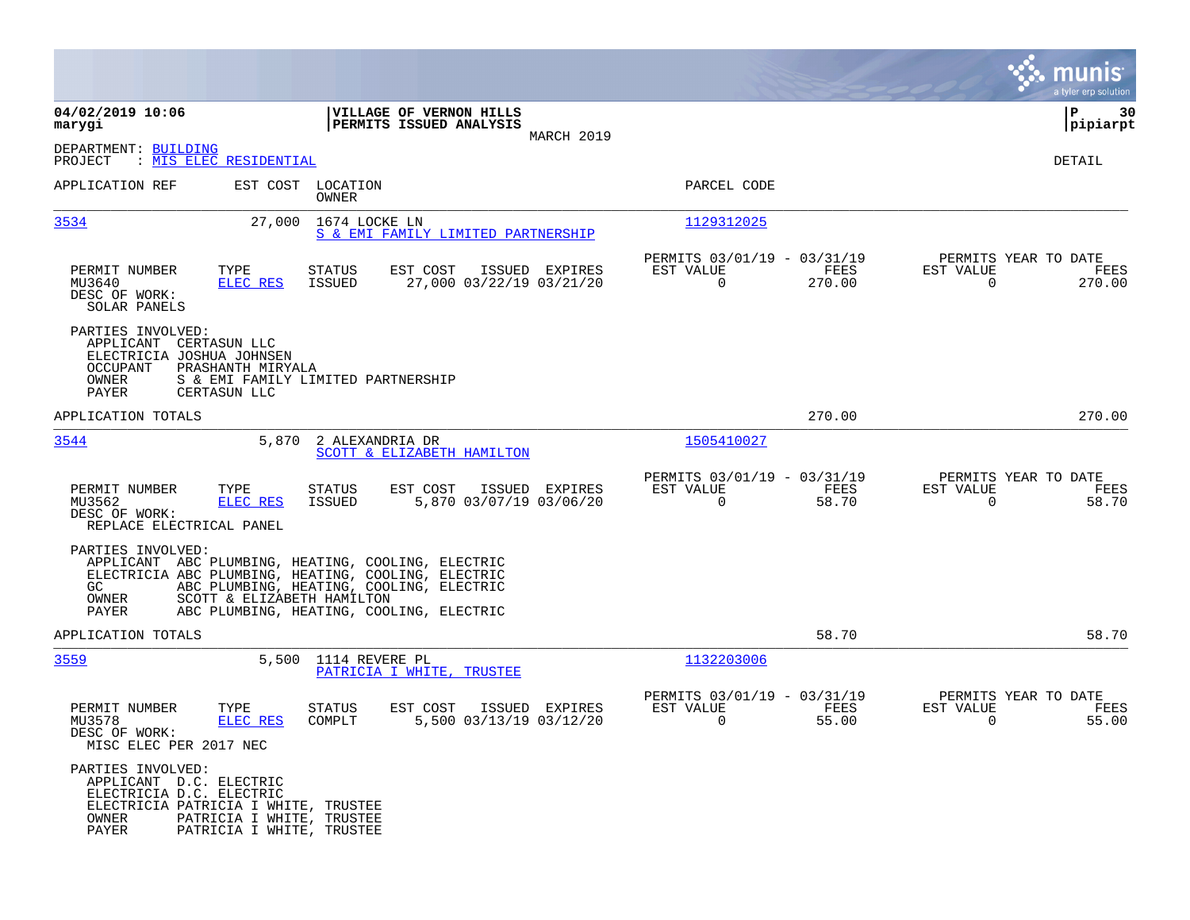|                                                                                            |                                                                                                |                                                                                                                                                                                                   |                |                                                         |                |                                                     | munis<br>a tyler erp solution |
|--------------------------------------------------------------------------------------------|------------------------------------------------------------------------------------------------|---------------------------------------------------------------------------------------------------------------------------------------------------------------------------------------------------|----------------|---------------------------------------------------------|----------------|-----------------------------------------------------|-------------------------------|
| 04/02/2019 10:06<br>marygi                                                                 |                                                                                                | VILLAGE OF VERNON HILLS<br>PERMITS ISSUED ANALYSIS                                                                                                                                                |                |                                                         |                |                                                     | 30<br>ΙP<br> pipiarpt         |
| DEPARTMENT: BUILDING<br>PROJECT                                                            | : MIS ELEC RESIDENTIAL                                                                         |                                                                                                                                                                                                   | MARCH 2019     |                                                         |                |                                                     | DETAIL                        |
| APPLICATION REF                                                                            | EST COST LOCATION<br>OWNER                                                                     |                                                                                                                                                                                                   |                | PARCEL CODE                                             |                |                                                     |                               |
| 3534                                                                                       | 27,000                                                                                         | 1674 LOCKE LN<br>S & EMI FAMILY LIMITED PARTNERSHIP                                                                                                                                               |                | 1129312025                                              |                |                                                     |                               |
| PERMIT NUMBER<br>MU3640<br>DESC OF WORK:<br>SOLAR PANELS                                   | TYPE<br>STATUS<br><b>ELEC RES</b><br><b>ISSUED</b>                                             | EST COST<br>27,000 03/22/19 03/21/20                                                                                                                                                              | ISSUED EXPIRES | PERMITS 03/01/19 - 03/31/19<br>EST VALUE<br>$\Omega$    | FEES<br>270.00 | PERMITS YEAR TO DATE<br>EST VALUE<br>$\Omega$       | FEES<br>270.00                |
| PARTIES INVOLVED:<br>APPLICANT<br>ELECTRICIA JOSHUA JOHNSEN<br>OCCUPANT<br>OWNER<br>PAYER  | CERTASUN LLC<br>PRASHANTH MIRYALA<br>S & EMI FAMILY LIMITED PARTNERSHIP<br>CERTASUN LLC        |                                                                                                                                                                                                   |                |                                                         |                |                                                     |                               |
| APPLICATION TOTALS                                                                         |                                                                                                |                                                                                                                                                                                                   |                |                                                         | 270.00         |                                                     | 270.00                        |
| 3544                                                                                       | 5,870                                                                                          | 2 ALEXANDRIA DR<br>SCOTT & ELIZABETH HAMILTON                                                                                                                                                     |                | 1505410027                                              |                |                                                     |                               |
| PERMIT NUMBER<br>MU3562<br>DESC OF WORK:<br>REPLACE ELECTRICAL PANEL                       | TYPE<br><b>STATUS</b><br><b>ELEC RES</b><br>ISSUED                                             | EST COST<br>5,870 03/07/19 03/06/20                                                                                                                                                               | ISSUED EXPIRES | PERMITS 03/01/19 - 03/31/19<br>EST VALUE<br>$\mathbf 0$ | FEES<br>58.70  | PERMITS YEAR TO DATE<br>EST VALUE<br>$\overline{0}$ | FEES<br>58.70                 |
| PARTIES INVOLVED:<br>GC.<br>OWNER<br>PAYER                                                 | SCOTT & ELIZABETH HAMILTON                                                                     | APPLICANT ABC PLUMBING, HEATING, COOLING, ELECTRIC<br>ELECTRICIA ABC PLUMBING, HEATING, COOLING, ELECTRIC<br>ABC PLUMBING, HEATING, COOLING, ELECTRIC<br>ABC PLUMBING, HEATING, COOLING, ELECTRIC |                |                                                         |                |                                                     |                               |
| APPLICATION TOTALS                                                                         |                                                                                                |                                                                                                                                                                                                   |                |                                                         | 58.70          |                                                     | 58.70                         |
| 3559                                                                                       | 5,500                                                                                          | 1114 REVERE PL<br>PATRICIA I WHITE, TRUSTEE                                                                                                                                                       |                | 1132203006                                              |                |                                                     |                               |
| PERMIT NUMBER<br>MU3578<br>DESC OF WORK:<br>MISC ELEC PER 2017 NEC                         | TYPE<br>STATUS<br>ELEC RES<br>COMPLT                                                           | EST COST<br>5,500 03/13/19 03/12/20                                                                                                                                                               | ISSUED EXPIRES | PERMITS 03/01/19 - 03/31/19<br>EST VALUE<br>0           | FEES<br>55.00  | PERMITS YEAR TO DATE<br>EST VALUE<br>0              | FEES<br>55.00                 |
| PARTIES INVOLVED:<br>APPLICANT D.C. ELECTRIC<br>ELECTRICIA D.C. ELECTRIC<br>OWNER<br>PAYER | ELECTRICIA PATRICIA I WHITE, TRUSTEE<br>PATRICIA I WHITE, TRUSTEE<br>PATRICIA I WHITE, TRUSTEE |                                                                                                                                                                                                   |                |                                                         |                |                                                     |                               |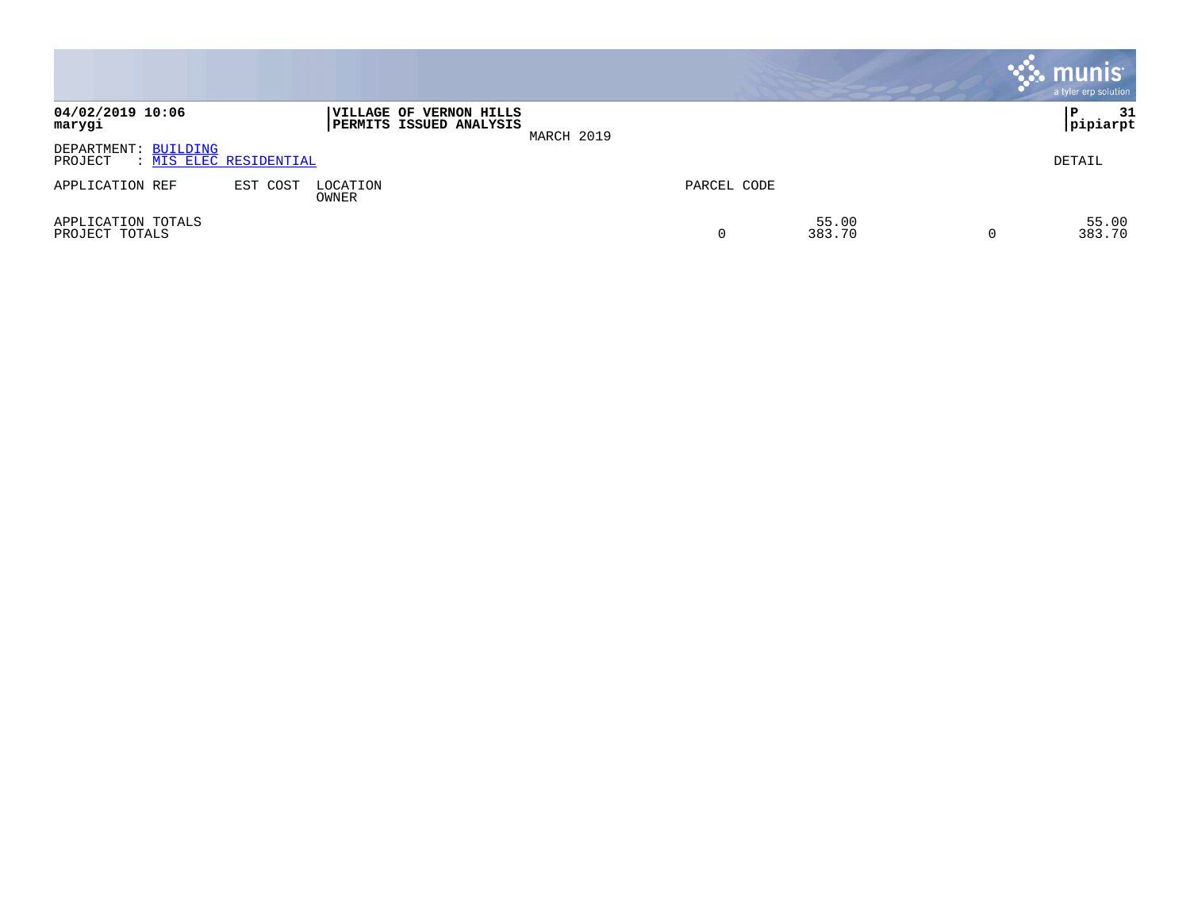|                                                           |          |                   |                                                           |            |             |                 | $\cdot$ munis $\cdot$<br>a tyler erp solution |
|-----------------------------------------------------------|----------|-------------------|-----------------------------------------------------------|------------|-------------|-----------------|-----------------------------------------------|
| 04/02/2019 10:06<br>marygi                                |          |                   | VILLAGE OF VERNON HILLS<br><b>PERMITS ISSUED ANALYSIS</b> | MARCH 2019 |             |                 | 31<br>P<br> pipiarpt                          |
| DEPARTMENT: BUILDING<br>: MIS ELEC RESIDENTIAL<br>PROJECT |          |                   |                                                           |            |             |                 | DETAIL                                        |
| APPLICATION REF                                           | EST COST | LOCATION<br>OWNER |                                                           |            | PARCEL CODE |                 |                                               |
| APPLICATION TOTALS<br>PROJECT TOTALS                      |          |                   |                                                           |            | 0           | 55.00<br>383.70 | 55.00<br>383.70                               |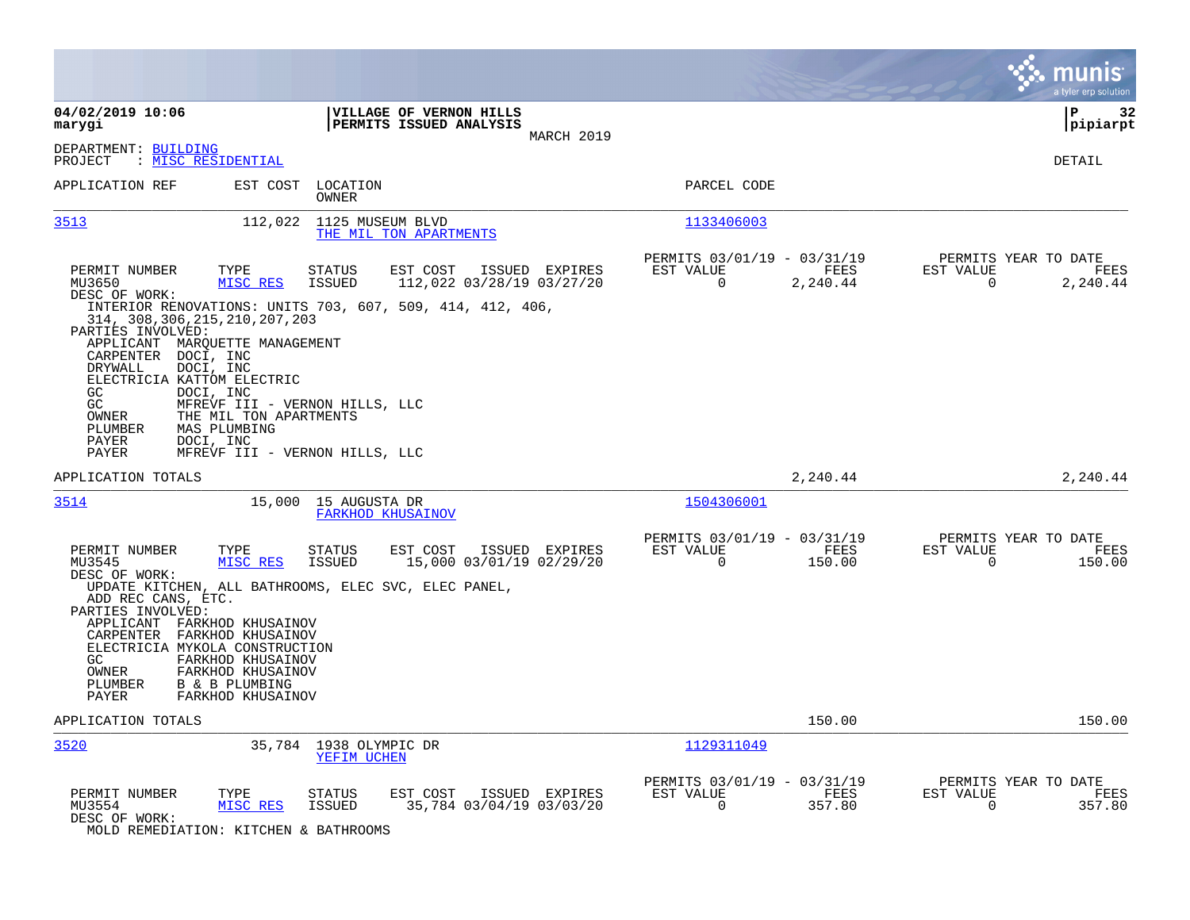|                                                                                                                                                                                                                                                                                                                                                                                                                                                                                                                                   |                                                                         |                                                                           | munis<br>a tyler erp solution                                     |
|-----------------------------------------------------------------------------------------------------------------------------------------------------------------------------------------------------------------------------------------------------------------------------------------------------------------------------------------------------------------------------------------------------------------------------------------------------------------------------------------------------------------------------------|-------------------------------------------------------------------------|---------------------------------------------------------------------------|-------------------------------------------------------------------|
| 04/02/2019 10:06<br>marygi                                                                                                                                                                                                                                                                                                                                                                                                                                                                                                        | <b>VILLAGE OF VERNON HILLS</b><br>PERMITS ISSUED ANALYSIS<br>MARCH 2019 |                                                                           | ΙP<br>32<br> pipiarpt                                             |
| DEPARTMENT: BUILDING<br>: <u>MISC RESIDENTIAL</u><br>PROJECT                                                                                                                                                                                                                                                                                                                                                                                                                                                                      |                                                                         |                                                                           | <b>DETAIL</b>                                                     |
| APPLICATION REF<br>EST COST<br>LOCATION<br>OWNER                                                                                                                                                                                                                                                                                                                                                                                                                                                                                  |                                                                         | PARCEL CODE                                                               |                                                                   |
| 3513<br>112,022 1125 MUSEUM BLVD                                                                                                                                                                                                                                                                                                                                                                                                                                                                                                  | THE MIL TON APARTMENTS                                                  | 1133406003                                                                |                                                                   |
| TYPE<br>PERMIT NUMBER<br><b>STATUS</b><br>MISC RES<br><b>ISSUED</b><br>MU3650<br>DESC OF WORK:<br>INTERIOR RENOVATIONS: UNITS 703, 607, 509, 414, 412, 406,<br>314, 308, 306, 215, 210, 207, 203<br>PARTIES INVOLVED:<br>APPLICANT MARQUETTE MANAGEMENT<br>CARPENTER<br>DOCI, INC<br>DOCI, INC<br>DRYWALL<br>ELECTRICIA KATTOM ELECTRIC<br>GC<br>DOCI, INC<br>GC<br>MFREVF III - VERNON HILLS, LLC<br>OWNER<br>THE MIL TON APARTMENTS<br>PLUMBER<br>MAS PLUMBING<br>PAYER<br>DOCI, INC<br>PAYER<br>MFREVF III - VERNON HILLS, LLC | EST COST<br>ISSUED EXPIRES<br>112,022 03/28/19 03/27/20                 | PERMITS 03/01/19 - 03/31/19<br>EST VALUE<br>FEES<br>$\Omega$<br>2,240.44  | PERMITS YEAR TO DATE<br>EST VALUE<br>FEES<br>$\Omega$<br>2,240.44 |
| APPLICATION TOTALS                                                                                                                                                                                                                                                                                                                                                                                                                                                                                                                |                                                                         | 2,240.44                                                                  | 2,240.44                                                          |
| 3514<br>15,000 15 AUGUSTA DR<br>FARKHOD KHUSAINOV                                                                                                                                                                                                                                                                                                                                                                                                                                                                                 |                                                                         | 1504306001                                                                |                                                                   |
| PERMIT NUMBER<br>TYPE<br><b>STATUS</b><br>MU3545<br>MISC RES<br><b>ISSUED</b><br>DESC OF WORK:<br>UPDATE KITCHEN, ALL BATHROOMS, ELEC SVC, ELEC PANEL,<br>ADD REC CANS, ETC.<br>PARTIES INVOLVED:<br>APPLICANT FARKHOD KHUSAINOV<br>CARPENTER FARKHOD KHUSAINOV<br>ELECTRICIA MYKOLA CONSTRUCTION<br>FARKHOD KHUSAINOV<br>GC.<br>FARKHOD KHUSAINOV<br>OWNER<br>PLUMBER<br>B & B PLUMBING<br>PAYER<br>FARKHOD KHUSAINOV                                                                                                            | EST COST<br>ISSUED EXPIRES<br>15,000 03/01/19 02/29/20                  | PERMITS 03/01/19 - 03/31/19<br>EST VALUE<br>FEES<br>$\Omega$<br>150.00    | PERMITS YEAR TO DATE<br>EST VALUE<br>FEES<br>0<br>150.00          |
| APPLICATION TOTALS                                                                                                                                                                                                                                                                                                                                                                                                                                                                                                                |                                                                         | 150.00                                                                    | 150.00                                                            |
| 3520<br>35,784 1938 OLYMPIC DR<br>YEFIM UCHEN                                                                                                                                                                                                                                                                                                                                                                                                                                                                                     |                                                                         | 1129311049                                                                |                                                                   |
| PERMIT NUMBER<br>TYPE<br><b>STATUS</b><br>MU3554<br>MISC RES<br><b>ISSUED</b><br>DESC OF WORK:<br>MOLD REMEDIATION: KITCHEN & BATHROOMS                                                                                                                                                                                                                                                                                                                                                                                           | EST COST<br>ISSUED EXPIRES<br>35,784 03/04/19 03/03/20                  | PERMITS 03/01/19 - 03/31/19<br>EST VALUE<br>FEES<br>$\mathbf 0$<br>357.80 | PERMITS YEAR TO DATE<br>EST VALUE<br>FEES<br>357.80<br>0          |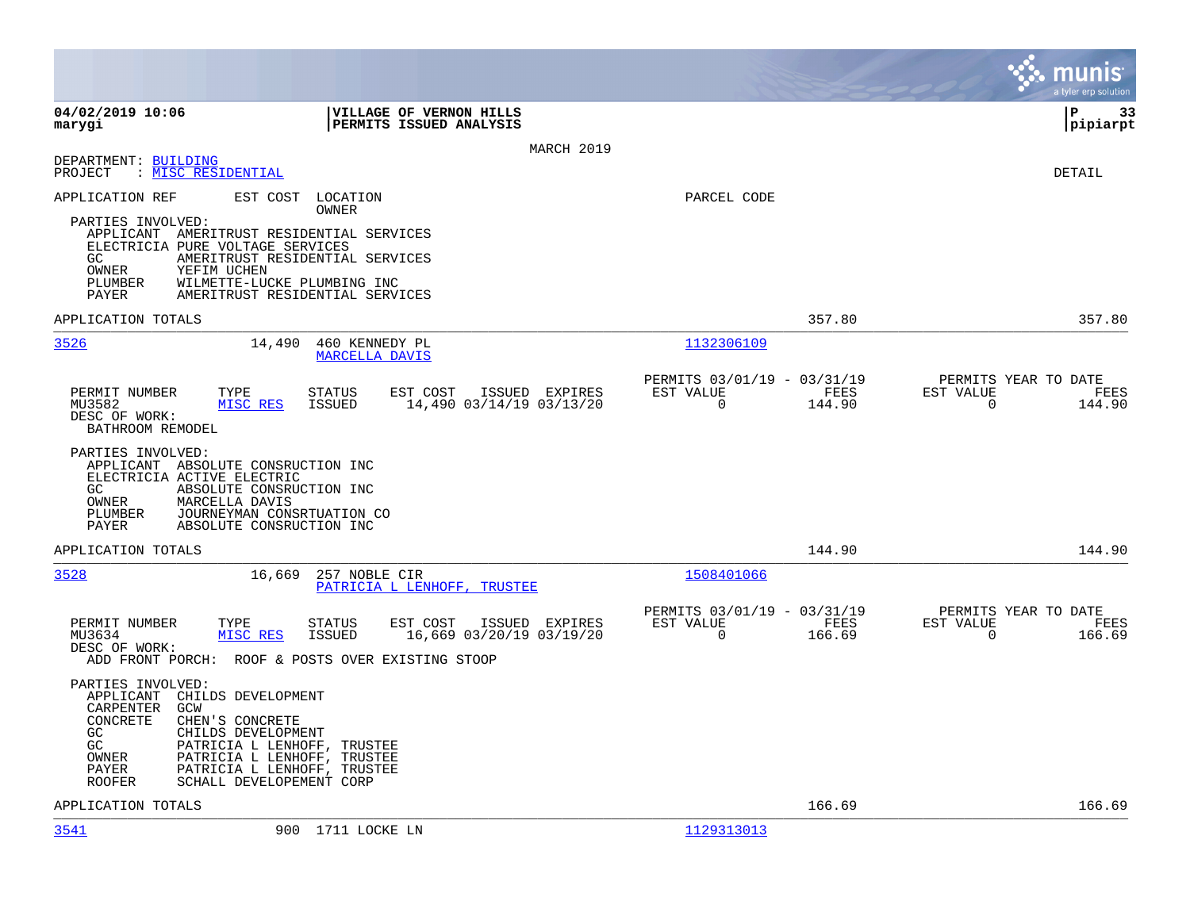|                                                                                                                                                                                                                                                                                                                |                                                                        | munis<br>a tyler erp solution                                   |
|----------------------------------------------------------------------------------------------------------------------------------------------------------------------------------------------------------------------------------------------------------------------------------------------------------------|------------------------------------------------------------------------|-----------------------------------------------------------------|
| 04/02/2019 10:06<br>VILLAGE OF VERNON HILLS<br>PERMITS ISSUED ANALYSIS<br>marygi                                                                                                                                                                                                                               |                                                                        | İP<br>33<br>pipiarpt                                            |
| MARCH 2019                                                                                                                                                                                                                                                                                                     |                                                                        |                                                                 |
| DEPARTMENT: BUILDING<br>: MISC RESIDENTIAL<br>PROJECT                                                                                                                                                                                                                                                          |                                                                        | DETAIL                                                          |
| EST COST<br>LOCATION<br>APPLICATION REF<br>OWNER<br>PARTIES INVOLVED:<br>APPLICANT AMERITRUST RESIDENTIAL SERVICES<br>ELECTRICIA PURE VOLTAGE SERVICES<br>AMERITRUST RESIDENTIAL SERVICES<br>GC.<br>OWNER<br>YEFIM UCHEN<br>PLUMBER<br>WILMETTE-LUCKE PLUMBING INC<br>PAYER<br>AMERITRUST RESIDENTIAL SERVICES | PARCEL CODE                                                            |                                                                 |
| APPLICATION TOTALS                                                                                                                                                                                                                                                                                             | 357.80                                                                 | 357.80                                                          |
| 3526<br>14,490<br>460 KENNEDY PL<br><b>MARCELLA DAVIS</b>                                                                                                                                                                                                                                                      | 1132306109                                                             |                                                                 |
| PERMIT NUMBER<br>TYPE<br><b>STATUS</b><br>EST COST<br>ISSUED EXPIRES<br>MISC RES<br><b>ISSUED</b><br>14,490 03/14/19 03/13/20<br>MU3582<br>DESC OF WORK:<br>BATHROOM REMODEL                                                                                                                                   | PERMITS 03/01/19 - 03/31/19<br>EST VALUE<br>FEES<br>$\Omega$<br>144.90 | PERMITS YEAR TO DATE<br>EST VALUE<br>FEES<br>$\Omega$<br>144.90 |
| PARTIES INVOLVED:<br>APPLICANT ABSOLUTE CONSRUCTION INC<br>ELECTRICIA ACTIVE ELECTRIC<br>GC.<br>ABSOLUTE CONSRUCTION INC<br>OWNER<br>MARCELLA DAVIS<br>JOURNEYMAN CONSRTUATION CO<br>PLUMBER<br>PAYER<br>ABSOLUTE CONSRUCTION INC                                                                              |                                                                        |                                                                 |
| APPLICATION TOTALS                                                                                                                                                                                                                                                                                             | 144.90                                                                 | 144.90                                                          |
| 3528<br>16,669<br>257 NOBLE CIR<br>PATRICIA L LENHOFF, TRUSTEE                                                                                                                                                                                                                                                 | 1508401066                                                             |                                                                 |
| PERMIT NUMBER<br>TYPE<br>EST COST<br><b>STATUS</b><br>ISSUED EXPIRES<br>MISC RES<br>MU3634<br><b>ISSUED</b><br>16,669 03/20/19 03/19/20<br>DESC OF WORK:<br>ADD FRONT PORCH: ROOF & POSTS OVER EXISTING STOOP                                                                                                  | PERMITS 03/01/19 - 03/31/19<br>EST VALUE<br>FEES<br>$\Omega$<br>166.69 | PERMITS YEAR TO DATE<br>EST VALUE<br>FEES<br>$\Omega$<br>166.69 |
| PARTIES INVOLVED:<br>CHILDS DEVELOPMENT<br>APPLICANT<br><b>CARPENTER</b><br>GCW<br>CONCRETE<br>CHEN'S CONCRETE<br>GC.<br>CHILDS DEVELOPMENT<br>GC<br>PATRICIA L LENHOFF, TRUSTEE<br>OWNER<br>PATRICIA L LENHOFF, TRUSTEE<br>PAYER<br>PATRICIA L LENHOFF, TRUSTEE<br>SCHALL DEVELOPEMENT CORP<br><b>ROOFER</b>  |                                                                        |                                                                 |
| APPLICATION TOTALS                                                                                                                                                                                                                                                                                             | 166.69                                                                 | 166.69                                                          |
| 3541<br>900 1711 LOCKE LN                                                                                                                                                                                                                                                                                      | 1129313013                                                             |                                                                 |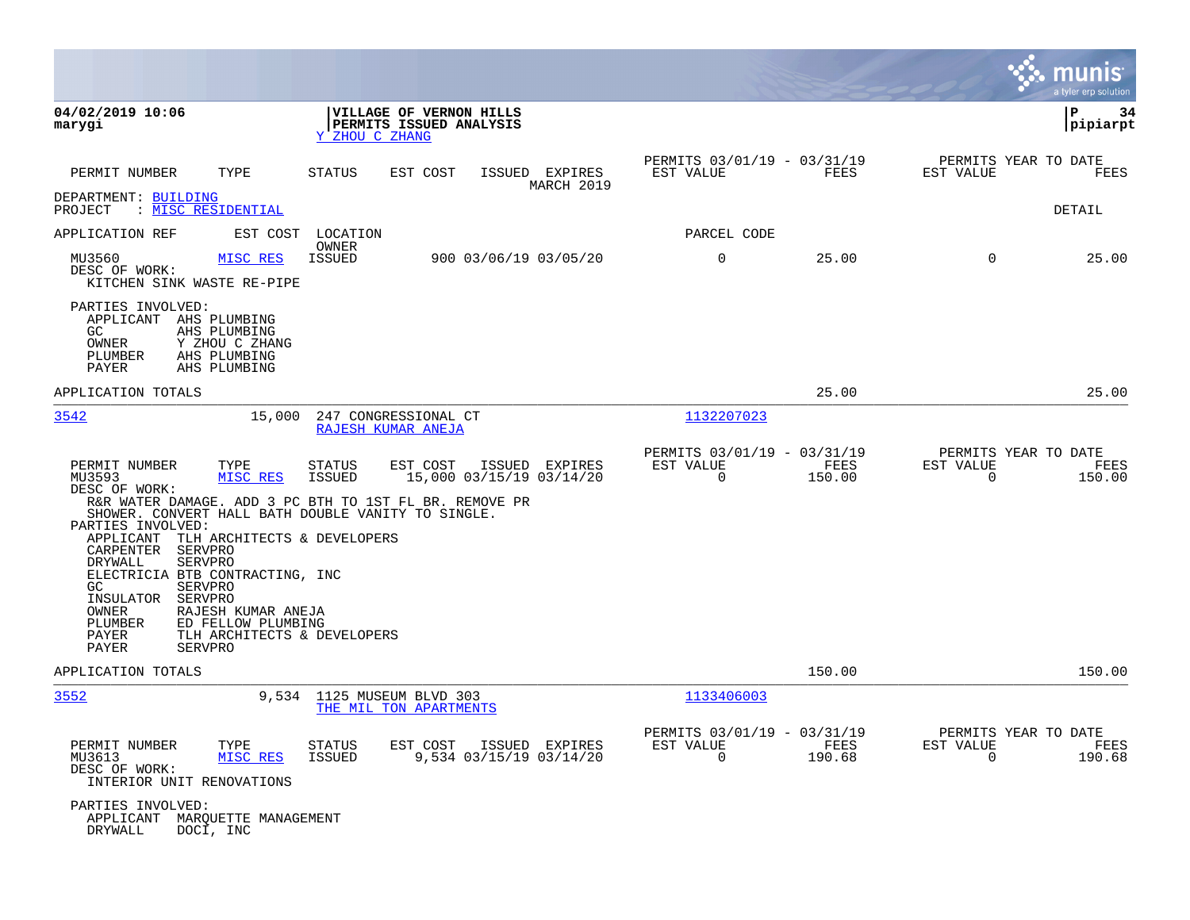|                                                                                                                                                                                                                                                                                                                                                   |                                                                                                                                                                                                                                               |                              |                                               |                |                                                  | munis<br>a tyler erp solution |
|---------------------------------------------------------------------------------------------------------------------------------------------------------------------------------------------------------------------------------------------------------------------------------------------------------------------------------------------------|-----------------------------------------------------------------------------------------------------------------------------------------------------------------------------------------------------------------------------------------------|------------------------------|-----------------------------------------------|----------------|--------------------------------------------------|-------------------------------|
| 04/02/2019 10:06<br>marygi                                                                                                                                                                                                                                                                                                                        | VILLAGE OF VERNON HILLS<br>PERMITS ISSUED ANALYSIS<br>Y ZHOU C ZHANG                                                                                                                                                                          |                              |                                               |                | P                                                | 34<br>pipiarpt                |
| TYPE<br>PERMIT NUMBER                                                                                                                                                                                                                                                                                                                             | <b>STATUS</b><br>EST COST                                                                                                                                                                                                                     | ISSUED EXPIRES<br>MARCH 2019 | PERMITS 03/01/19 - 03/31/19<br>EST VALUE      | FEES           | PERMITS YEAR TO DATE<br>EST VALUE                | <b>FEES</b>                   |
| DEPARTMENT: BUILDING<br>: MISC RESIDENTIAL<br>PROJECT                                                                                                                                                                                                                                                                                             |                                                                                                                                                                                                                                               |                              |                                               |                |                                                  | <b>DETAIL</b>                 |
| APPLICATION REF<br>EST COST                                                                                                                                                                                                                                                                                                                       | LOCATION<br>OWNER                                                                                                                                                                                                                             |                              | PARCEL CODE                                   |                |                                                  |                               |
| MU3560<br>MISC RES<br>DESC OF WORK:<br>KITCHEN SINK WASTE RE-PIPE                                                                                                                                                                                                                                                                                 | 900 03/06/19 03/05/20<br>ISSUED                                                                                                                                                                                                               |                              | $\mathbf 0$                                   | 25.00          | $\mathbf 0$                                      | 25.00                         |
| PARTIES INVOLVED:<br>APPLICANT AHS PLUMBING<br>GC.<br>AHS PLUMBING<br>OWNER<br>Y ZHOU C ZHANG<br>AHS PLUMBING<br>PLUMBER<br>PAYER<br>AHS PLUMBING                                                                                                                                                                                                 |                                                                                                                                                                                                                                               |                              |                                               |                |                                                  |                               |
| APPLICATION TOTALS                                                                                                                                                                                                                                                                                                                                |                                                                                                                                                                                                                                               |                              |                                               | 25.00          |                                                  | 25.00                         |
| 3542                                                                                                                                                                                                                                                                                                                                              | 15,000<br>247 CONGRESSIONAL CT<br>RAJESH KUMAR ANEJA                                                                                                                                                                                          |                              | 1132207023                                    |                |                                                  |                               |
| PERMIT NUMBER<br>TYPE<br>MU3593<br>MISC RES<br>DESC OF WORK:<br>PARTIES INVOLVED:<br>APPLICANT<br>CARPENTER<br>SERVPRO<br>DRYWALL<br><b>SERVPRO</b><br>ELECTRICIA BTB CONTRACTING, INC<br>GC<br><b>SERVPRO</b><br>INSULATOR<br>SERVPRO<br>OWNER<br>RAJESH KUMAR ANEJA<br>PLUMBER<br>ED FELLOW PLUMBING<br>PAYER<br><b>PAYER</b><br><b>SERVPRO</b> | <b>STATUS</b><br>EST COST<br>15,000 03/15/19 03/14/20<br>ISSUED<br>R&R WATER DAMAGE. ADD 3 PC BTH TO 1ST FL BR. REMOVE PR<br>SHOWER. CONVERT HALL BATH DOUBLE VANITY TO SINGLE.<br>TLH ARCHITECTS & DEVELOPERS<br>TLH ARCHITECTS & DEVELOPERS | ISSUED EXPIRES               | PERMITS 03/01/19 - 03/31/19<br>EST VALUE<br>0 | FEES<br>150.00 | PERMITS YEAR TO DATE<br>EST VALUE<br>0           | FEES<br>150.00                |
| APPLICATION TOTALS                                                                                                                                                                                                                                                                                                                                |                                                                                                                                                                                                                                               |                              |                                               | 150.00         |                                                  | 150.00                        |
| 3552                                                                                                                                                                                                                                                                                                                                              | 9,534<br>1125 MUSEUM BLVD 303<br>THE MIL TON APARTMENTS                                                                                                                                                                                       |                              | 1133406003                                    |                |                                                  |                               |
| PERMIT NUMBER<br>TYPE<br>MU3613<br>MISC RES<br>DESC OF WORK:<br>INTERIOR UNIT RENOVATIONS                                                                                                                                                                                                                                                         | STATUS<br>EST COST<br><b>ISSUED</b><br>9,534 03/15/19 03/14/20                                                                                                                                                                                | ISSUED EXPIRES               | PERMITS 03/01/19 - 03/31/19<br>EST VALUE<br>0 | FEES<br>190.68 | PERMITS YEAR TO DATE<br>EST VALUE<br>$\mathbf 0$ | FEES<br>190.68                |
| PARTIES INVOLVED:<br>APPLICANT MARQUETTE MANAGEMENT<br><b>DRYWALL</b><br>DOCI, INC                                                                                                                                                                                                                                                                |                                                                                                                                                                                                                                               |                              |                                               |                |                                                  |                               |

 $\mathcal{L}$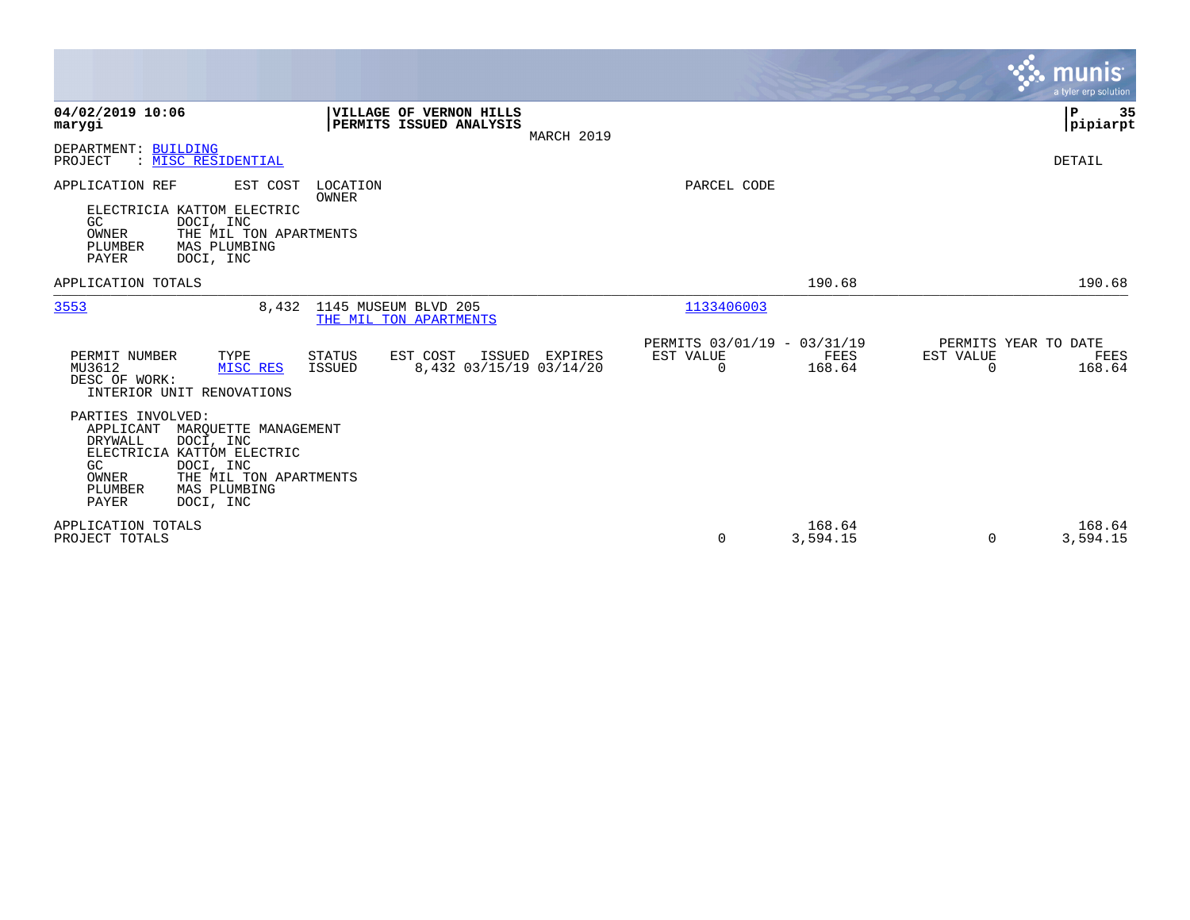|                                                                                                                                                                                                                                   |                                                                 | <b>munis</b><br>a tyler erp solution                            |
|-----------------------------------------------------------------------------------------------------------------------------------------------------------------------------------------------------------------------------------|-----------------------------------------------------------------|-----------------------------------------------------------------|
| 04/02/2019 10:06<br>VILLAGE OF VERNON HILLS<br>PERMITS ISSUED ANALYSIS<br>marygi<br>MARCH 2019                                                                                                                                    |                                                                 | ∣P<br>35<br> pipiarpt                                           |
| DEPARTMENT: BUILDING<br>PROJECT<br>: MISC RESIDENTIAL                                                                                                                                                                             |                                                                 | DETAIL                                                          |
| APPLICATION REF<br>EST COST<br>LOCATION<br>OWNER<br>ELECTRICIA KATTOM ELECTRIC<br>GC<br>DOCI, INC<br>OWNER<br>THE MIL TON APARTMENTS<br>PLUMBER<br>MAS PLUMBING<br>PAYER<br>DOCI, INC                                             | PARCEL CODE                                                     |                                                                 |
| APPLICATION TOTALS                                                                                                                                                                                                                | 190.68                                                          | 190.68                                                          |
| 1145 MUSEUM BLVD 205<br>3553<br>8,432<br>THE MIL TON APARTMENTS                                                                                                                                                                   | 1133406003                                                      |                                                                 |
| PERMIT NUMBER<br>TYPE<br>STATUS<br>EST COST<br>ISSUED EXPIRES<br>MU3612<br>ISSUED<br>8,432 03/15/19 03/14/20<br>MISC RES<br>DESC OF WORK:<br>INTERIOR UNIT RENOVATIONS                                                            | PERMITS 03/01/19 - 03/31/19<br>EST VALUE<br>FEES<br>0<br>168.64 | PERMITS YEAR TO DATE<br>EST VALUE<br>FEES<br>168.64<br>$\Omega$ |
| PARTIES INVOLVED:<br>APPLICANT<br>MARQUETTE MANAGEMENT<br><b>DRYWALL</b><br>DOCI, INC<br>ELECTRICIA KATTOM ELECTRIC<br>GC<br>DOCI, INC<br>OWNER<br>THE MIL TON APARTMENTS<br>PLUMBER<br>MAS PLUMBING<br><b>PAYER</b><br>DOCI, INC |                                                                 |                                                                 |
| APPLICATION TOTALS<br>PROJECT TOTALS                                                                                                                                                                                              | 168.64<br>3,594.15<br>0                                         | 168.64<br>3,594.15<br>$\Omega$                                  |

**Contract**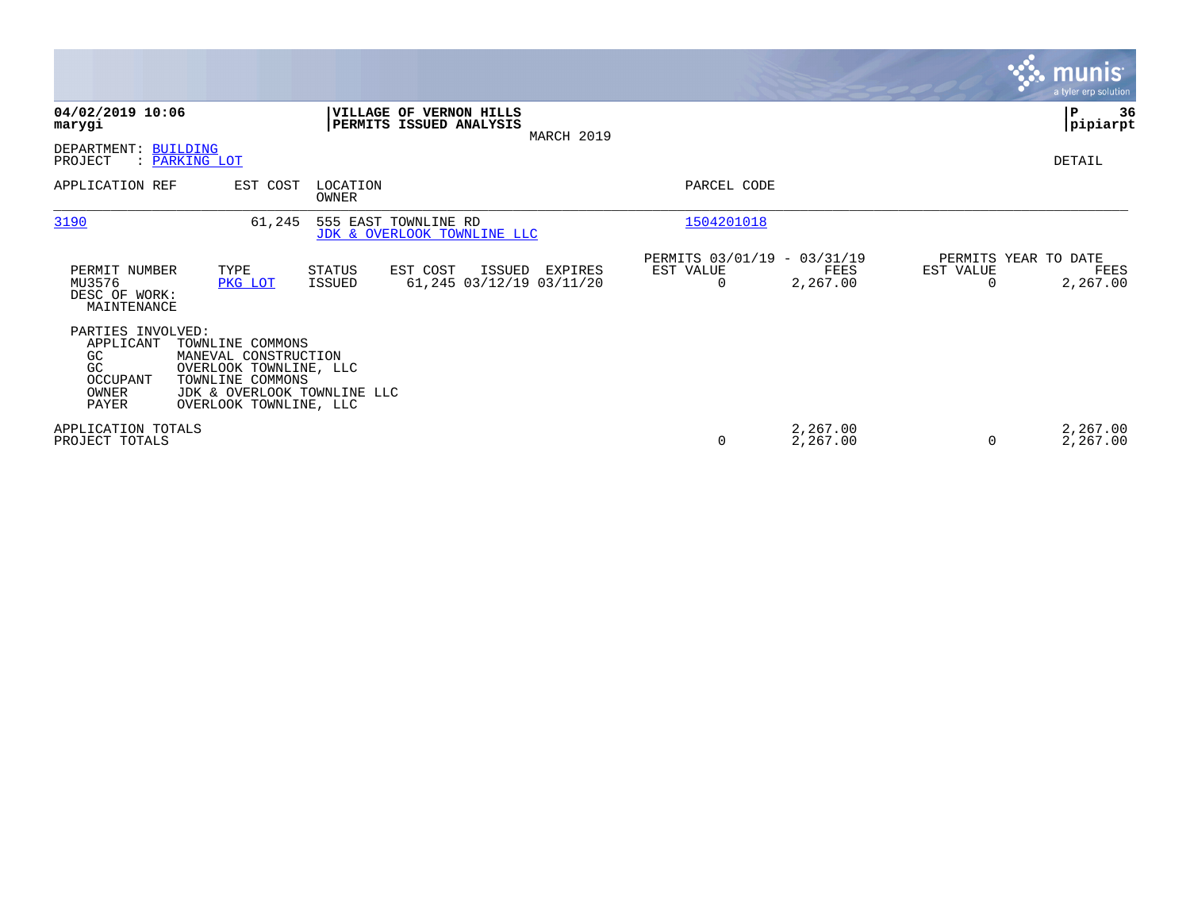|                                                                                 |                                                                                                                                                 |                   |                                                     |            |                                               |                      |           |                      | <b>munis</b><br>a tyler erp solution |
|---------------------------------------------------------------------------------|-------------------------------------------------------------------------------------------------------------------------------------------------|-------------------|-----------------------------------------------------|------------|-----------------------------------------------|----------------------|-----------|----------------------|--------------------------------------|
| 04/02/2019 10:06<br>marygi                                                      |                                                                                                                                                 |                   | VILLAGE OF VERNON HILLS<br>PERMITS ISSUED ANALYSIS  | MARCH 2019 |                                               |                      |           |                      | ∣P<br>36<br> pipiarpt                |
| DEPARTMENT: BUILDING<br>PROJECT                                                 | : PARKING LOT                                                                                                                                   |                   |                                                     |            |                                               |                      |           |                      | DETAIL                               |
| APPLICATION REF                                                                 | EST COST                                                                                                                                        | LOCATION<br>OWNER |                                                     |            | PARCEL CODE                                   |                      |           |                      |                                      |
| 3190                                                                            | 61,245                                                                                                                                          |                   | 555 EAST TOWNLINE RD<br>JDK & OVERLOOK TOWNLINE LLC |            | 1504201018                                    |                      |           |                      |                                      |
| PERMIT NUMBER<br>MU3576<br>DESC OF WORK:<br>MAINTENANCE                         | TYPE<br>PKG LOT                                                                                                                                 | STATUS<br>ISSUED  | EST COST<br>ISSUED<br>61,245 03/12/19 03/11/20      | EXPIRES    | PERMITS 03/01/19 - 03/31/19<br>EST VALUE<br>0 | FEES<br>2,267.00     | EST VALUE | PERMITS YEAR TO DATE | FEES<br>2,267.00                     |
| PARTIES INVOLVED:<br>APPLICANT<br>GC<br>GC<br>OCCUPANT<br><b>OWNER</b><br>PAYER | TOWNLINE COMMONS<br>MANEVAL CONSTRUCTION<br>OVERLOOK TOWNLINE, LLC<br>TOWNLINE COMMONS<br>JDK & OVERLOOK TOWNLINE LLC<br>OVERLOOK TOWNLINE, LLC |                   |                                                     |            |                                               |                      |           |                      |                                      |
| APPLICATION TOTALS<br>PROJECT TOTALS                                            |                                                                                                                                                 |                   |                                                     |            | 0                                             | 2,267.00<br>2,267.00 |           |                      | 2,267.00<br>2,267.00                 |

 $\mathcal{L}^{\text{max}}$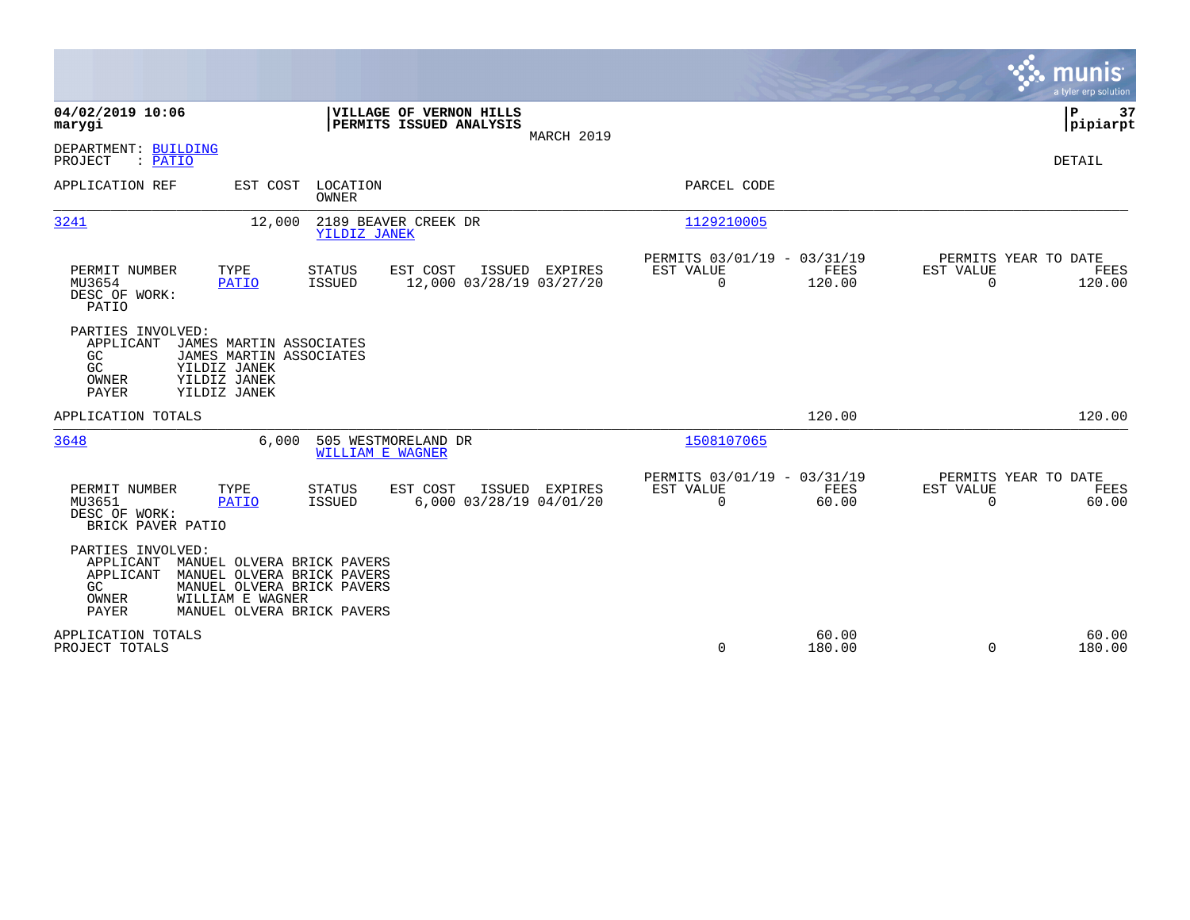|                                                                                                                                                                                                                         |                                            |                                                                           | munis<br>a tyler erp solution                                      |
|-------------------------------------------------------------------------------------------------------------------------------------------------------------------------------------------------------------------------|--------------------------------------------|---------------------------------------------------------------------------|--------------------------------------------------------------------|
| 04/02/2019 10:06<br>VILLAGE OF VERNON HILLS<br>PERMITS ISSUED ANALYSIS<br>marygi                                                                                                                                        | MARCH 2019                                 |                                                                           | P<br>37<br> pipiarpt                                               |
| DEPARTMENT: BUILDING<br>PROJECT<br>: PATIO                                                                                                                                                                              |                                            |                                                                           | DETAIL                                                             |
| APPLICATION REF<br>EST COST<br>LOCATION<br>OWNER                                                                                                                                                                        |                                            | PARCEL CODE                                                               |                                                                    |
| 3241<br>2189 BEAVER CREEK DR<br>12,000<br>YILDIZ JANEK                                                                                                                                                                  |                                            | 1129210005                                                                |                                                                    |
| EST COST<br>PERMIT NUMBER<br>TYPE<br><b>STATUS</b><br><b>ISSUED</b><br>MU3654<br><b>PATIO</b><br>DESC OF WORK:<br>PATIO                                                                                                 | ISSUED EXPIRES<br>12,000 03/28/19 03/27/20 | PERMITS 03/01/19 - 03/31/19<br>FEES<br>EST VALUE<br>$\mathbf 0$<br>120.00 | PERMITS YEAR TO DATE<br>EST VALUE<br>FEES<br>$\mathbf 0$<br>120.00 |
| PARTIES INVOLVED:<br>APPLICANT<br>JAMES MARTIN ASSOCIATES<br>GC<br>JAMES MARTIN ASSOCIATES<br>GC<br>YILDIZ JANEK<br>OWNER<br>YILDIZ JANEK<br>PAYER<br>YILDIZ JANEK                                                      |                                            |                                                                           |                                                                    |
| APPLICATION TOTALS                                                                                                                                                                                                      |                                            | 120.00                                                                    | 120.00                                                             |
| 6,000<br>505 WESTMORELAND DR<br>3648<br><b>WILLIAM E WAGNER</b>                                                                                                                                                         |                                            | 1508107065                                                                |                                                                    |
| PERMIT NUMBER<br>TYPE<br><b>STATUS</b><br>EST COST<br>MU3651<br><b>ISSUED</b><br><b>PATIO</b><br>DESC OF WORK:<br>BRICK PAVER PATIO                                                                                     | ISSUED EXPIRES<br>6,000 03/28/19 04/01/20  | PERMITS 03/01/19 - 03/31/19<br>EST VALUE<br>FEES<br>$\mathbf 0$<br>60.00  | PERMITS YEAR TO DATE<br>EST VALUE<br>FEES<br>$\Omega$<br>60.00     |
| PARTIES INVOLVED:<br>APPLICANT<br>MANUEL OLVERA BRICK PAVERS<br>APPLICANT<br>MANUEL OLVERA BRICK PAVERS<br>GC.<br>MANUEL OLVERA BRICK PAVERS<br>OWNER<br>WILLIAM E WAGNER<br><b>PAYER</b><br>MANUEL OLVERA BRICK PAVERS |                                            |                                                                           |                                                                    |
| APPLICATION TOTALS<br>PROJECT TOTALS                                                                                                                                                                                    |                                            | 60.00<br>0<br>180.00                                                      | 60.00<br>$\Omega$<br>180.00                                        |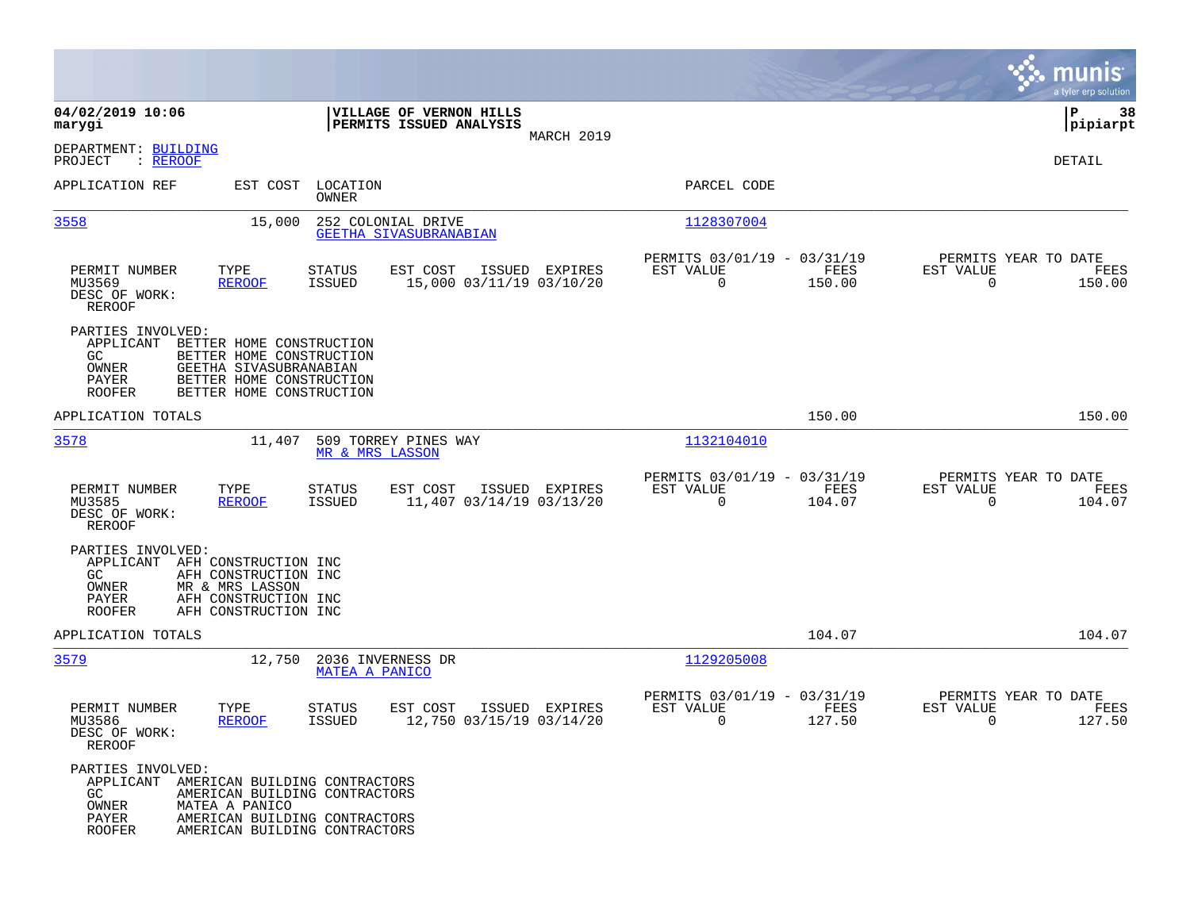|                                                                                                        |                                                                                                                                        |                            |                                                    |                |                                                         |                       |                                                  | munis<br>a tyler erp solution |
|--------------------------------------------------------------------------------------------------------|----------------------------------------------------------------------------------------------------------------------------------------|----------------------------|----------------------------------------------------|----------------|---------------------------------------------------------|-----------------------|--------------------------------------------------|-------------------------------|
| 04/02/2019 10:06<br>marygi                                                                             |                                                                                                                                        |                            | VILLAGE OF VERNON HILLS<br>PERMITS ISSUED ANALYSIS |                |                                                         |                       |                                                  | P<br>38<br>$ $ pipiarpt       |
| DEPARTMENT: BUILDING<br>PROJECT<br>: REROOF                                                            |                                                                                                                                        |                            |                                                    | MARCH 2019     |                                                         |                       |                                                  | DETAIL                        |
| APPLICATION REF                                                                                        |                                                                                                                                        | EST COST LOCATION<br>OWNER |                                                    |                | PARCEL CODE                                             |                       |                                                  |                               |
| 3558                                                                                                   | 15,000                                                                                                                                 |                            | 252 COLONIAL DRIVE<br>GEETHA SIVASUBRANABIAN       |                | 1128307004                                              |                       |                                                  |                               |
| PERMIT NUMBER<br>MU3569<br>DESC OF WORK:<br>REROOF                                                     | TYPE<br><b>REROOF</b>                                                                                                                  | STATUS<br><b>ISSUED</b>    | EST COST<br>15,000 03/11/19 03/10/20               | ISSUED EXPIRES | PERMITS 03/01/19 - 03/31/19<br>EST VALUE<br>$\mathbf 0$ | FEES<br>150.00        | PERMITS YEAR TO DATE<br>EST VALUE<br>$\Omega$    | FEES<br>150.00                |
| PARTIES INVOLVED:<br>APPLICANT<br>GC<br>OWNER<br>PAYER<br><b>ROOFER</b>                                | BETTER HOME CONSTRUCTION<br>BETTER HOME CONSTRUCTION<br>GEETHA SIVASUBRANABIAN<br>BETTER HOME CONSTRUCTION<br>BETTER HOME CONSTRUCTION |                            |                                                    |                |                                                         |                       |                                                  |                               |
| APPLICATION TOTALS                                                                                     |                                                                                                                                        |                            |                                                    |                |                                                         | 150.00                |                                                  | 150.00                        |
| 3578                                                                                                   | 11,407                                                                                                                                 | MR & MRS LASSON            | 509 TORREY PINES WAY                               |                | 1132104010                                              |                       |                                                  |                               |
| PERMIT NUMBER<br>MU3585<br>DESC OF WORK:<br><b>REROOF</b>                                              | TYPE<br><b>REROOF</b>                                                                                                                  | <b>STATUS</b><br>ISSUED    | EST COST<br>11,407 03/14/19 03/13/20               | ISSUED EXPIRES | PERMITS 03/01/19 - 03/31/19<br>EST VALUE<br>$\mathbf 0$ | <b>FEES</b><br>104.07 | PERMITS YEAR TO DATE<br>EST VALUE<br>$\mathbf 0$ | FEES<br>104.07                |
| PARTIES INVOLVED:<br>APPLICANT<br>GC.<br>OWNER<br>PAYER<br><b>ROOFER</b>                               | AFH CONSTRUCTION INC<br>AFH CONSTRUCTION INC<br>MR & MRS LASSON<br>AFH CONSTRUCTION INC<br>AFH CONSTRUCTION INC                        |                            |                                                    |                |                                                         |                       |                                                  |                               |
| APPLICATION TOTALS                                                                                     |                                                                                                                                        |                            |                                                    |                |                                                         | 104.07                |                                                  | 104.07                        |
| 3579                                                                                                   | 12,750                                                                                                                                 | <b>MATEA A PANICO</b>      | 2036 INVERNESS DR                                  |                | 1129205008                                              |                       |                                                  |                               |
| PERMIT NUMBER<br>MU3586<br>DESC OF WORK:<br>REROOF                                                     | TYPE<br><b>REROOF</b>                                                                                                                  | <b>STATUS</b><br>ISSUED    | EST COST<br>12,750 03/15/19 03/14/20               | ISSUED EXPIRES | PERMITS 03/01/19 - 03/31/19<br>EST VALUE<br>0           | FEES<br>127.50        | PERMITS YEAR TO DATE<br>EST VALUE<br>0           | FEES<br>127.50                |
| PARTIES INVOLVED:<br>APPLICANT AMERICAN BUILDING CONTRACTORS<br>GC.<br>OWNER<br>PAYER<br><b>ROOFER</b> | AMERICAN BUILDING CONTRACTORS<br>MATEA A PANICO<br>AMERICAN BUILDING CONTRACTORS<br>AMERICAN BUILDING CONTRACTORS                      |                            |                                                    |                |                                                         |                       |                                                  |                               |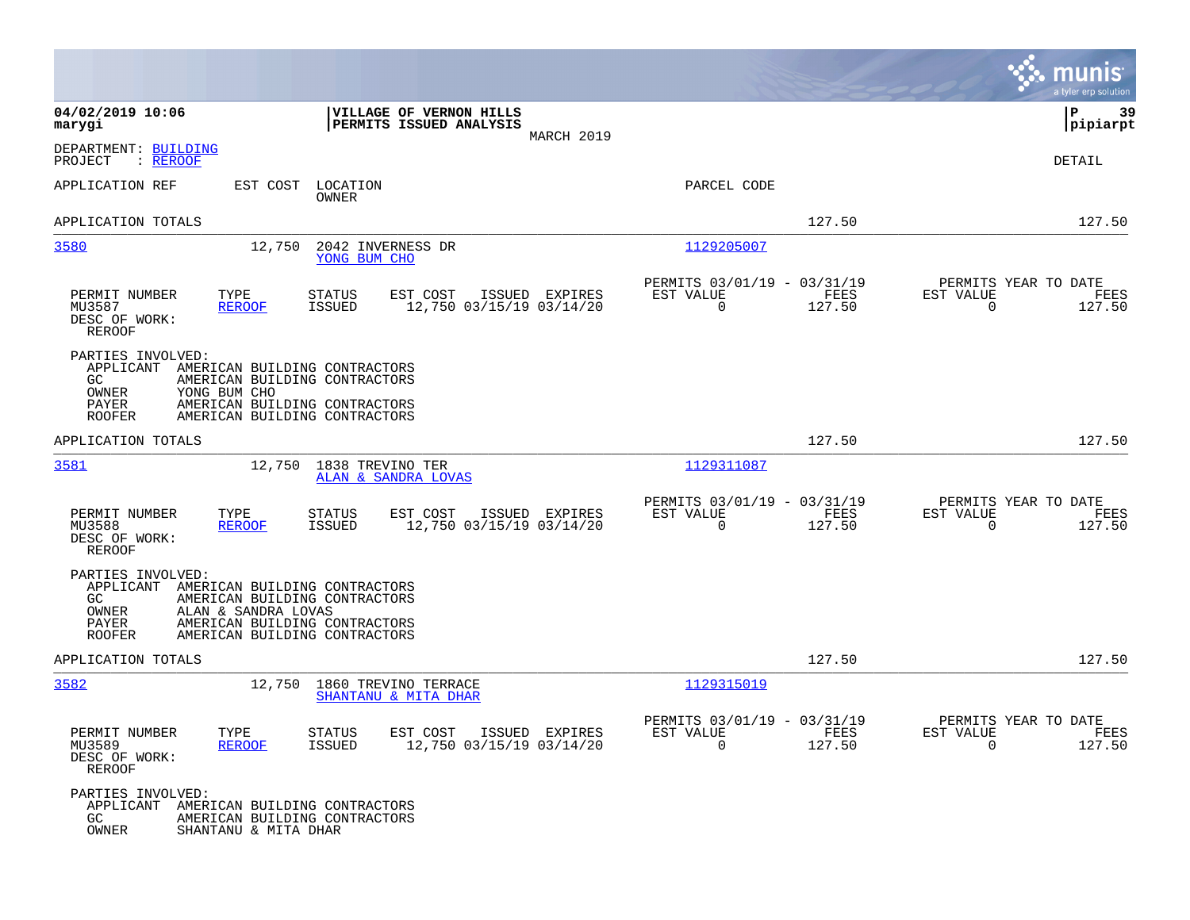|                                                                                         |                                                                                                                                                         |                                                     |                |                                                         |                |                                                     | munis<br>a tyler erp solution |
|-----------------------------------------------------------------------------------------|---------------------------------------------------------------------------------------------------------------------------------------------------------|-----------------------------------------------------|----------------|---------------------------------------------------------|----------------|-----------------------------------------------------|-------------------------------|
| 04/02/2019 10:06<br>marygi                                                              |                                                                                                                                                         | VILLAGE OF VERNON HILLS<br>PERMITS ISSUED ANALYSIS  | MARCH 2019     |                                                         |                |                                                     | ΙP<br>-39<br> pipiarpt        |
| DEPARTMENT: BUILDING<br>PROJECT<br>: <u>REROOF</u>                                      |                                                                                                                                                         |                                                     |                |                                                         |                |                                                     | DETAIL                        |
| APPLICATION REF                                                                         | EST COST<br>LOCATION<br>OWNER                                                                                                                           |                                                     |                | PARCEL CODE                                             |                |                                                     |                               |
| APPLICATION TOTALS                                                                      |                                                                                                                                                         |                                                     |                |                                                         | 127.50         |                                                     | 127.50                        |
| 3580                                                                                    | 12,750<br>YONG BUM CHO                                                                                                                                  | 2042 INVERNESS DR                                   |                | 1129205007                                              |                |                                                     |                               |
| PERMIT NUMBER<br>MU3587<br>DESC OF WORK:<br><b>REROOF</b>                               | TYPE<br><b>STATUS</b><br><b>REROOF</b><br>ISSUED                                                                                                        | EST COST<br>12,750 03/15/19 03/14/20                | ISSUED EXPIRES | PERMITS 03/01/19 - 03/31/19<br>EST VALUE<br>$\mathbf 0$ | FEES<br>127.50 | PERMITS YEAR TO DATE<br>EST VALUE<br>$\Omega$       | FEES<br>127.50                |
| PARTIES INVOLVED:<br>APPLICANT<br>GC<br>OWNER<br>YONG BUM CHO<br>PAYER<br><b>ROOFER</b> | AMERICAN BUILDING CONTRACTORS<br>AMERICAN BUILDING CONTRACTORS<br>AMERICAN BUILDING CONTRACTORS<br>AMERICAN BUILDING CONTRACTORS                        |                                                     |                |                                                         |                |                                                     |                               |
| APPLICATION TOTALS                                                                      |                                                                                                                                                         |                                                     |                |                                                         | 127.50         |                                                     | 127.50                        |
| 3581                                                                                    | 12,750<br>1838 TREVINO TER                                                                                                                              | ALAN & SANDRA LOVAS                                 |                | 1129311087                                              |                |                                                     |                               |
| PERMIT NUMBER<br>MU3588<br>DESC OF WORK:<br><b>REROOF</b>                               | TYPE<br><b>STATUS</b><br>ISSUED<br><b>REROOF</b>                                                                                                        | EST COST<br>12,750 03/15/19 03/14/20                | ISSUED EXPIRES | PERMITS 03/01/19 - 03/31/19<br>EST VALUE<br>$\mathbf 0$ | FEES<br>127.50 | PERMITS YEAR TO DATE<br>EST VALUE<br>$\overline{0}$ | FEES<br>127.50                |
| PARTIES INVOLVED:<br>APPLICANT<br>GC<br>OWNER<br>PAYER<br><b>ROOFER</b>                 | AMERICAN BUILDING CONTRACTORS<br>AMERICAN BUILDING CONTRACTORS<br>ALAN & SANDRA LOVAS<br>AMERICAN BUILDING CONTRACTORS<br>AMERICAN BUILDING CONTRACTORS |                                                     |                |                                                         |                |                                                     |                               |
| APPLICATION TOTALS                                                                      |                                                                                                                                                         |                                                     |                |                                                         | 127.50         |                                                     | 127.50                        |
| 3582                                                                                    | 12,750 1860 TREVINO TERRACE                                                                                                                             | SHANTANU & MITA DHAR                                |                | 1129315019                                              |                |                                                     |                               |
| PERMIT NUMBER<br>MU3589<br>DESC OF WORK:<br>REROOF                                      | STATUS<br>TYPE<br><b>REROOF</b><br>ISSUED                                                                                                               | EST COST ISSUED EXPIRES<br>12,750 03/15/19 03/14/20 |                | PERMITS 03/01/19 - 03/31/19<br>EST VALUE<br>$\Omega$    | FEES<br>127.50 | PERMITS YEAR TO DATE<br>EST VALUE<br>$\Omega$       | FEES<br>127.50                |
| PARTIES INVOLVED:<br>GC<br>OWNER                                                        | APPLICANT AMERICAN BUILDING CONTRACTORS<br>AMERICAN BUILDING CONTRACTORS<br>SHANTANU & MITA DHAR                                                        |                                                     |                |                                                         |                |                                                     |                               |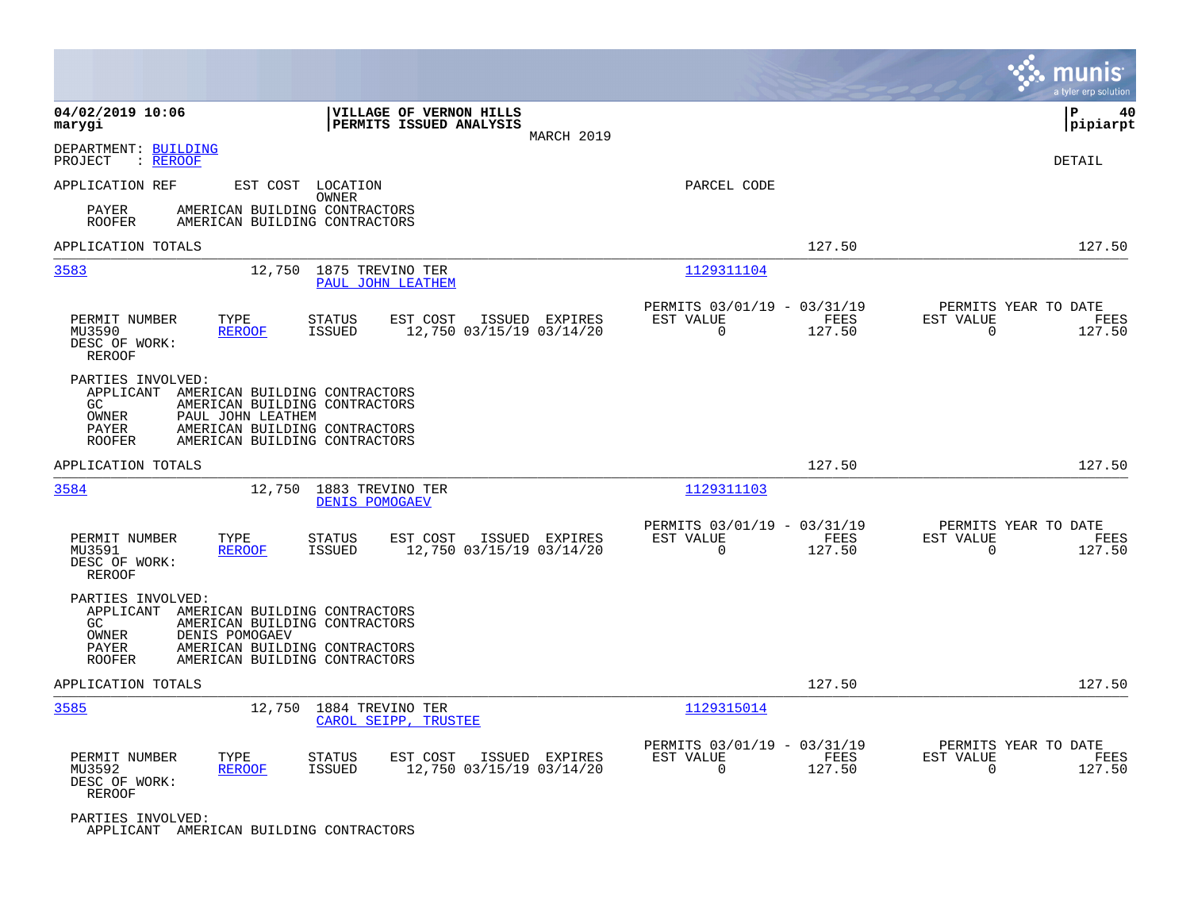|                                                                                                                                                                                                                                  | munis<br>a tyler erp solution                                                                                                                   |
|----------------------------------------------------------------------------------------------------------------------------------------------------------------------------------------------------------------------------------|-------------------------------------------------------------------------------------------------------------------------------------------------|
| 04/02/2019 10:06<br>VILLAGE OF VERNON HILLS<br>PERMITS ISSUED ANALYSIS<br>marygi<br>MARCH 2019                                                                                                                                   | P<br>40<br> pipiarpt                                                                                                                            |
| DEPARTMENT: BUILDING<br>PROJECT<br>: REROOF                                                                                                                                                                                      | <b>DETAIL</b>                                                                                                                                   |
| APPLICATION REF<br>EST COST LOCATION<br><b>OWNER</b><br>PAYER<br>AMERICAN BUILDING CONTRACTORS                                                                                                                                   | PARCEL CODE                                                                                                                                     |
| <b>ROOFER</b><br>AMERICAN BUILDING CONTRACTORS<br>APPLICATION TOTALS                                                                                                                                                             | 127.50<br>127.50                                                                                                                                |
| 3583<br>12,750 1875 TREVINO TER<br>PAUL JOHN LEATHEM                                                                                                                                                                             | 1129311104                                                                                                                                      |
| PERMIT NUMBER<br>TYPE<br>EST COST<br>ISSUED EXPIRES<br><b>STATUS</b><br>MU3590<br><b>REROOF</b><br><b>ISSUED</b><br>12,750 03/15/19 03/14/20<br>DESC OF WORK:<br><b>REROOF</b>                                                   | PERMITS 03/01/19 - 03/31/19<br>PERMITS YEAR TO DATE<br>EST VALUE<br>FEES<br>EST VALUE<br>FEES<br>127.50<br>$\mathbf 0$<br>127.50<br>$\mathbf 0$ |
| PARTIES INVOLVED:<br>APPLICANT<br>AMERICAN BUILDING CONTRACTORS<br>GC<br>AMERICAN BUILDING CONTRACTORS<br>OWNER<br>PAUL JOHN LEATHEM<br>PAYER<br>AMERICAN BUILDING CONTRACTORS<br><b>ROOFER</b><br>AMERICAN BUILDING CONTRACTORS |                                                                                                                                                 |
| APPLICATION TOTALS                                                                                                                                                                                                               | 127.50<br>127.50                                                                                                                                |
| 3584<br>12,750<br>1883 TREVINO TER<br><b>DENIS POMOGAEV</b>                                                                                                                                                                      | 1129311103                                                                                                                                      |
| PERMIT NUMBER<br>TYPE<br><b>STATUS</b><br>EST COST<br>ISSUED EXPIRES<br>12,750 03/15/19 03/14/20<br>MU3591<br><b>REROOF</b><br><b>ISSUED</b><br>DESC OF WORK:<br><b>REROOF</b>                                                   | PERMITS 03/01/19 - 03/31/19<br>PERMITS YEAR TO DATE<br>FEES<br>EST VALUE<br>EST VALUE<br>FEES<br>$\mathbf 0$<br>127.50<br>$\mathbf 0$<br>127.50 |
| PARTIES INVOLVED:<br>APPLICANT<br>AMERICAN BUILDING CONTRACTORS<br>GC<br>AMERICAN BUILDING CONTRACTORS<br>OWNER<br>DENIS POMOGAEV<br>PAYER<br>AMERICAN BUILDING CONTRACTORS<br><b>ROOFER</b><br>AMERICAN BUILDING CONTRACTORS    |                                                                                                                                                 |
| APPLICATION TOTALS                                                                                                                                                                                                               | 127.50<br>127.50                                                                                                                                |
| 3585<br>12,750<br>1884 TREVINO TER<br>CAROL SEIPP, TRUSTEE                                                                                                                                                                       | 1129315014                                                                                                                                      |
| PERMIT NUMBER<br>TYPE<br><b>STATUS</b><br>EST COST<br>ISSUED EXPIRES<br>MU3592<br><b>ISSUED</b><br>12,750 03/15/19 03/14/20<br><b>REROOF</b><br>DESC OF WORK:<br><b>REROOF</b>                                                   | PERMITS 03/01/19 - 03/31/19<br>PERMITS YEAR TO DATE<br>EST VALUE<br>FEES<br>EST VALUE<br>FEES<br>$\Omega$<br>$\Omega$<br>127.50<br>127.50       |
| PARTIES INVOLVED:                                                                                                                                                                                                                |                                                                                                                                                 |

APPLICANT AMERICAN BUILDING CONTRACTORS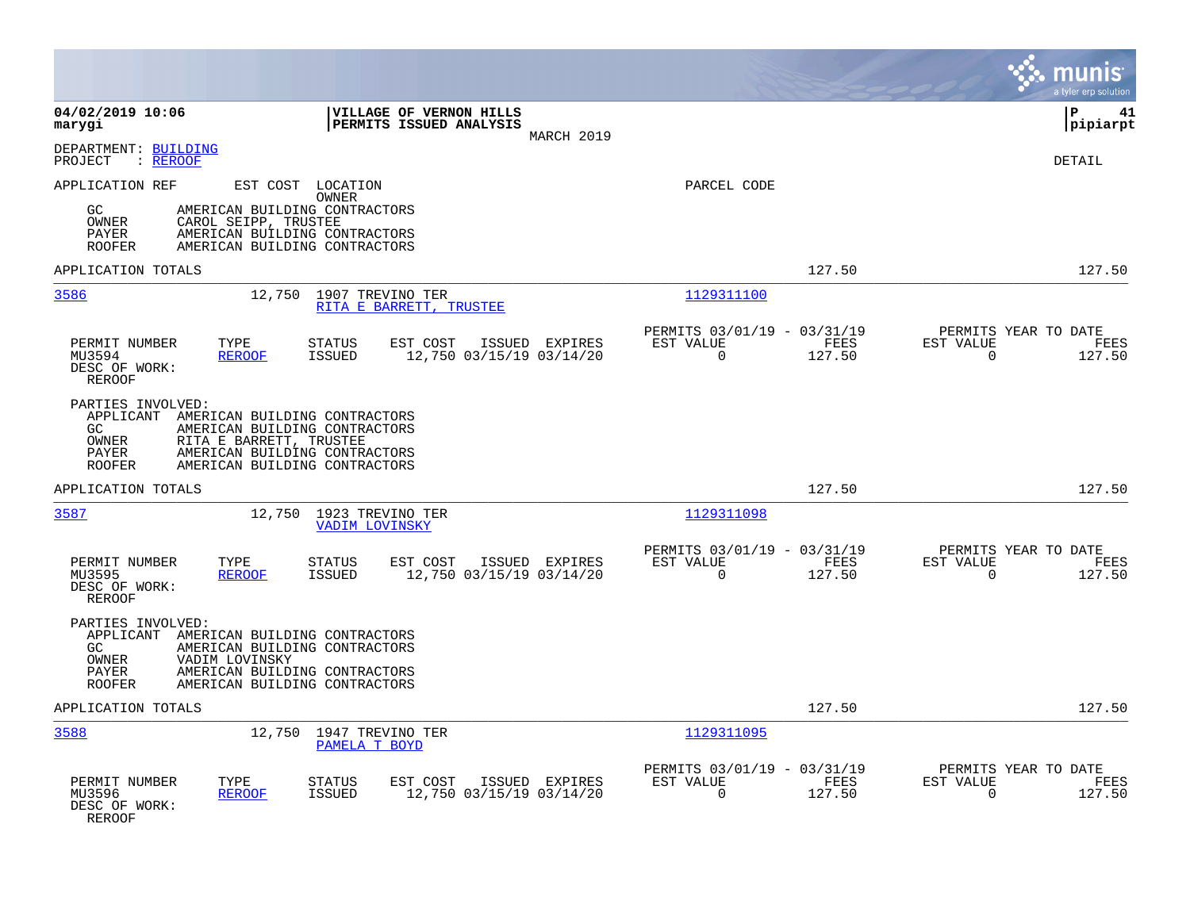|                                                                                                                                                                                                                                        |                                                                                  | munis<br>a tyler erp solution                                   |
|----------------------------------------------------------------------------------------------------------------------------------------------------------------------------------------------------------------------------------------|----------------------------------------------------------------------------------|-----------------------------------------------------------------|
| 04/02/2019 10:06<br>VILLAGE OF VERNON HILLS<br>PERMITS ISSUED ANALYSIS<br>marygi<br>MARCH 2019                                                                                                                                         |                                                                                  | l P<br>41<br> pipiarpt                                          |
| DEPARTMENT: BUILDING<br>: REROOF<br>PROJECT                                                                                                                                                                                            |                                                                                  | <b>DETAIL</b>                                                   |
| APPLICATION REF<br>EST COST LOCATION<br>OWNER<br>GC.<br>AMERICAN BUILDING CONTRACTORS<br>OWNER<br>CAROL SEIPP, TRUSTEE<br>AMERICAN BUILDING CONTRACTORS<br>PAYER<br><b>ROOFER</b><br>AMERICAN BUILDING CONTRACTORS                     | PARCEL CODE                                                                      |                                                                 |
| APPLICATION TOTALS                                                                                                                                                                                                                     | 127.50                                                                           | 127.50                                                          |
| 3586<br>12,750<br>1907 TREVINO TER<br>RITA E BARRETT, TRUSTEE                                                                                                                                                                          | 1129311100                                                                       |                                                                 |
| PERMIT NUMBER<br>TYPE<br><b>STATUS</b><br>EST COST<br>ISSUED EXPIRES<br><b>ISSUED</b><br>12,750 03/15/19 03/14/20<br>MU3594<br><b>REROOF</b><br>DESC OF WORK:<br><b>REROOF</b>                                                         | PERMITS 03/01/19 - 03/31/19<br>EST VALUE<br><b>FEES</b><br>$\mathbf 0$<br>127.50 | PERMITS YEAR TO DATE<br>EST VALUE<br>FEES<br>0<br>127.50        |
| PARTIES INVOLVED:<br>APPLICANT<br>AMERICAN BUILDING CONTRACTORS<br>GC<br>AMERICAN BUILDING CONTRACTORS<br>RITA E BARRETT, TRUSTEE<br>OWNER<br>PAYER<br>AMERICAN BUILDING CONTRACTORS<br>AMERICAN BUILDING CONTRACTORS<br><b>ROOFER</b> |                                                                                  |                                                                 |
| APPLICATION TOTALS                                                                                                                                                                                                                     | 127.50                                                                           | 127.50                                                          |
| 3587<br>12,750 1923 TREVINO TER<br><b>VADIM LOVINSKY</b>                                                                                                                                                                               | 1129311098                                                                       |                                                                 |
| PERMIT NUMBER<br>TYPE<br><b>STATUS</b><br>EST COST<br>ISSUED EXPIRES<br>MU3595<br><b>REROOF</b><br><b>ISSUED</b><br>12,750 03/15/19 03/14/20<br>DESC OF WORK:<br>REROOF                                                                | PERMITS 03/01/19 - 03/31/19<br>EST VALUE<br>FEES<br>$\Omega$<br>127.50           | PERMITS YEAR TO DATE<br>EST VALUE<br>FEES<br>$\Omega$<br>127.50 |
| PARTIES INVOLVED:<br>APPLICANT AMERICAN BUILDING CONTRACTORS<br>GC.<br>AMERICAN BUILDING CONTRACTORS<br>OWNER<br>VADIM LOVINSKY<br>PAYER<br>AMERICAN BUILDING CONTRACTORS<br><b>ROOFER</b><br>AMERICAN BUILDING CONTRACTORS            |                                                                                  |                                                                 |
| APPLICATION TOTALS                                                                                                                                                                                                                     | 127.50                                                                           | 127.50                                                          |
| 3588<br>12,750 1947 TREVINO TER<br>PAMELA T BOYD                                                                                                                                                                                       | 1129311095                                                                       |                                                                 |
| PERMIT NUMBER<br>TYPE<br><b>STATUS</b><br>EST COST<br>ISSUED EXPIRES<br>MU3596<br>12,750 03/15/19 03/14/20<br><b>REROOF</b><br><b>ISSUED</b><br>DESC OF WORK:<br>REROOF                                                                | PERMITS 03/01/19 - 03/31/19<br>EST VALUE<br>FEES<br>$\Omega$<br>127.50           | PERMITS YEAR TO DATE<br>EST VALUE<br>FEES<br>127.50<br>$\Omega$ |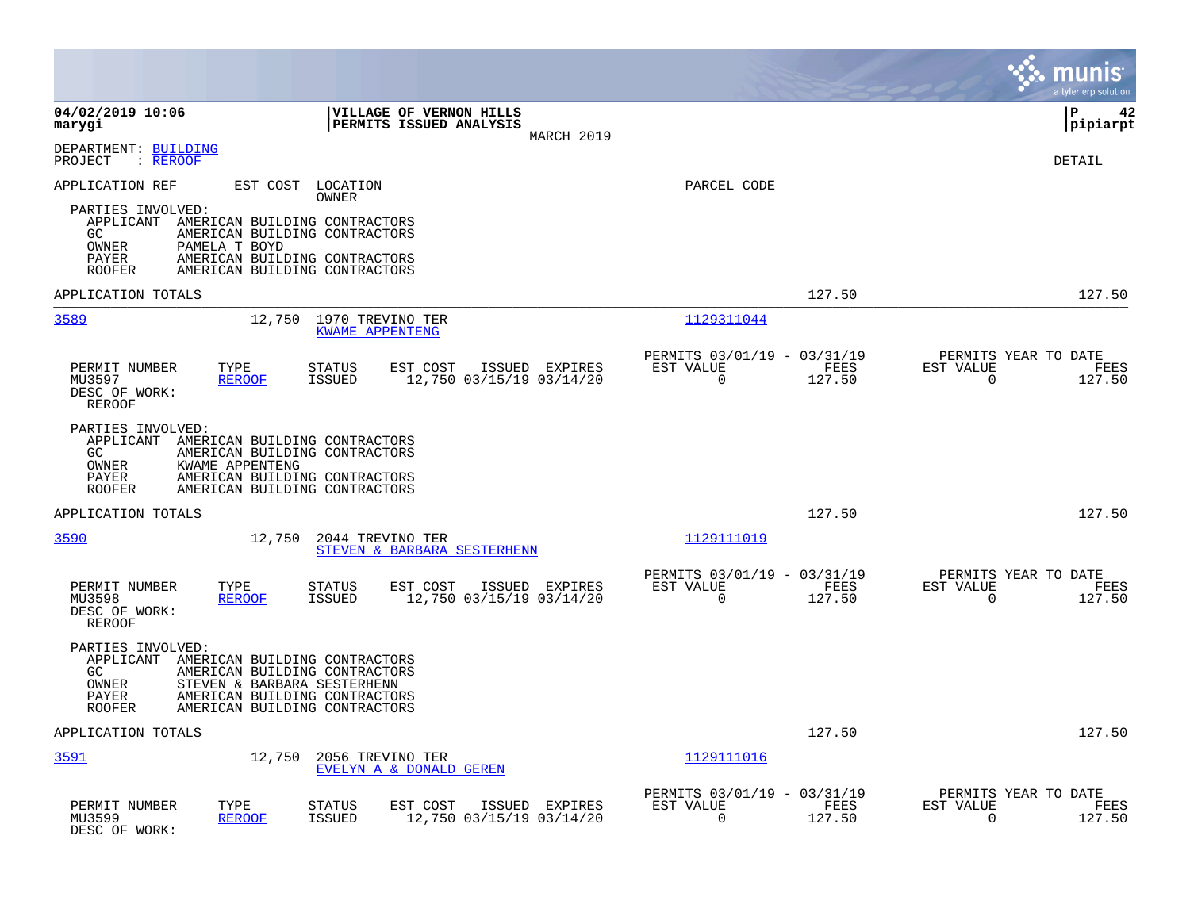|                                                                                                                                                                                                                                             |                                                                           | munis<br>a tyler erp solution                                      |
|---------------------------------------------------------------------------------------------------------------------------------------------------------------------------------------------------------------------------------------------|---------------------------------------------------------------------------|--------------------------------------------------------------------|
| 04/02/2019 10:06<br>VILLAGE OF VERNON HILLS<br>PERMITS ISSUED ANALYSIS<br>marygi<br>MARCH 2019                                                                                                                                              |                                                                           | l P<br>42<br> pipiarpt                                             |
| DEPARTMENT: BUILDING<br>: REROOF<br>PROJECT                                                                                                                                                                                                 |                                                                           | DETAIL                                                             |
| APPLICATION REF<br>EST COST<br>LOCATION<br>OWNER                                                                                                                                                                                            | PARCEL CODE                                                               |                                                                    |
| PARTIES INVOLVED:<br>APPLICANT AMERICAN BUILDING CONTRACTORS<br>GC<br>AMERICAN BUILDING CONTRACTORS<br>PAMELA T BOYD<br>OWNER<br>PAYER<br>AMERICAN BUILDING CONTRACTORS<br><b>ROOFER</b><br>AMERICAN BUILDING CONTRACTORS                   |                                                                           |                                                                    |
| APPLICATION TOTALS                                                                                                                                                                                                                          | 127.50                                                                    | 127.50                                                             |
| 3589<br>12,750<br>1970 TREVINO TER<br><b>KWAME APPENTENG</b>                                                                                                                                                                                | 1129311044                                                                |                                                                    |
| PERMIT NUMBER<br>TYPE<br>EST COST<br>ISSUED EXPIRES<br><b>STATUS</b><br>MU3597<br><b>REROOF</b><br><b>ISSUED</b><br>12,750 03/15/19 03/14/20<br>DESC OF WORK:<br><b>REROOF</b>                                                              | PERMITS 03/01/19 - 03/31/19<br>EST VALUE<br>FEES<br>$\Omega$<br>127.50    | PERMITS YEAR TO DATE<br>EST VALUE<br>FEES<br>$\Omega$<br>127.50    |
| PARTIES INVOLVED:<br>APPLICANT<br>AMERICAN BUILDING CONTRACTORS<br>GC.<br>AMERICAN BUILDING CONTRACTORS<br>OWNER<br>KWAME APPENTENG<br>PAYER<br>AMERICAN BUILDING CONTRACTORS<br>AMERICAN BUILDING CONTRACTORS<br><b>ROOFER</b>             |                                                                           |                                                                    |
| APPLICATION TOTALS                                                                                                                                                                                                                          | 127.50                                                                    | 127.50                                                             |
| 3590<br>12,750<br>2044 TREVINO TER<br>STEVEN & BARBARA SESTERHENN                                                                                                                                                                           | 1129111019                                                                |                                                                    |
| PERMIT NUMBER<br>TYPE<br>EST COST<br>ISSUED EXPIRES<br>STATUS<br>12,750 03/15/19 03/14/20<br>MU3598<br><b>ISSUED</b><br><b>REROOF</b><br>DESC OF WORK:<br><b>REROOF</b>                                                                     | PERMITS 03/01/19 - 03/31/19<br>EST VALUE<br>FEES<br>$\mathbf 0$<br>127.50 | PERMITS YEAR TO DATE<br>EST VALUE<br>FEES<br>$\mathbf 0$<br>127.50 |
| PARTIES INVOLVED:<br>APPLICANT<br>AMERICAN BUILDING CONTRACTORS<br>GC.<br>AMERICAN BUILDING CONTRACTORS<br>OWNER<br>STEVEN & BARBARA SESTERHENN<br>AMERICAN BUILDING CONTRACTORS<br>PAYER<br>AMERICAN BUILDING CONTRACTORS<br><b>ROOFER</b> |                                                                           |                                                                    |
| APPLICATION TOTALS                                                                                                                                                                                                                          | 127.50                                                                    | 127.50                                                             |
| 3591<br>12,750<br>2056 TREVINO TER<br>EVELYN A & DONALD GEREN                                                                                                                                                                               | 1129111016                                                                |                                                                    |
| PERMIT NUMBER<br>TYPE<br>EST COST<br>ISSUED EXPIRES<br>STATUS<br>MU3599<br><b>REROOF</b><br><b>ISSUED</b><br>12,750 03/15/19 03/14/20<br>DESC OF WORK:                                                                                      | PERMITS 03/01/19 - 03/31/19<br>EST VALUE<br>FEES<br>$\mathbf 0$<br>127.50 | PERMITS YEAR TO DATE<br>EST VALUE<br>FEES<br>$\mathbf 0$<br>127.50 |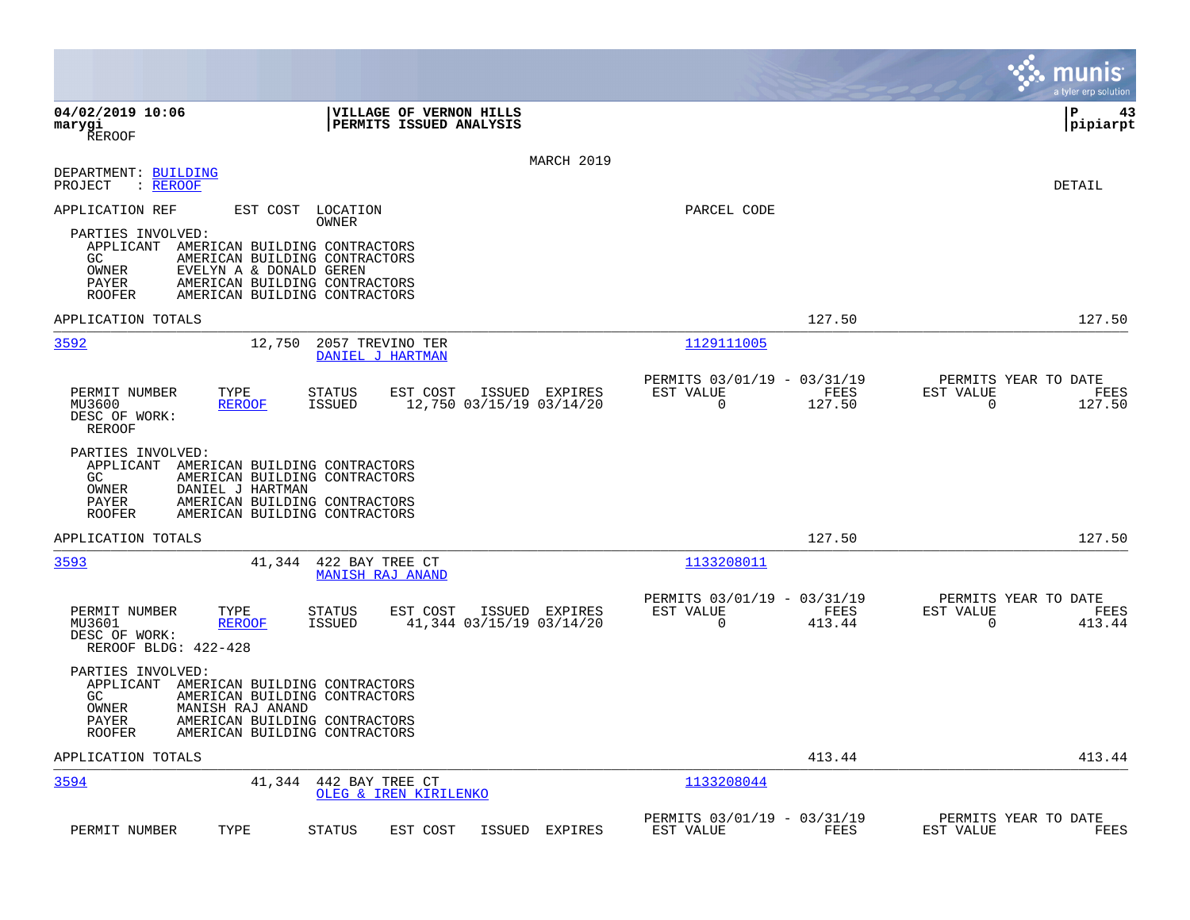|                                                                                                                                                                                                                                             |                                                                              | munis<br>a tyler erp solution                                      |
|---------------------------------------------------------------------------------------------------------------------------------------------------------------------------------------------------------------------------------------------|------------------------------------------------------------------------------|--------------------------------------------------------------------|
| 04/02/2019 10:06<br>VILLAGE OF VERNON HILLS<br><b>PERMITS ISSUED ANALYSIS</b><br>marygi<br><b>REROOF</b>                                                                                                                                    |                                                                              | l P<br>43<br> pipiarpt                                             |
| MARCH 2019<br>DEPARTMENT: BUILDING<br>PROJECT<br>$:$ REROOF                                                                                                                                                                                 |                                                                              | DETAIL                                                             |
| APPLICATION REF<br>EST COST LOCATION<br>OWNER                                                                                                                                                                                               | PARCEL CODE                                                                  |                                                                    |
| PARTIES INVOLVED:<br>APPLICANT AMERICAN BUILDING CONTRACTORS<br>GC.<br>AMERICAN BUILDING CONTRACTORS<br>EVELYN A & DONALD GEREN<br>OWNER<br>AMERICAN BUILDING CONTRACTORS<br><b>PAYER</b><br>AMERICAN BUILDING CONTRACTORS<br><b>ROOFER</b> |                                                                              |                                                                    |
| APPLICATION TOTALS                                                                                                                                                                                                                          | 127.50                                                                       | 127.50                                                             |
| 3592<br>12,750<br>2057 TREVINO TER<br>DANIEL J HARTMAN                                                                                                                                                                                      | 1129111005                                                                   |                                                                    |
| TYPE<br>ISSUED EXPIRES<br>PERMIT NUMBER<br><b>STATUS</b><br>EST COST<br>12,750 03/15/19 03/14/20<br>MU3600<br><b>REROOF</b><br><b>ISSUED</b><br>DESC OF WORK:<br><b>REROOF</b>                                                              | PERMITS 03/01/19 - 03/31/19<br>EST VALUE<br>FEES<br>$\mathbf 0$<br>127.50    | PERMITS YEAR TO DATE<br>EST VALUE<br>FEES<br>0<br>127.50           |
| PARTIES INVOLVED:<br>APPLICANT<br>AMERICAN BUILDING CONTRACTORS<br>GC.<br>AMERICAN BUILDING CONTRACTORS<br>OWNER<br>DANIEL J HARTMAN<br>AMERICAN BUILDING CONTRACTORS<br>PAYER<br><b>ROOFER</b><br>AMERICAN BUILDING CONTRACTORS            |                                                                              |                                                                    |
| APPLICATION TOTALS                                                                                                                                                                                                                          | 127.50                                                                       | 127.50                                                             |
| 3593<br>41,344<br>422 BAY TREE CT<br><b>MANISH RAJ ANAND</b>                                                                                                                                                                                | 1133208011                                                                   |                                                                    |
| PERMIT NUMBER<br>ISSUED EXPIRES<br>TYPE<br>STATUS<br>EST COST<br><b>REROOF</b><br><b>ISSUED</b><br>41,344 03/15/19 03/14/20<br>MU3601<br>DESC OF WORK:<br>REROOF BLDG: 422-428                                                              | PERMITS 03/01/19 - 03/31/19<br>EST VALUE<br>FEES<br>$\overline{0}$<br>413.44 | PERMITS YEAR TO DATE<br>EST VALUE<br>FEES<br>$\mathbf 0$<br>413.44 |
| PARTIES INVOLVED:<br>APPLICANT<br>AMERICAN BUILDING CONTRACTORS<br>GC<br>AMERICAN BUILDING CONTRACTORS<br>OWNER<br>MANISH RAJ ANAND<br>AMERICAN BUILDING CONTRACTORS<br>PAYER<br>AMERICAN BUILDING CONTRACTORS<br><b>ROOFER</b>             |                                                                              |                                                                    |
| APPLICATION TOTALS                                                                                                                                                                                                                          | 413.44                                                                       | 413.44                                                             |
| 3594<br>41,344<br>442 BAY TREE CT<br>OLEG & IREN KIRILENKO                                                                                                                                                                                  | 1133208044                                                                   |                                                                    |
| TYPE<br>ISSUED<br>PERMIT NUMBER<br><b>STATUS</b><br>EST COST<br><b>EXPIRES</b>                                                                                                                                                              | PERMITS 03/01/19 - 03/31/19<br>EST VALUE<br>FEES                             | PERMITS YEAR TO DATE<br>EST VALUE<br>FEES                          |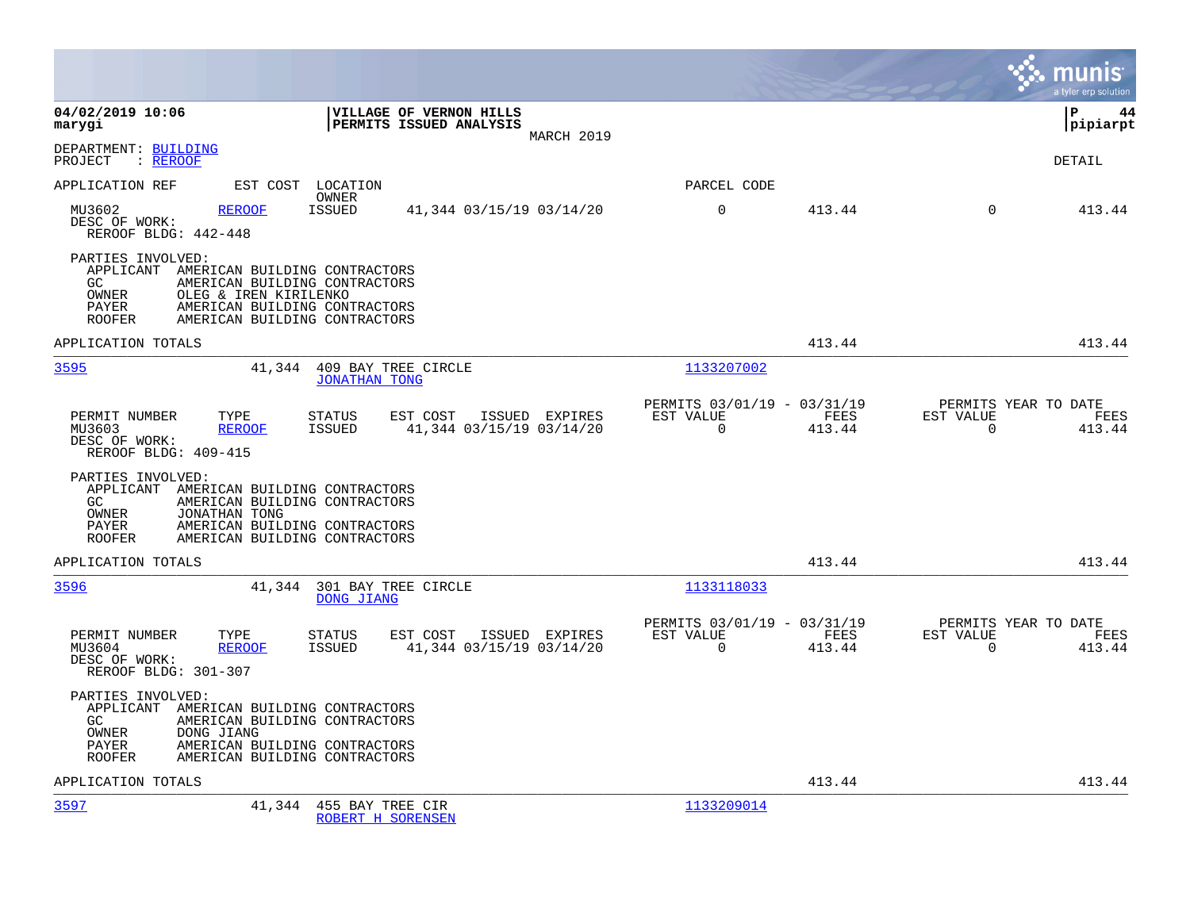|                                                                                                                                                                                                                             |                                                                           | munis<br>a tyler erp solution                                      |
|-----------------------------------------------------------------------------------------------------------------------------------------------------------------------------------------------------------------------------|---------------------------------------------------------------------------|--------------------------------------------------------------------|
| 04/02/2019 10:06<br>VILLAGE OF VERNON HILLS<br>PERMITS ISSUED ANALYSIS<br>marygi<br>MARCH 2019                                                                                                                              |                                                                           | l P<br>44<br> pipiarpt                                             |
| DEPARTMENT: BUILDING<br>$:$ REROOF<br>PROJECT                                                                                                                                                                               |                                                                           | <b>DETAIL</b>                                                      |
| APPLICATION REF<br>EST COST LOCATION<br>OWNER                                                                                                                                                                               | PARCEL CODE                                                               |                                                                    |
| MU3602<br><b>ISSUED</b><br>41,344 03/15/19 03/14/20<br><b>REROOF</b><br>DESC OF WORK:<br>REROOF BLDG: 442-448                                                                                                               | $\mathbf 0$<br>413.44                                                     | $\Omega$<br>413.44                                                 |
| PARTIES INVOLVED:<br>APPLICANT AMERICAN BUILDING CONTRACTORS<br>GC.<br>AMERICAN BUILDING CONTRACTORS<br>OWNER<br>OLEG & IREN KIRILENKO<br>AMERICAN BUILDING CONTRACTORS<br>PAYER<br>AMERICAN BUILDING CONTRACTORS<br>ROOFER |                                                                           |                                                                    |
| APPLICATION TOTALS                                                                                                                                                                                                          | 413.44                                                                    | 413.44                                                             |
| 3595<br>41,344 409 BAY TREE CIRCLE<br><b>JONATHAN TONG</b>                                                                                                                                                                  | 1133207002                                                                |                                                                    |
| PERMIT NUMBER<br>TYPE<br><b>STATUS</b><br>EST COST<br>ISSUED EXPIRES<br>ISSUED<br>41,344 03/15/19 03/14/20<br>MU3603<br><b>REROOF</b><br>DESC OF WORK:<br>REROOF BLDG: 409-415                                              | PERMITS 03/01/19 - 03/31/19<br>EST VALUE<br>FEES<br>$\mathbf 0$<br>413.44 | PERMITS YEAR TO DATE<br>EST VALUE<br>FEES<br>$\mathbf 0$<br>413.44 |
| PARTIES INVOLVED:<br>APPLICANT AMERICAN BUILDING CONTRACTORS<br>GC<br>AMERICAN BUILDING CONTRACTORS<br>OWNER<br>JONATHAN TONG<br>PAYER<br>AMERICAN BUILDING CONTRACTORS<br>AMERICAN BUILDING CONTRACTORS<br><b>ROOFER</b>   |                                                                           |                                                                    |
| APPLICATION TOTALS                                                                                                                                                                                                          | 413.44                                                                    | 413.44                                                             |
| 3596<br>41,344 301 BAY TREE CIRCLE<br>DONG JIANG                                                                                                                                                                            | 1133118033                                                                |                                                                    |
| PERMIT NUMBER<br>TYPE<br><b>STATUS</b><br>EST COST<br>ISSUED EXPIRES<br>MU3604<br><b>REROOF</b><br>ISSUED<br>41,344 03/15/19 03/14/20<br>DESC OF WORK:<br>REROOF BLDG: 301-307                                              | PERMITS 03/01/19 - 03/31/19<br>EST VALUE<br>FEES<br>$\mathbf 0$<br>413.44 | PERMITS YEAR TO DATE<br>EST VALUE<br>FEES<br>$\mathbf 0$<br>413.44 |
| PARTIES INVOLVED:<br>APPLICANT AMERICAN BUILDING CONTRACTORS<br>AMERICAN BUILDING CONTRACTORS<br>GC.<br>OWNER<br>DONG JIANG<br>PAYER<br>AMERICAN BUILDING CONTRACTORS<br>AMERICAN BUILDING CONTRACTORS<br><b>ROOFER</b>     |                                                                           |                                                                    |
| APPLICATION TOTALS                                                                                                                                                                                                          | 413.44                                                                    | 413.44                                                             |
| 3597<br>41,344 455 BAY TREE CIR<br>ROBERT H SORENSEN                                                                                                                                                                        | 1133209014                                                                |                                                                    |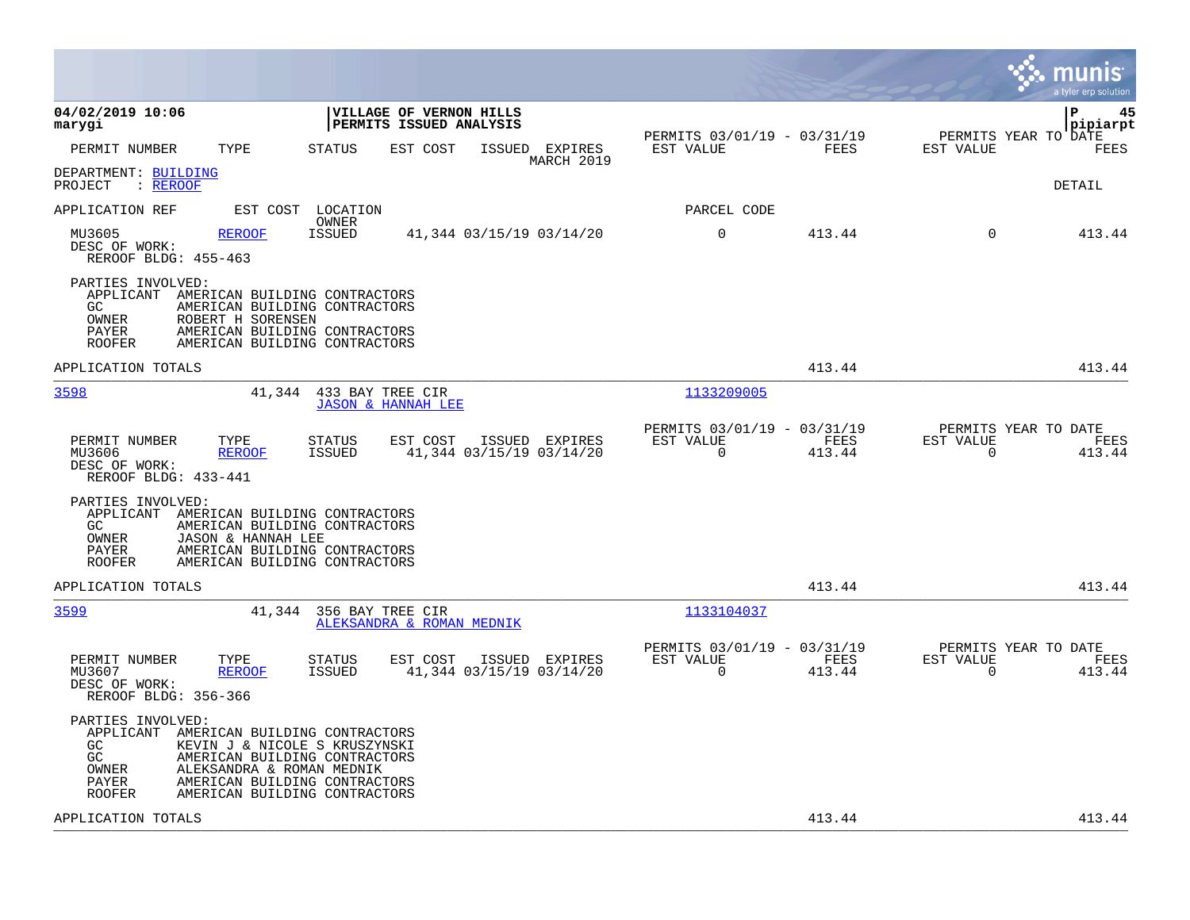|                                                                                                                                    |                                                                                                                                  |                                                                        | munis<br>a tyler erp solution                                      |
|------------------------------------------------------------------------------------------------------------------------------------|----------------------------------------------------------------------------------------------------------------------------------|------------------------------------------------------------------------|--------------------------------------------------------------------|
| 04/02/2019 10:06<br>marygi                                                                                                         | <b>VILLAGE OF VERNON HILLS</b><br><b>PERMITS ISSUED ANALYSIS</b>                                                                 |                                                                        | l P<br>45<br>pipiarpt                                              |
| PERMIT NUMBER<br>TYPE                                                                                                              | <b>STATUS</b><br>EST COST<br>ISSUED EXPIRES                                                                                      | PERMITS 03/01/19 - 03/31/19<br>EST VALUE<br>FEES                       | PERMITS YEAR TO DATE<br>EST VALUE<br>FEES                          |
| DEPARTMENT: BUILDING<br>PROJECT<br>: REROOF                                                                                        | MARCH 2019                                                                                                                       |                                                                        | DETAIL                                                             |
| APPLICATION REF<br>EST COST                                                                                                        | LOCATION<br>OWNER                                                                                                                | PARCEL CODE                                                            |                                                                    |
| MU3605<br><b>REROOF</b><br>DESC OF WORK:<br>REROOF BLDG: 455-463                                                                   | <b>ISSUED</b><br>41,344 03/15/19 03/14/20                                                                                        | $\Omega$<br>413.44                                                     | $\Omega$<br>413.44                                                 |
| PARTIES INVOLVED:<br>APPLICANT AMERICAN BUILDING CONTRACTORS<br>GC<br>OWNER<br>ROBERT H SORENSEN<br>PAYER<br><b>ROOFER</b>         | AMERICAN BUILDING CONTRACTORS<br>AMERICAN BUILDING CONTRACTORS<br>AMERICAN BUILDING CONTRACTORS                                  |                                                                        |                                                                    |
| APPLICATION TOTALS                                                                                                                 |                                                                                                                                  | 413.44                                                                 | 413.44                                                             |
| 3598<br>41,344                                                                                                                     | 433 BAY TREE CIR<br><b>JASON &amp; HANNAH LEE</b>                                                                                | 1133209005                                                             |                                                                    |
| PERMIT NUMBER<br>TYPE<br>MU3606<br><b>REROOF</b><br>DESC OF WORK:<br>REROOF BLDG: 433-441                                          | EST COST<br>ISSUED EXPIRES<br>STATUS<br>41,344 03/15/19 03/14/20<br>ISSUED                                                       | PERMITS 03/01/19 - 03/31/19<br>EST VALUE<br>FEES<br>$\Omega$<br>413.44 | PERMITS YEAR TO DATE<br>EST VALUE<br>FEES<br>$\mathbf 0$<br>413.44 |
| PARTIES INVOLVED:<br>APPLICANT AMERICAN BUILDING CONTRACTORS<br>GC.<br>OWNER<br>JASON & HANNAH LEE<br>PAYER<br><b>ROOFER</b>       | AMERICAN BUILDING CONTRACTORS<br>AMERICAN BUILDING CONTRACTORS<br>AMERICAN BUILDING CONTRACTORS                                  |                                                                        |                                                                    |
| APPLICATION TOTALS                                                                                                                 |                                                                                                                                  | 413.44                                                                 | 413.44                                                             |
| 3599<br>41,344                                                                                                                     | 356 BAY TREE CIR<br>ALEKSANDRA & ROMAN MEDNIK                                                                                    | 1133104037                                                             |                                                                    |
| TYPE<br>PERMIT NUMBER<br>MU3607<br><b>REROOF</b><br>DESC OF WORK:<br>REROOF BLDG: 356-366                                          | EST COST<br><b>STATUS</b><br>ISSUED EXPIRES<br>41,344 03/15/19 03/14/20<br>ISSUED                                                | PERMITS 03/01/19 - 03/31/19<br>EST VALUE<br>FEES<br>$\Omega$<br>413.44 | PERMITS YEAR TO DATE<br>EST VALUE<br>FEES<br>$\mathbf 0$<br>413.44 |
| PARTIES INVOLVED:<br>APPLICANT AMERICAN BUILDING CONTRACTORS<br>GC.<br>GC<br>OWNER<br>ALEKSANDRA & ROMAN MEDNIK<br>PAYER<br>ROOFER | KEVIN J & NICOLE S KRUSZYNSKI<br>AMERICAN BUILDING CONTRACTORS<br>AMERICAN BUILDING CONTRACTORS<br>AMERICAN BUILDING CONTRACTORS |                                                                        |                                                                    |
| APPLICATION TOTALS                                                                                                                 |                                                                                                                                  | 413.44                                                                 | 413.44                                                             |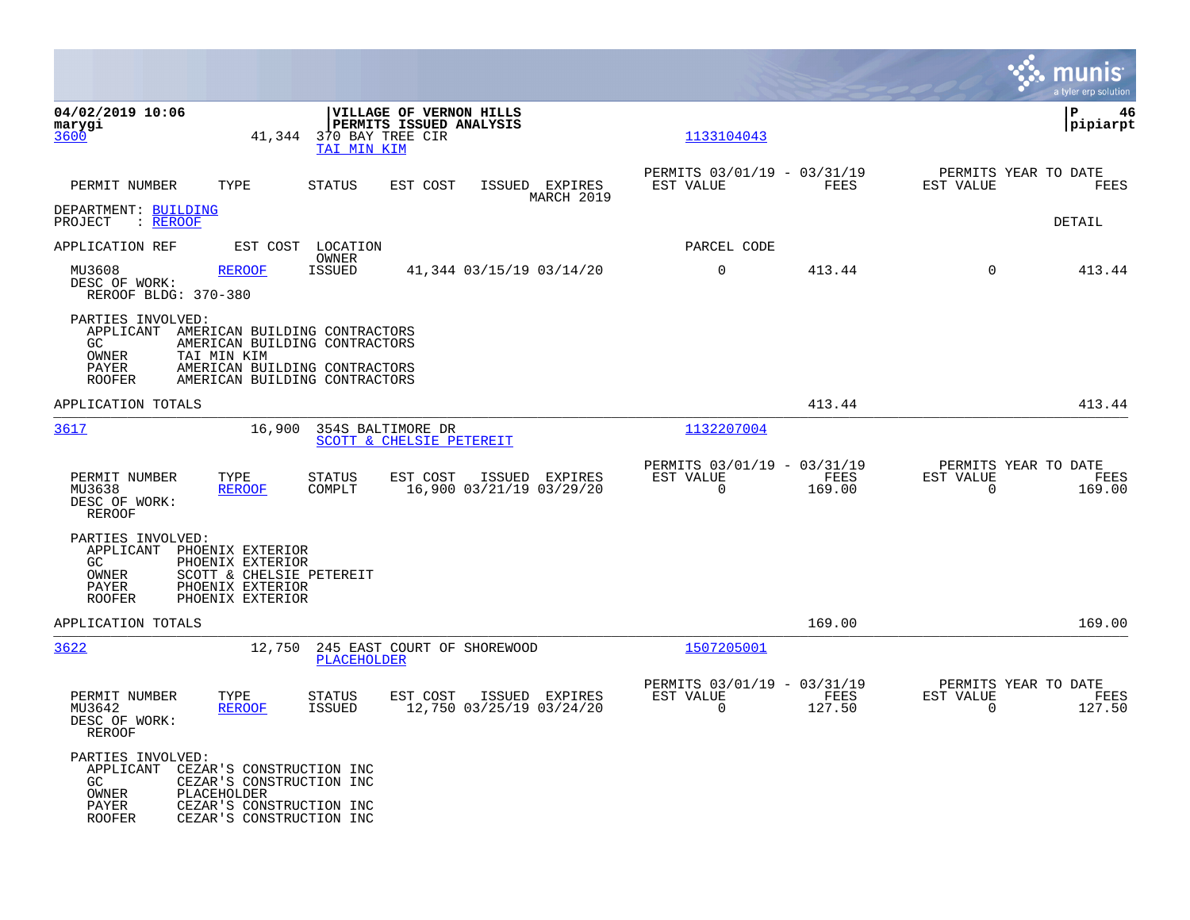|                                                                                                        |                                                                                                                             |                                 |                                                          |                                            |                                                         |        |      |                                                  | munis<br>a tyler erp solution |
|--------------------------------------------------------------------------------------------------------|-----------------------------------------------------------------------------------------------------------------------------|---------------------------------|----------------------------------------------------------|--------------------------------------------|---------------------------------------------------------|--------|------|--------------------------------------------------|-------------------------------|
| 04/02/2019 10:06<br>marygi<br>3600                                                                     | 41,344                                                                                                                      | 370 BAY TREE CIR<br>TAI MIN KIM | VILLAGE OF VERNON HILLS<br>PERMITS ISSUED ANALYSIS       |                                            | 1133104043                                              |        |      |                                                  | ∣P<br>46<br> pipiarpt         |
| PERMIT NUMBER                                                                                          | TYPE                                                                                                                        | STATUS                          | EST COST                                                 | ISSUED EXPIRES<br>MARCH 2019               | PERMITS 03/01/19 - 03/31/19<br>EST VALUE                |        | FEES | PERMITS YEAR TO DATE<br>EST VALUE                | FEES                          |
| DEPARTMENT: BUILDING<br>PROJECT<br>: REROOF                                                            |                                                                                                                             |                                 |                                                          |                                            |                                                         |        |      |                                                  | <b>DETAIL</b>                 |
| APPLICATION REF                                                                                        |                                                                                                                             | EST COST LOCATION<br>OWNER      |                                                          |                                            | PARCEL CODE                                             |        |      |                                                  |                               |
| MU3608<br>DESC OF WORK:<br>REROOF BLDG: 370-380                                                        | <b>REROOF</b>                                                                                                               | <b>ISSUED</b>                   |                                                          | 41,344 03/15/19 03/14/20                   | $\mathbf 0$                                             | 413.44 |      | $\Omega$                                         | 413.44                        |
| PARTIES INVOLVED:<br>APPLICANT AMERICAN BUILDING CONTRACTORS<br>GC.<br>OWNER<br>PAYER<br><b>ROOFER</b> | AMERICAN BUILDING CONTRACTORS<br>TAI MIN KIM<br>AMERICAN BUILDING CONTRACTORS<br>AMERICAN BUILDING CONTRACTORS              |                                 |                                                          |                                            |                                                         |        |      |                                                  |                               |
| APPLICATION TOTALS                                                                                     |                                                                                                                             |                                 |                                                          |                                            |                                                         | 413.44 |      |                                                  | 413.44                        |
| 3617                                                                                                   | 16,900                                                                                                                      |                                 | 354S BALTIMORE DR<br><b>SCOTT &amp; CHELSIE PETEREIT</b> |                                            | 1132207004                                              |        |      |                                                  |                               |
| PERMIT NUMBER<br>MU3638<br>DESC OF WORK:<br>REROOF                                                     | TYPE<br><b>REROOF</b>                                                                                                       | <b>STATUS</b><br>COMPLT         | EST COST                                                 | ISSUED EXPIRES<br>16,900 03/21/19 03/29/20 | PERMITS 03/01/19 - 03/31/19<br>EST VALUE<br>0           | 169.00 | FEES | PERMITS YEAR TO DATE<br>EST VALUE<br>$\mathbf 0$ | FEES<br>169.00                |
| PARTIES INVOLVED:<br>APPLICANT PHOENIX EXTERIOR<br>GC.<br>OWNER<br>PAYER<br><b>ROOFER</b>              | PHOENIX EXTERIOR<br>SCOTT & CHELSIE PETEREIT<br>PHOENIX EXTERIOR<br>PHOENIX EXTERIOR                                        |                                 |                                                          |                                            |                                                         |        |      |                                                  |                               |
| APPLICATION TOTALS                                                                                     |                                                                                                                             |                                 |                                                          |                                            |                                                         | 169.00 |      |                                                  | 169.00                        |
| 3622                                                                                                   | 12,750                                                                                                                      | PLACEHOLDER                     | 245 EAST COURT OF SHOREWOOD                              |                                            | 1507205001                                              |        |      |                                                  |                               |
| PERMIT NUMBER<br>MU3642<br>DESC OF WORK:<br>REROOF                                                     | TYPE<br><b>REROOF</b>                                                                                                       | STATUS<br>ISSUED                | EST COST                                                 | ISSUED EXPIRES<br>12,750 03/25/19 03/24/20 | PERMITS 03/01/19 - 03/31/19<br>EST VALUE<br>$\mathbf 0$ | 127.50 | FEES | PERMITS YEAR TO DATE<br>EST VALUE<br>$\mathbf 0$ | FEES<br>127.50                |
| PARTIES INVOLVED:<br>APPLICANT<br>GC.<br>OWNER<br>PAYER<br><b>ROOFER</b>                               | CEZAR'S CONSTRUCTION INC<br>CEZAR'S CONSTRUCTION INC<br>PLACEHOLDER<br>CEZAR'S CONSTRUCTION INC<br>CEZAR'S CONSTRUCTION INC |                                 |                                                          |                                            |                                                         |        |      |                                                  |                               |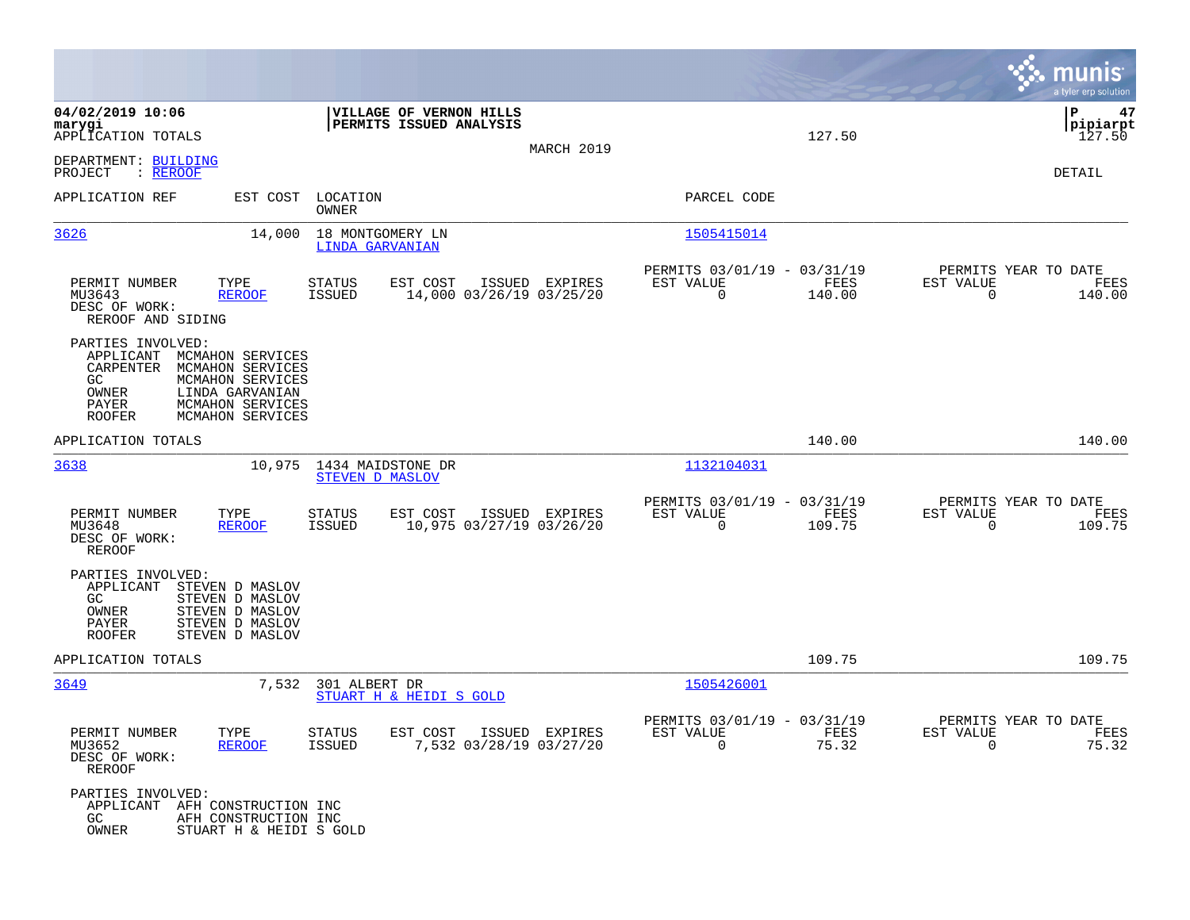|                                                                                                                                                                                                             |                                                                                          |                                                                           | munis<br>a tyler erp solution                                         |
|-------------------------------------------------------------------------------------------------------------------------------------------------------------------------------------------------------------|------------------------------------------------------------------------------------------|---------------------------------------------------------------------------|-----------------------------------------------------------------------|
| 04/02/2019 10:06<br>marygi<br>APPLICATION TOTALS                                                                                                                                                            | VILLAGE OF VERNON HILLS<br>PERMITS ISSUED ANALYSIS                                       | 127.50                                                                    | ΙP<br>47<br> pipiarpt<br>127.50                                       |
| DEPARTMENT: BUILDING<br>PROJECT<br>: REROOF                                                                                                                                                                 |                                                                                          | MARCH 2019                                                                | DETAIL                                                                |
| APPLICATION REF<br>EST COST                                                                                                                                                                                 | LOCATION<br>OWNER                                                                        | PARCEL CODE                                                               |                                                                       |
| 3626<br>14,000                                                                                                                                                                                              | 18 MONTGOMERY LN<br><b>LINDA GARVANIAN</b>                                               | 1505415014                                                                |                                                                       |
| PERMIT NUMBER<br>TYPE<br>MU3643<br><b>REROOF</b><br>DESC OF WORK:<br>REROOF AND SIDING                                                                                                                      | STATUS<br>EST COST<br>ISSUED EXPIRES<br><b>ISSUED</b><br>14,000 03/26/19 03/25/20        | PERMITS 03/01/19 - 03/31/19<br>EST VALUE<br>FEES<br>$\mathbf 0$<br>140.00 | PERMITS YEAR TO DATE<br>EST VALUE<br>FEES<br>$\overline{0}$<br>140.00 |
| PARTIES INVOLVED:<br>APPLICANT<br>MCMAHON SERVICES<br>CARPENTER<br>MCMAHON SERVICES<br>GC<br>MCMAHON SERVICES<br>OWNER<br>LINDA GARVANIAN<br>PAYER<br>MCMAHON SERVICES<br>MCMAHON SERVICES<br><b>ROOFER</b> |                                                                                          |                                                                           |                                                                       |
| APPLICATION TOTALS                                                                                                                                                                                          |                                                                                          | 140.00                                                                    | 140.00                                                                |
| 3638<br>10,975                                                                                                                                                                                              | 1434 MAIDSTONE DR<br>STEVEN D MASLOV                                                     | 1132104031                                                                |                                                                       |
| PERMIT NUMBER<br>TYPE<br>MU3648<br><b>REROOF</b><br>DESC OF WORK:<br><b>REROOF</b>                                                                                                                          | <b>STATUS</b><br>EST COST<br>ISSUED EXPIRES<br>10,975 03/27/19 03/26/20<br><b>ISSUED</b> | PERMITS 03/01/19 - 03/31/19<br>EST VALUE<br>FEES<br>$\Omega$<br>109.75    | PERMITS YEAR TO DATE<br>EST VALUE<br>FEES<br>$\Omega$<br>109.75       |
| PARTIES INVOLVED:<br>APPLICANT<br>STEVEN D MASLOV<br>GC<br>STEVEN D MASLOV<br>OWNER<br>STEVEN D MASLOV<br>PAYER<br>STEVEN D MASLOV<br><b>ROOFER</b><br>STEVEN D MASLOV                                      |                                                                                          |                                                                           |                                                                       |
| APPLICATION TOTALS                                                                                                                                                                                          |                                                                                          | 109.75                                                                    | 109.75                                                                |
| 3649                                                                                                                                                                                                        | 7,532<br>301 ALBERT DR<br>STUART H & HEIDI S GOLD                                        | 1505426001                                                                |                                                                       |
| PERMIT NUMBER<br>TYPE<br>MU3652<br><b>REROOF</b><br>DESC OF WORK:<br><b>REROOF</b>                                                                                                                          | <b>STATUS</b><br>EST COST<br>ISSUED EXPIRES<br>ISSUED<br>7,532 03/28/19 03/27/20         | PERMITS 03/01/19 - 03/31/19<br>EST VALUE<br>FEES<br>75.32<br>$\mathbf 0$  | PERMITS YEAR TO DATE<br>EST VALUE<br>FEES<br>75.32<br>$\mathbf 0$     |
| PARTIES INVOLVED:<br>APPLICANT<br>AFH CONSTRUCTION INC<br>GC.<br>AFH CONSTRUCTION INC<br>OWNER<br>STUART H & HEIDI S GOLD                                                                                   |                                                                                          |                                                                           |                                                                       |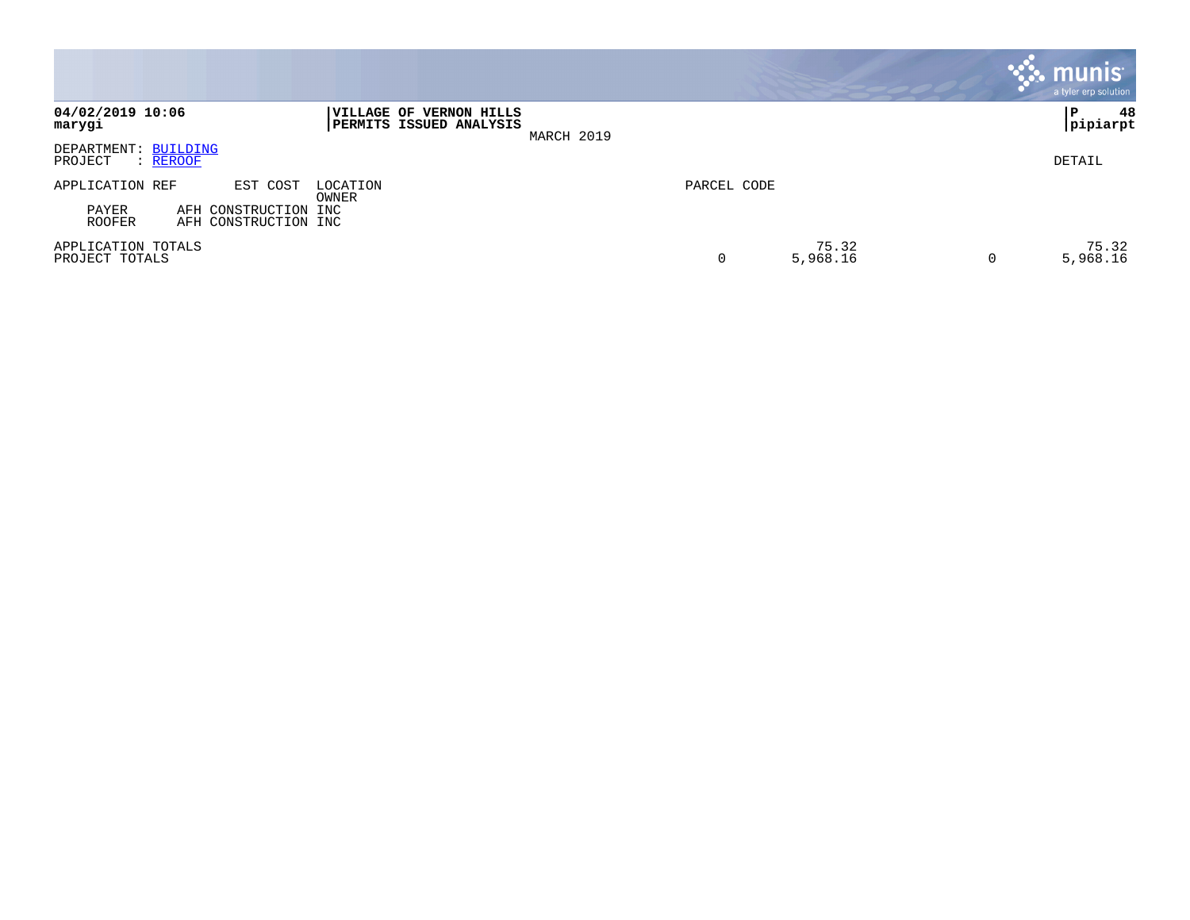|                                             |                                              |                                                           |            |             |                   |   | munis <sup>®</sup><br>a tyler erp solution |
|---------------------------------------------|----------------------------------------------|-----------------------------------------------------------|------------|-------------|-------------------|---|--------------------------------------------|
| 04/02/2019 10:06<br>marygi                  |                                              | VILLAGE OF VERNON HILLS<br><b>PERMITS ISSUED ANALYSIS</b> | MARCH 2019 |             |                   |   | 48<br>P.<br> pipiarpt                      |
| DEPARTMENT: BUILDING<br>PROJECT<br>: REROOF |                                              |                                                           |            |             |                   |   | DETAIL                                     |
| APPLICATION REF                             | EST COST                                     | LOCATION<br>OWNER                                         |            | PARCEL CODE |                   |   |                                            |
| PAYER<br><b>ROOFER</b>                      | AFH CONSTRUCTION INC<br>AFH CONSTRUCTION INC |                                                           |            |             |                   |   |                                            |
| APPLICATION TOTALS<br>PROJECT TOTALS        |                                              |                                                           |            | 0           | 75.32<br>5,968.16 | 0 | 75.32<br>5,968.16                          |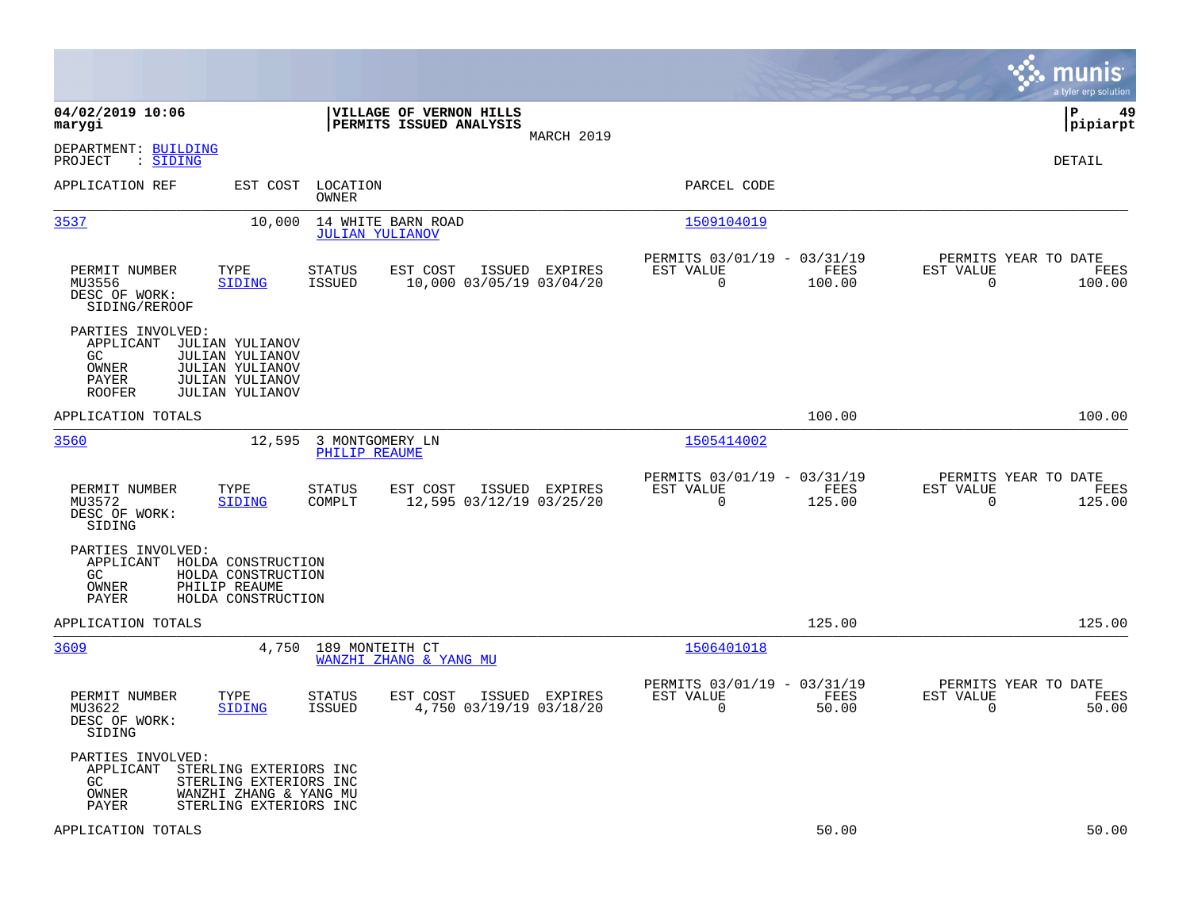|                                                                                                                                                                                       |                                                                                   |                                                            |                | munis<br>a tyler erp solution                                      |
|---------------------------------------------------------------------------------------------------------------------------------------------------------------------------------------|-----------------------------------------------------------------------------------|------------------------------------------------------------|----------------|--------------------------------------------------------------------|
| 04/02/2019 10:06<br>marygi                                                                                                                                                            | VILLAGE OF VERNON HILLS<br>PERMITS ISSUED ANALYSIS                                | MARCH 2019                                                 |                | P<br>49<br> pipiarpt                                               |
| DEPARTMENT: BUILDING<br>PROJECT<br>: <u>SIDING</u>                                                                                                                                    |                                                                                   |                                                            |                | DETAIL                                                             |
| APPLICATION REF<br>EST COST                                                                                                                                                           | LOCATION<br>OWNER                                                                 | PARCEL CODE                                                |                |                                                                    |
| 3537<br>10,000                                                                                                                                                                        | 14 WHITE BARN ROAD<br><b>JULIAN YULIANOV</b>                                      | 1509104019                                                 |                |                                                                    |
| PERMIT NUMBER<br>TYPE<br>MU3556<br><b>SIDING</b><br>DESC OF WORK:<br>SIDING/REROOF                                                                                                    | EST COST<br>STATUS<br>ISSUED EXPIRES<br>ISSUED<br>10,000 03/05/19 03/04/20        | PERMITS 03/01/19 - 03/31/19<br>EST VALUE<br>$\overline{0}$ | FEES<br>100.00 | PERMITS YEAR TO DATE<br>EST VALUE<br>FEES<br>$\Omega$<br>100.00    |
| PARTIES INVOLVED:<br>APPLICANT<br>JULIAN YULIANOV<br>GC.<br><b>JULIAN YULIANOV</b><br>OWNER<br><b>JULIAN YULIANOV</b><br>PAYER<br>JULIAN YULIANOV<br><b>ROOFER</b><br>JULIAN YULIANOV |                                                                                   |                                                            |                |                                                                    |
| APPLICATION TOTALS                                                                                                                                                                    |                                                                                   |                                                            | 100.00         | 100.00                                                             |
| 3560<br>12,595                                                                                                                                                                        | 3 MONTGOMERY LN<br>PHILIP REAUME                                                  | 1505414002                                                 |                |                                                                    |
| PERMIT NUMBER<br>TYPE<br>MU3572<br>SIDING<br>DESC OF WORK:<br>SIDING                                                                                                                  | <b>STATUS</b><br>EST COST<br>ISSUED EXPIRES<br>12,595 03/12/19 03/25/20<br>COMPLT | PERMITS 03/01/19 - 03/31/19<br>EST VALUE<br>$\mathbf 0$    | FEES<br>125.00 | PERMITS YEAR TO DATE<br>EST VALUE<br>FEES<br>$\mathbf 0$<br>125.00 |
| PARTIES INVOLVED:<br>APPLICANT<br>HOLDA CONSTRUCTION<br>HOLDA CONSTRUCTION<br>GC.<br>PHILIP REAUME<br>OWNER<br>HOLDA CONSTRUCTION<br>PAYER                                            |                                                                                   |                                                            |                |                                                                    |
| APPLICATION TOTALS                                                                                                                                                                    |                                                                                   |                                                            | 125.00         | 125.00                                                             |
| 3609<br>4,750                                                                                                                                                                         | 189 MONTEITH CT<br>WANZHI ZHANG & YANG MU                                         | 1506401018                                                 |                |                                                                    |
| PERMIT NUMBER<br>TYPE<br>MU3622<br><b>SIDING</b><br>DESC OF WORK:<br>SIDING                                                                                                           | STATUS<br>EST COST<br>ISSUED<br>4,750 03/19/19 03/18/20<br><b>ISSUED</b>          | PERMITS 03/01/19 - 03/31/19<br>EST VALUE<br>EXPIRES<br>0   | FEES<br>50.00  | PERMITS YEAR TO DATE<br>EST VALUE<br>FEES<br>$\mathbf 0$<br>50.00  |
| PARTIES INVOLVED:<br>APPLICANT<br>STERLING EXTERIORS INC<br>GC<br>STERLING EXTERIORS INC<br>OWNER<br>WANZHI ZHANG & YANG MU<br>PAYER<br>STERLING EXTERIORS INC                        |                                                                                   |                                                            |                |                                                                    |
| APPLICATION TOTALS                                                                                                                                                                    |                                                                                   |                                                            | 50.00          | 50.00                                                              |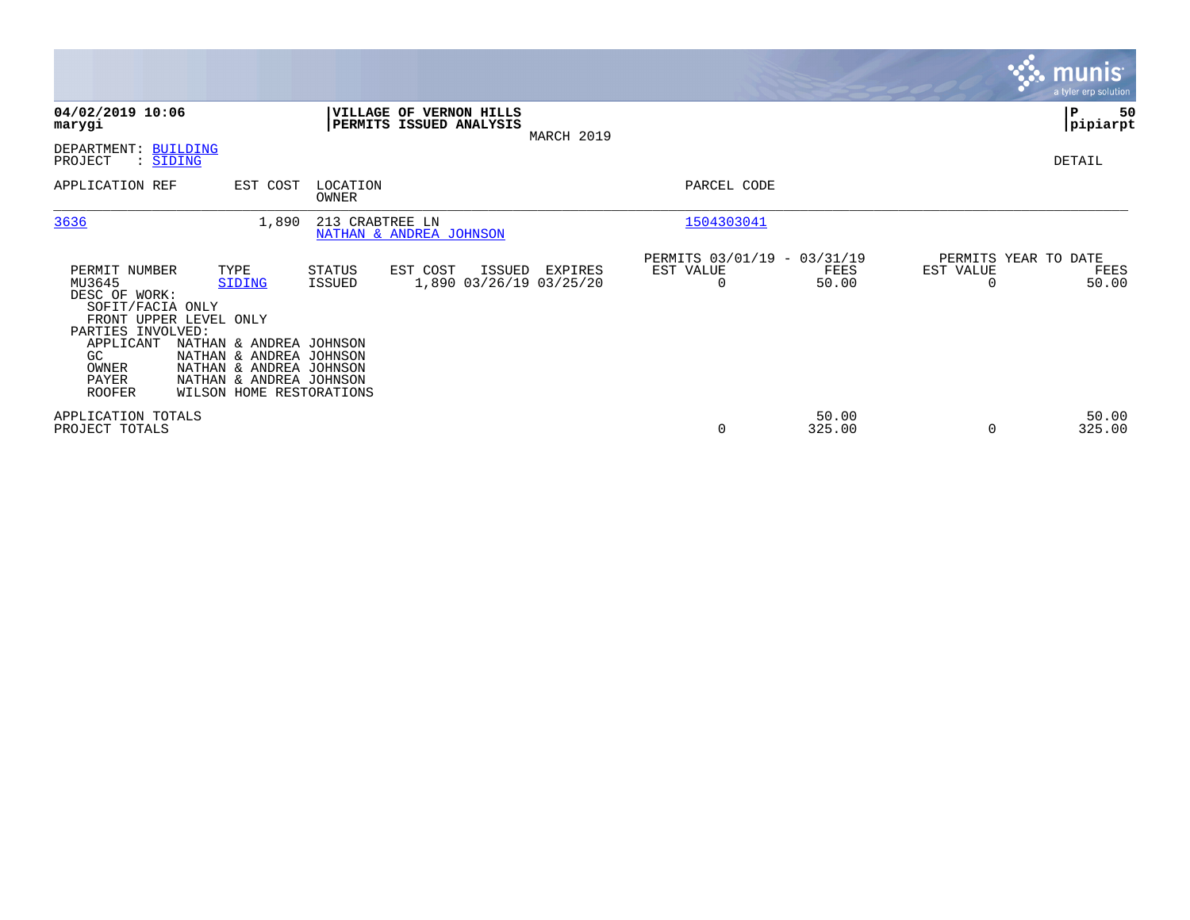|                                                                                                                                         |                                                                                                                                                                                  |                         |                                                    |            |                                               |                 |           | <b>munis</b><br>a tyler erp solution  |
|-----------------------------------------------------------------------------------------------------------------------------------------|----------------------------------------------------------------------------------------------------------------------------------------------------------------------------------|-------------------------|----------------------------------------------------|------------|-----------------------------------------------|-----------------|-----------|---------------------------------------|
| 04/02/2019 10:06<br>marygi                                                                                                              |                                                                                                                                                                                  |                         | VILLAGE OF VERNON HILLS<br>PERMITS ISSUED ANALYSIS | MARCH 2019 |                                               |                 |           | P<br>50<br> pipiarpt                  |
| DEPARTMENT: BUILDING<br>PROJECT<br>: SIDING                                                                                             |                                                                                                                                                                                  |                         |                                                    |            |                                               |                 |           | DETAIL                                |
| APPLICATION REF                                                                                                                         | EST COST                                                                                                                                                                         | LOCATION<br>OWNER       |                                                    |            | PARCEL CODE                                   |                 |           |                                       |
| 3636                                                                                                                                    | 1,890                                                                                                                                                                            | 213 CRABTREE LN         | NATHAN & ANDREA JOHNSON                            |            | 1504303041                                    |                 |           |                                       |
| PERMIT NUMBER<br>MU3645<br>DESC OF WORK:<br>SOFIT/FACIA ONLY<br>PARTIES INVOLVED:<br>APPLICANT<br>GC<br>OWNER<br>PAYER<br><b>ROOFER</b> | TYPE<br>SIDING<br>FRONT UPPER LEVEL ONLY<br>NATHAN & ANDREA JOHNSON<br>NATHAN & ANDREA JOHNSON<br>NATHAN & ANDREA JOHNSON<br>NATHAN & ANDREA JOHNSON<br>WILSON HOME RESTORATIONS | STATUS<br><b>ISSUED</b> | EST COST<br>ISSUED<br>1,890 03/26/19 03/25/20      | EXPIRES    | PERMITS 03/01/19 - 03/31/19<br>EST VALUE<br>0 | FEES<br>50.00   | EST VALUE | PERMITS YEAR TO DATE<br>FEES<br>50.00 |
| APPLICATION TOTALS<br>PROJECT TOTALS                                                                                                    |                                                                                                                                                                                  |                         |                                                    |            | 0                                             | 50.00<br>325.00 |           | 50.00<br>325.00                       |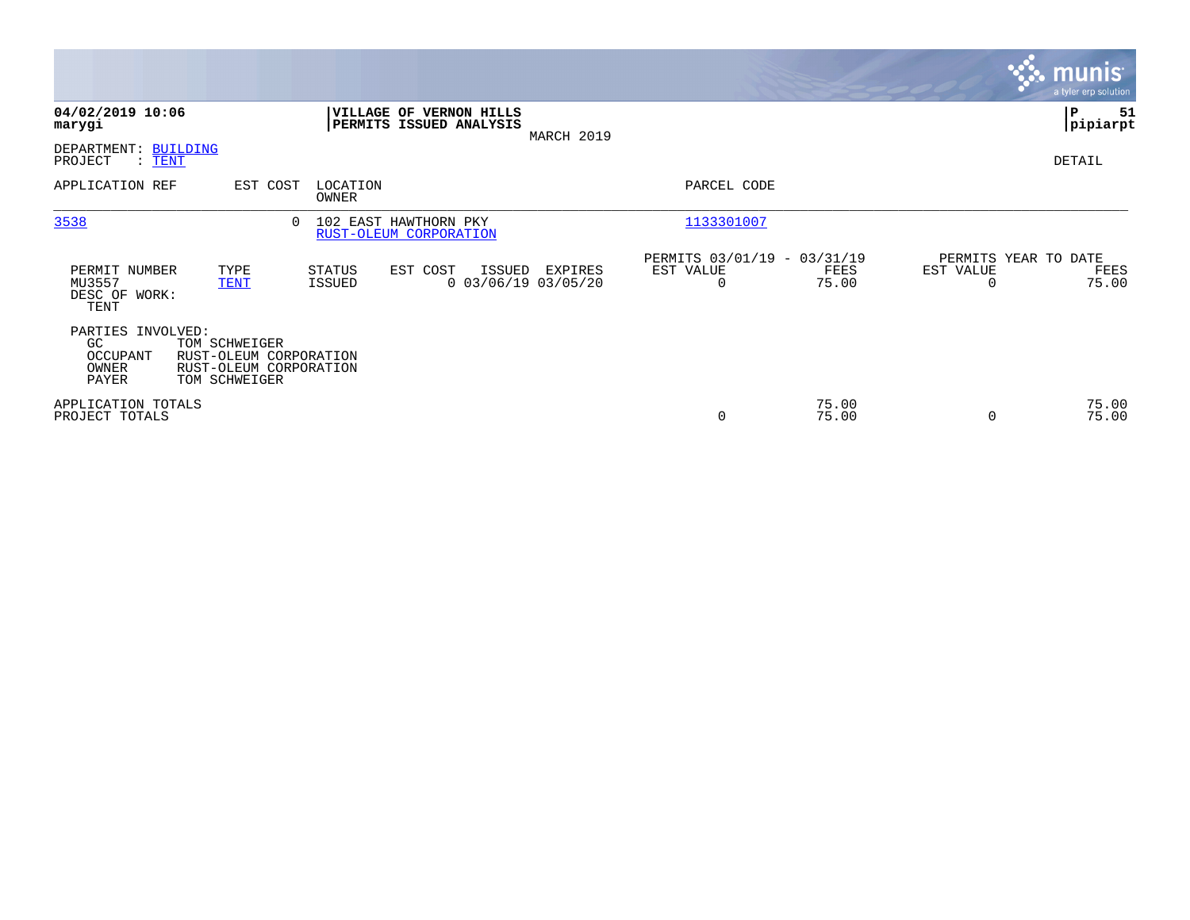|                                                       |                                                                                    |                         |                                                    |            |                                                         |                |                                   | $\overline{\mathsf{m} \mathsf{u}}$ nıs $\overline{\mathsf{m} \mathsf{u}}$<br>a tyler erp solution |
|-------------------------------------------------------|------------------------------------------------------------------------------------|-------------------------|----------------------------------------------------|------------|---------------------------------------------------------|----------------|-----------------------------------|---------------------------------------------------------------------------------------------------|
| 04/02/2019 10:06<br>marygi                            |                                                                                    |                         | VILLAGE OF VERNON HILLS<br>PERMITS ISSUED ANALYSIS | MARCH 2019 |                                                         |                |                                   | ∣₽<br>51<br> pipiarpt                                                                             |
| DEPARTMENT: BUILDING<br>PROJECT<br>: <u>TENT</u>      |                                                                                    |                         |                                                    |            |                                                         |                |                                   | DETAIL                                                                                            |
| APPLICATION REF                                       | EST COST                                                                           | LOCATION<br>OWNER       |                                                    |            | PARCEL CODE                                             |                |                                   |                                                                                                   |
| 3538                                                  | 0                                                                                  |                         | 102 EAST HAWTHORN PKY<br>RUST-OLEUM CORPORATION    |            | 1133301007                                              |                |                                   |                                                                                                   |
| PERMIT NUMBER<br>MU3557<br>DESC OF WORK:<br>TENT      | TYPE<br><b>TENT</b>                                                                | <b>STATUS</b><br>ISSUED | EST COST<br>ISSUED<br>$0$ 03/06/19 03/05/20        | EXPIRES    | PERMITS 03/01/19 - 03/31/19<br>EST VALUE<br>$\mathbf 0$ | FEES<br>75.00  | PERMITS YEAR TO DATE<br>EST VALUE | FEES<br>75.00                                                                                     |
| PARTIES INVOLVED:<br>GC<br>OCCUPANT<br>OWNER<br>PAYER | TOM SCHWEIGER<br>RUST-OLEUM CORPORATION<br>RUST-OLEUM CORPORATION<br>TOM SCHWEIGER |                         |                                                    |            |                                                         |                |                                   |                                                                                                   |
| APPLICATION TOTALS<br>PROJECT TOTALS                  |                                                                                    |                         |                                                    |            | 0                                                       | 75.00<br>75.00 |                                   | 75.00<br>75.00                                                                                    |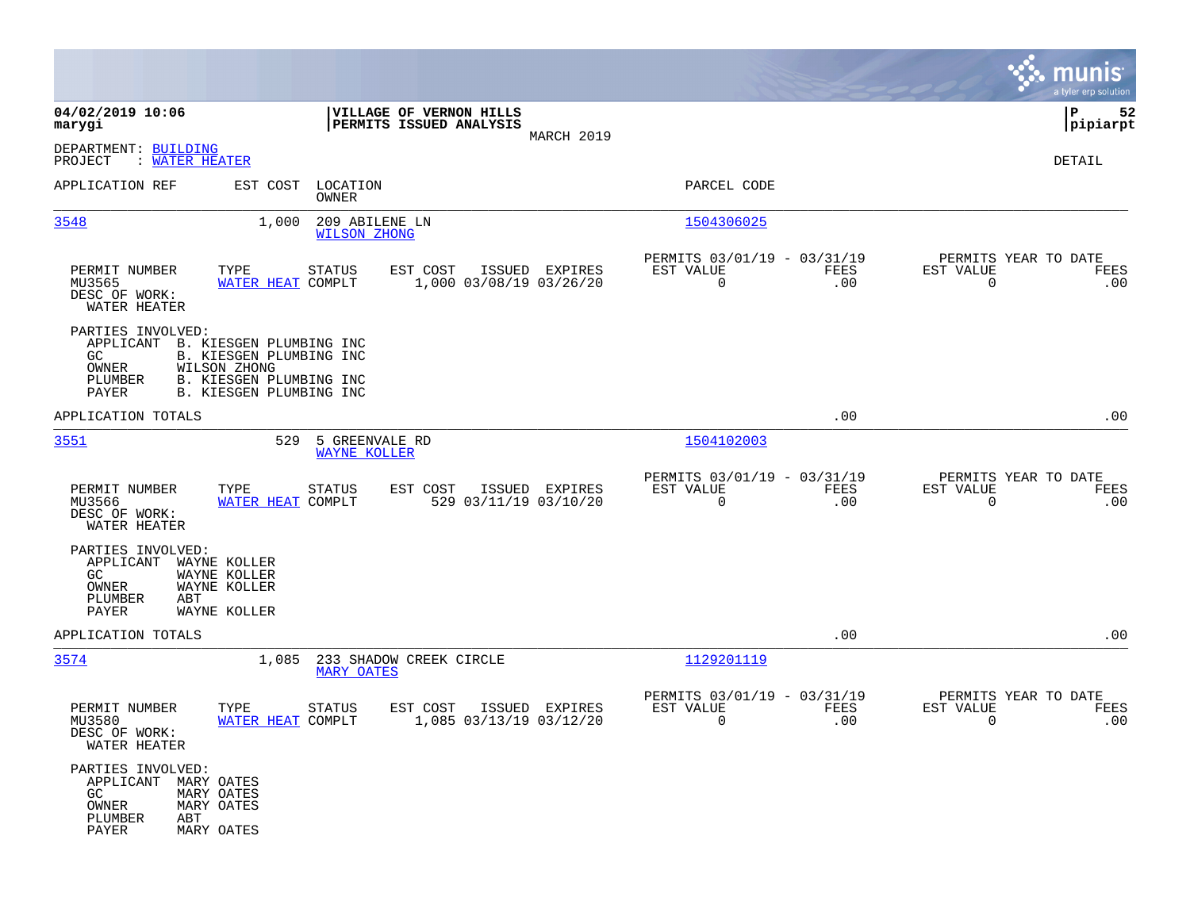|                                                                                     |                                                                                                                                    |                                                                        | munis<br>a tyler erp solution                                   |
|-------------------------------------------------------------------------------------|------------------------------------------------------------------------------------------------------------------------------------|------------------------------------------------------------------------|-----------------------------------------------------------------|
| 04/02/2019 10:06<br>marygi                                                          | VILLAGE OF VERNON HILLS<br>PERMITS ISSUED ANALYSIS                                                                                 |                                                                        | 52<br>IΡ<br> pipiarpt                                           |
| DEPARTMENT: BUILDING<br>: WATER HEATER<br>PROJECT                                   | MARCH 2019                                                                                                                         |                                                                        | DETAIL                                                          |
| APPLICATION REF                                                                     | EST COST<br>LOCATION<br>OWNER                                                                                                      | PARCEL CODE                                                            |                                                                 |
| 3548                                                                                | 1,000<br>209 ABILENE LN<br><b>WILSON ZHONG</b>                                                                                     | 1504306025                                                             |                                                                 |
| PERMIT NUMBER<br>MU3565<br>DESC OF WORK:<br>WATER HEATER                            | TYPE<br>EST COST<br>ISSUED EXPIRES<br><b>STATUS</b><br>WATER HEAT COMPLT<br>1,000 03/08/19 03/26/20                                | PERMITS 03/01/19 - 03/31/19<br>FEES<br>EST VALUE<br>$\mathbf 0$<br>.00 | PERMITS YEAR TO DATE<br>EST VALUE<br>FEES<br>$\mathbf 0$<br>.00 |
| PARTIES INVOLVED:<br>GC.<br>OWNER<br>PLUMBER<br>PAYER                               | APPLICANT B. KIESGEN PLUMBING INC<br>B. KIESGEN PLUMBING INC<br>WILSON ZHONG<br>B. KIESGEN PLUMBING INC<br>B. KIESGEN PLUMBING INC |                                                                        |                                                                 |
| APPLICATION TOTALS                                                                  |                                                                                                                                    | .00                                                                    | .00                                                             |
| 3551                                                                                | 529<br>5 GREENVALE RD<br><b>WAYNE KOLLER</b>                                                                                       | 1504102003                                                             |                                                                 |
| PERMIT NUMBER<br>MU3566<br>DESC OF WORK:<br>WATER HEATER                            | TYPE<br><b>STATUS</b><br>EST COST<br>ISSUED EXPIRES<br><b>WATER HEAT COMPLT</b><br>529 03/11/19 03/10/20                           | PERMITS 03/01/19 - 03/31/19<br>EST VALUE<br>FEES<br>$\mathbf 0$<br>.00 | PERMITS YEAR TO DATE<br>EST VALUE<br>FEES<br>$\mathbf 0$<br>.00 |
| PARTIES INVOLVED:<br>APPLICANT<br>GC.<br>OWNER<br>PLUMBER<br>ABT<br>PAYER           | WAYNE KOLLER<br>WAYNE KOLLER<br>WAYNE KOLLER<br>WAYNE KOLLER                                                                       |                                                                        |                                                                 |
| APPLICATION TOTALS                                                                  |                                                                                                                                    | .00                                                                    | .00                                                             |
| 3574                                                                                | 233 SHADOW CREEK CIRCLE<br>1,085<br><b>MARY OATES</b>                                                                              | 1129201119                                                             |                                                                 |
| PERMIT NUMBER<br>MU3580<br>DESC OF WORK:<br>WATER HEATER                            | TYPE<br><b>STATUS</b><br>EST COST<br>ISSUED EXPIRES<br>WATER HEAT COMPLT<br>1,085 03/13/19 03/12/20                                | PERMITS 03/01/19 - 03/31/19<br>EST VALUE<br><b>FEES</b><br>0<br>.00    | PERMITS YEAR TO DATE<br>EST VALUE<br>FEES<br>0<br>.00           |
| PARTIES INVOLVED:<br>APPLICANT MARY OATES<br>GC<br>OWNER<br>PLUMBER<br>ABT<br>PAYER | MARY OATES<br>MARY OATES<br>MARY OATES                                                                                             |                                                                        |                                                                 |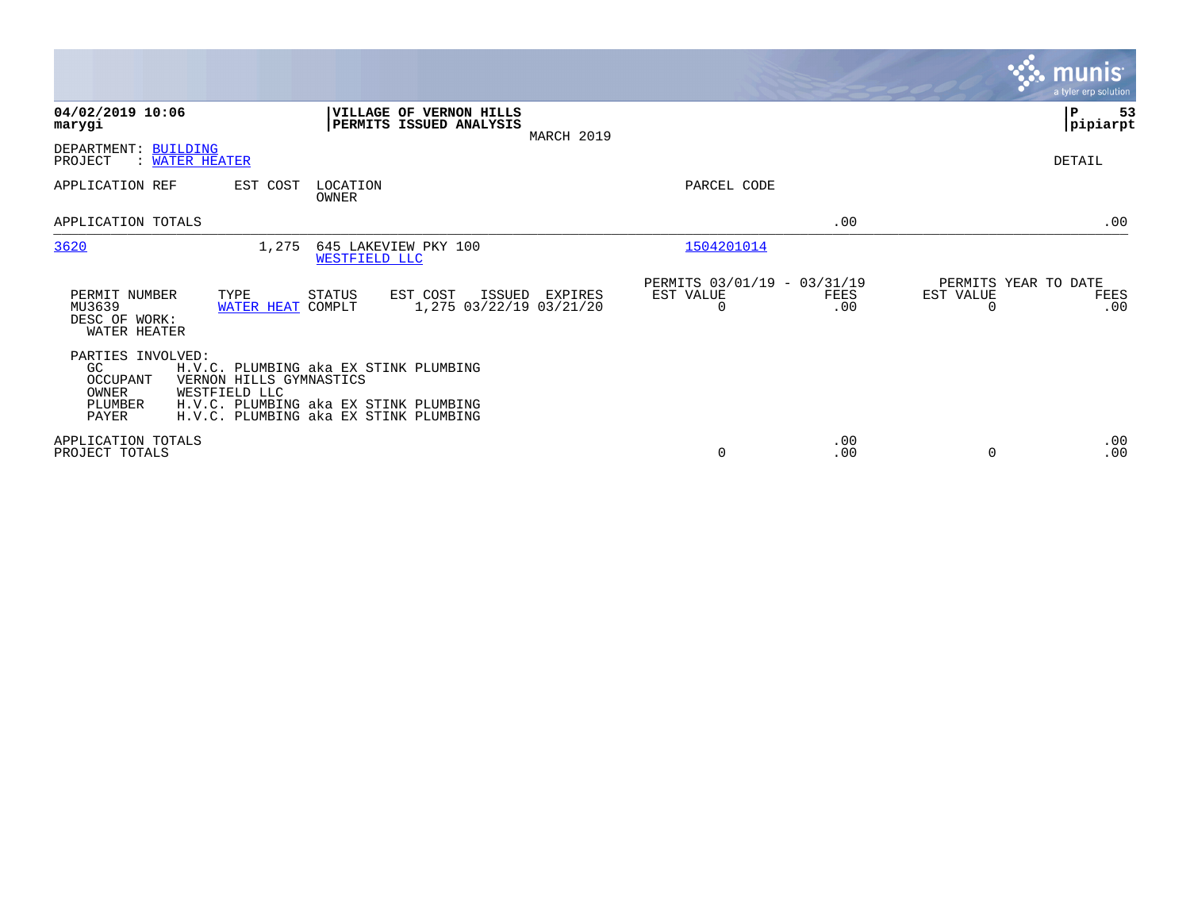|                                                                  |                                                                                                                                                                     |                                               |             | <b>munis</b><br>a tyler erp solution                  |
|------------------------------------------------------------------|---------------------------------------------------------------------------------------------------------------------------------------------------------------------|-----------------------------------------------|-------------|-------------------------------------------------------|
| 04/02/2019 10:06<br>marygi                                       | VILLAGE OF VERNON HILLS<br>PERMITS ISSUED ANALYSIS                                                                                                                  | MARCH 2019                                    |             | P<br>53<br> pipiarpt                                  |
| DEPARTMENT: BUILDING<br>PROJECT<br><b>WATER HEATER</b>           |                                                                                                                                                                     |                                               |             | DETAIL                                                |
| APPLICATION REF                                                  | LOCATION<br>EST COST<br>OWNER                                                                                                                                       | PARCEL CODE                                   |             |                                                       |
| APPLICATION TOTALS                                               |                                                                                                                                                                     |                                               | .00         | .00                                                   |
| 3620                                                             | 1,275<br>645 LAKEVIEW PKY 100<br>WESTFIELD LLC                                                                                                                      | 1504201014                                    |             |                                                       |
| PERMIT NUMBER<br>MU3639<br>DESC OF WORK:<br>WATER HEATER         | <b>STATUS</b><br>EST COST<br>TYPE<br>ISSUED EXPIRES<br>1,275 03/22/19 03/21/20<br>WATER HEAT COMPLT                                                                 | PERMITS 03/01/19 - 03/31/19<br>EST VALUE<br>0 | FEES<br>.00 | PERMITS YEAR TO DATE<br>EST VALUE<br>FEES<br>.00<br>0 |
| PARTIES INVOLVED:<br>GC<br>OCCUPANT<br>OWNER<br>PLUMBER<br>PAYER | H.V.C. PLUMBING aka EX STINK PLUMBING<br>VERNON HILLS GYMNASTICS<br>WESTFIELD LLC<br>H.V.C. PLUMBING aka EX STINK PLUMBING<br>H.V.C. PLUMBING aka EX STINK PLUMBING |                                               |             |                                                       |
| APPLICATION TOTALS<br>PROJECT TOTALS                             |                                                                                                                                                                     | $\Omega$                                      | .00<br>.00  | .00<br>.00<br>$\Omega$                                |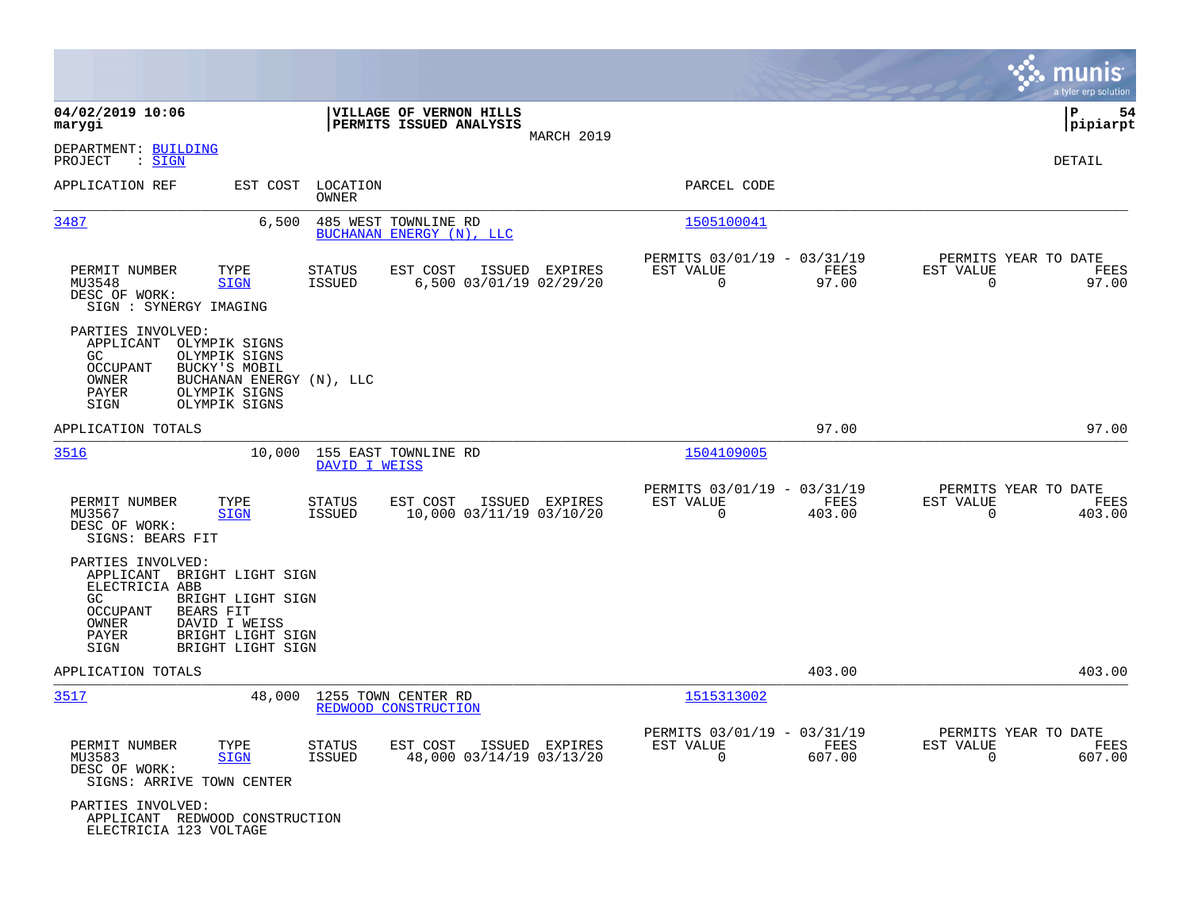|                                                                                                                                                                                                                            |                                                                        |                |                                                      |                            |                                                  | munis<br>a tyler erp solution |
|----------------------------------------------------------------------------------------------------------------------------------------------------------------------------------------------------------------------------|------------------------------------------------------------------------|----------------|------------------------------------------------------|----------------------------|--------------------------------------------------|-------------------------------|
| 04/02/2019 10:06<br>marygi                                                                                                                                                                                                 | VILLAGE OF VERNON HILLS<br>PERMITS ISSUED ANALYSIS                     | MARCH 2019     |                                                      |                            |                                                  | P<br>54<br> pipiarpt          |
| DEPARTMENT: BUILDING<br>PROJECT<br>$\colon$ SIGN                                                                                                                                                                           |                                                                        |                |                                                      |                            |                                                  | DETAIL                        |
| APPLICATION REF<br>EST COST                                                                                                                                                                                                | LOCATION<br>OWNER                                                      |                | PARCEL CODE                                          |                            |                                                  |                               |
| 3487<br>6,500                                                                                                                                                                                                              | 485 WEST TOWNLINE RD<br>BUCHANAN ENERGY (N), LLC                       |                | 1505100041                                           |                            |                                                  |                               |
| PERMIT NUMBER<br>TYPE<br>MU3548<br><b>SIGN</b><br>DESC OF WORK:<br>SIGN : SYNERGY IMAGING                                                                                                                                  | EST COST<br>STATUS<br>6,500 03/01/19 02/29/20<br><b>ISSUED</b>         | ISSUED EXPIRES | PERMITS 03/01/19 - 03/31/19<br>EST VALUE<br>$\Omega$ | FEES<br>97.00              | PERMITS YEAR TO DATE<br>EST VALUE<br>$\mathbf 0$ | FEES<br>97.00                 |
| PARTIES INVOLVED:<br>APPLICANT<br>OLYMPIK SIGNS<br>GC.<br>OLYMPIK SIGNS<br><b>OCCUPANT</b><br>BUCKY'S MOBIL<br>OWNER<br>BUCHANAN ENERGY (N), LLC<br>PAYER<br>OLYMPIK SIGNS<br>SIGN<br>OLYMPIK SIGNS                        |                                                                        |                |                                                      |                            |                                                  |                               |
| APPLICATION TOTALS                                                                                                                                                                                                         |                                                                        |                |                                                      | 97.00                      |                                                  | 97.00                         |
| 3516<br>10,000                                                                                                                                                                                                             | 155 EAST TOWNLINE RD<br>DAVID I WEISS                                  |                | 1504109005                                           |                            |                                                  |                               |
| PERMIT NUMBER<br>TYPE<br>MU3567<br><b>SIGN</b><br>DESC OF WORK:<br>SIGNS: BEARS FIT                                                                                                                                        | <b>STATUS</b><br>EST COST<br><b>ISSUED</b><br>10,000 03/11/19 03/10/20 | ISSUED EXPIRES | PERMITS 03/01/19 - 03/31/19<br>EST VALUE<br>0        | FEES<br>403.00             | PERMITS YEAR TO DATE<br>EST VALUE<br>0           | FEES<br>403.00                |
| PARTIES INVOLVED:<br>APPLICANT BRIGHT LIGHT SIGN<br>ELECTRICIA ABB<br>GC.<br>BRIGHT LIGHT SIGN<br><b>OCCUPANT</b><br><b>BEARS FIT</b><br>OWNER<br>DAVID I WEISS<br>PAYER<br>BRIGHT LIGHT SIGN<br>SIGN<br>BRIGHT LIGHT SIGN |                                                                        |                |                                                      |                            |                                                  |                               |
| APPLICATION TOTALS                                                                                                                                                                                                         |                                                                        |                |                                                      | 403.00                     |                                                  | 403.00                        |
| 3517<br>48,000                                                                                                                                                                                                             | 1255 TOWN CENTER RD<br>REDWOOD CONSTRUCTION                            |                | 1515313002                                           |                            |                                                  |                               |
| PERMIT NUMBER<br>TYPE<br>MU3583<br><b>SIGN</b><br>DESC OF WORK:<br>SIGNS: ARRIVE TOWN CENTER                                                                                                                               | EST COST<br>STATUS<br>48,000 03/14/19 03/13/20<br><b>ISSUED</b>        | ISSUED EXPIRES | PERMITS 03/01/19 -<br>EST VALUE<br>$\mathbf 0$       | 03/31/19<br>FEES<br>607.00 | PERMITS YEAR TO DATE<br>EST VALUE<br>$\mathbf 0$ | FEES<br>607.00                |
| PARTIES INVOLVED:<br>APPLICANT REDWOOD CONSTRUCTION<br>ELECTRICIA 123 VOLTAGE                                                                                                                                              |                                                                        |                |                                                      |                            |                                                  |                               |